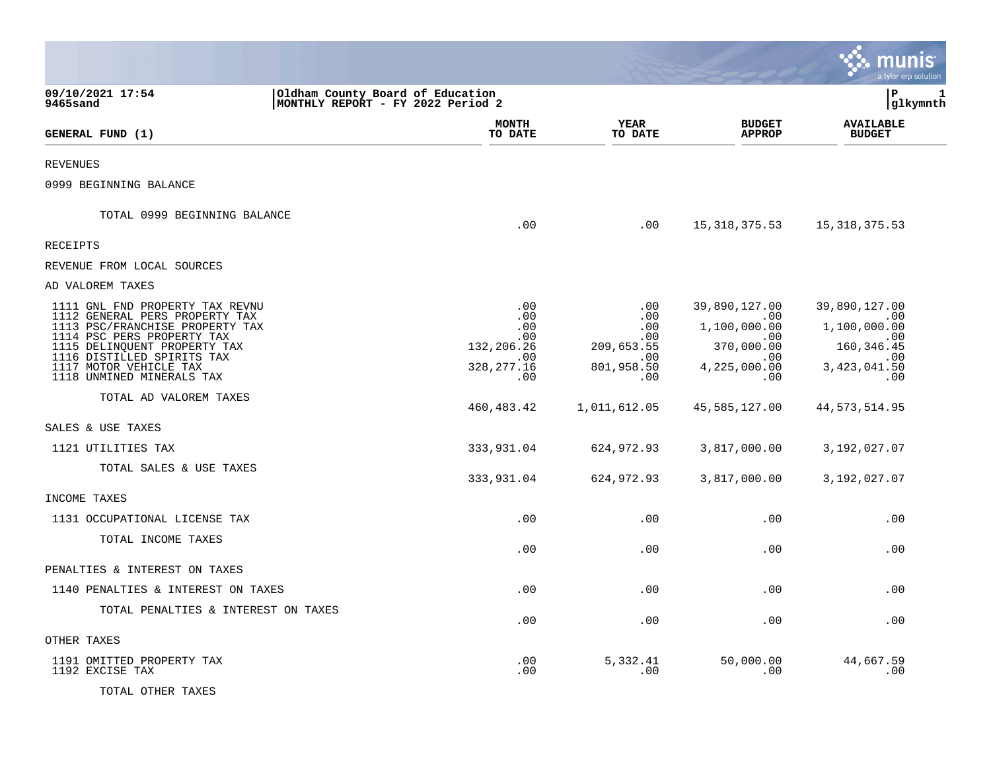|                                                                                                                                                                                                                                                                                                                              |                                                                                                    |                                                                                                  |                                                                                                                          | IS<br>a tyler erp solution                                                                                                  |
|------------------------------------------------------------------------------------------------------------------------------------------------------------------------------------------------------------------------------------------------------------------------------------------------------------------------------|----------------------------------------------------------------------------------------------------|--------------------------------------------------------------------------------------------------|--------------------------------------------------------------------------------------------------------------------------|-----------------------------------------------------------------------------------------------------------------------------|
| 09/10/2021 17:54<br>9465sand                                                                                                                                                                                                                                                                                                 | Oldham County Board of Education<br>MONTHLY REPORT - FY 2022 Period 2                              |                                                                                                  |                                                                                                                          | l P<br>1<br> glkymnth                                                                                                       |
| GENERAL FUND (1)                                                                                                                                                                                                                                                                                                             | <b>MONTH</b><br>TO DATE                                                                            | YEAR<br>TO DATE                                                                                  | <b>BUDGET</b><br><b>APPROP</b>                                                                                           | <b>AVAILABLE</b><br><b>BUDGET</b>                                                                                           |
| <b>REVENUES</b>                                                                                                                                                                                                                                                                                                              |                                                                                                    |                                                                                                  |                                                                                                                          |                                                                                                                             |
| 0999 BEGINNING BALANCE                                                                                                                                                                                                                                                                                                       |                                                                                                    |                                                                                                  |                                                                                                                          |                                                                                                                             |
| TOTAL 0999 BEGINNING BALANCE                                                                                                                                                                                                                                                                                                 | .00                                                                                                | .00                                                                                              | 15,318,375.53                                                                                                            | 15, 318, 375.53                                                                                                             |
| RECEIPTS                                                                                                                                                                                                                                                                                                                     |                                                                                                    |                                                                                                  |                                                                                                                          |                                                                                                                             |
| REVENUE FROM LOCAL SOURCES                                                                                                                                                                                                                                                                                                   |                                                                                                    |                                                                                                  |                                                                                                                          |                                                                                                                             |
| AD VALOREM TAXES                                                                                                                                                                                                                                                                                                             |                                                                                                    |                                                                                                  |                                                                                                                          |                                                                                                                             |
| 1111 GNL FND PROPERTY TAX REVNU<br>1112 GENERAL PERS PROPERTY TAX<br>1113 PSC/FRANCHISE PROPERTY TAX<br>1114 PSC PERS PROPERTY TAX<br>1115 DELINQUENT PROPERTY TAX<br>1116 DISTILLED SPIRITS TAX<br>1117 MOTOR VEHICLE TAX<br>1118 UNMINED MINERALS TAX<br>TOTAL AD VALOREM TAXES<br>SALES & USE TAXES<br>1121 UTILITIES TAX | .00<br>.00<br>.00<br>.00<br>132,206.26<br>.00<br>328, 277. 16<br>.00<br>460, 483. 42<br>333,931.04 | .00<br>.00<br>.00<br>.00<br>209,653.55<br>.00<br>801,958.50<br>.00<br>1,011,612.05<br>624,972.93 | 39,890,127.00<br>.00<br>1,100,000.00<br>.00<br>370,000.00<br>.00<br>4,225,000.00<br>.00<br>45,585,127.00<br>3,817,000.00 | 39,890,127.00<br>.00<br>1,100,000.00<br>.00<br>160, 346.45<br>.00<br>3,423,041.50<br>.00<br>44, 573, 514.95<br>3,192,027.07 |
| TOTAL SALES & USE TAXES                                                                                                                                                                                                                                                                                                      | 333,931.04                                                                                         | 624,972.93                                                                                       | 3,817,000.00                                                                                                             | 3,192,027.07                                                                                                                |
| INCOME TAXES                                                                                                                                                                                                                                                                                                                 |                                                                                                    |                                                                                                  |                                                                                                                          |                                                                                                                             |
| 1131 OCCUPATIONAL LICENSE TAX                                                                                                                                                                                                                                                                                                | .00                                                                                                | .00                                                                                              | .00                                                                                                                      | .00                                                                                                                         |
| TOTAL INCOME TAXES                                                                                                                                                                                                                                                                                                           | .00                                                                                                | .00                                                                                              | .00                                                                                                                      | .00                                                                                                                         |
| PENALTIES & INTEREST ON TAXES                                                                                                                                                                                                                                                                                                |                                                                                                    |                                                                                                  |                                                                                                                          |                                                                                                                             |
| 1140 PENALTIES & INTEREST ON TAXES                                                                                                                                                                                                                                                                                           | .00                                                                                                | .00                                                                                              | .00                                                                                                                      | .00                                                                                                                         |
| TOTAL PENALTIES & INTEREST ON TAXES                                                                                                                                                                                                                                                                                          | .00                                                                                                | .00                                                                                              | .00                                                                                                                      | .00                                                                                                                         |
| OTHER TAXES                                                                                                                                                                                                                                                                                                                  |                                                                                                    |                                                                                                  |                                                                                                                          |                                                                                                                             |
| 1191 OMITTED PROPERTY TAX<br>1192 EXCISE TAX<br>TOTAL OTHER TAXES                                                                                                                                                                                                                                                            | .00<br>.00                                                                                         | 5,332.41<br>.00                                                                                  | 50,000.00<br>.00                                                                                                         | 44,667.59<br>.00                                                                                                            |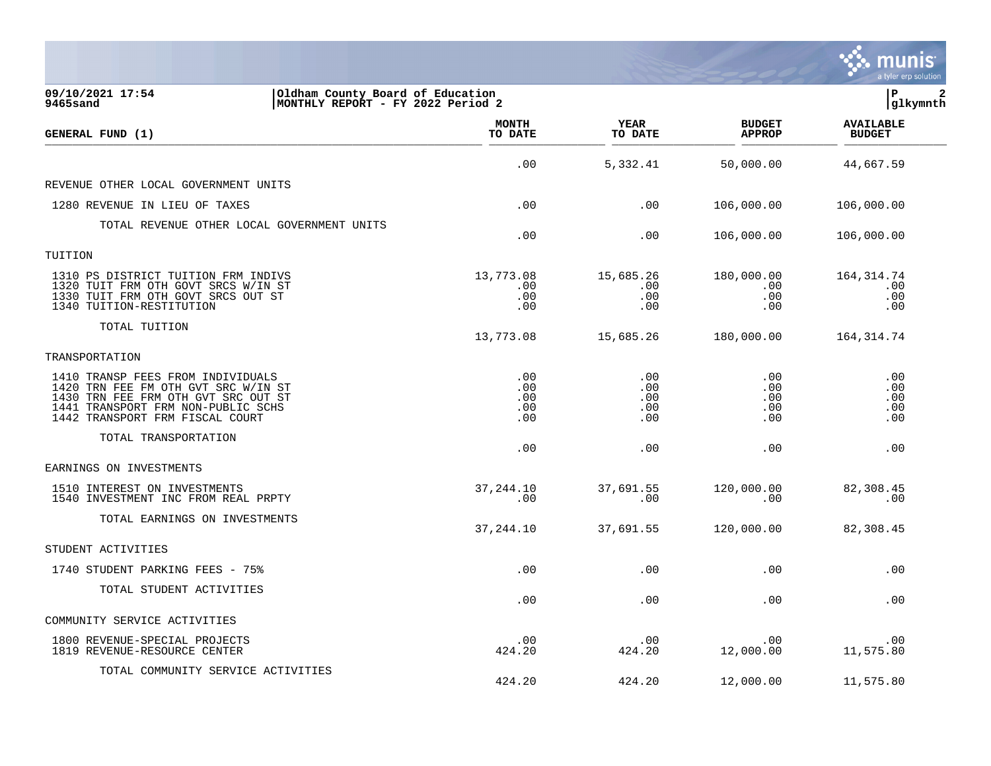|                                                                                                                                                                                          |                                 |                                 |                                 | munis<br>a tyler erp solution     |
|------------------------------------------------------------------------------------------------------------------------------------------------------------------------------------------|---------------------------------|---------------------------------|---------------------------------|-----------------------------------|
| 09/10/2021 17:54<br>Oldham County Board of Education<br>9465sand<br> MONTHLY REPORT - FY 2022 Period 2                                                                                   |                                 |                                 |                                 | lР<br>$\mathbf{2}$<br> glkymnth   |
| GENERAL FUND (1)                                                                                                                                                                         | <b>MONTH</b><br>TO DATE         | YEAR<br>TO DATE                 | <b>BUDGET</b><br><b>APPROP</b>  | <b>AVAILABLE</b><br><b>BUDGET</b> |
|                                                                                                                                                                                          | .00                             | 5,332.41                        | 50,000.00                       | 44,667.59                         |
| REVENUE OTHER LOCAL GOVERNMENT UNITS                                                                                                                                                     |                                 |                                 |                                 |                                   |
| 1280 REVENUE IN LIEU OF TAXES                                                                                                                                                            | .00                             | .00                             | 106,000.00                      | 106,000.00                        |
| TOTAL REVENUE OTHER LOCAL GOVERNMENT UNITS                                                                                                                                               | .00                             | .00                             | 106,000.00                      | 106,000.00                        |
| TUITION                                                                                                                                                                                  |                                 |                                 |                                 |                                   |
| 1310 PS DISTRICT TUITION FRM INDIVS<br>1320 TUIT FRM OTH GOVT SRCS W/IN ST<br>1330 TUIT FRM OTH GOVT SRCS OUT ST<br>1340 TUITION-RESTITUTION                                             | 13,773.08<br>.00<br>.00<br>.00  | 15,685.26<br>.00<br>.00<br>.00  | 180,000.00<br>.00<br>.00<br>.00 | 164, 314.74<br>.00<br>.00<br>.00  |
| TOTAL TUITION                                                                                                                                                                            | 13,773.08                       | 15,685.26                       | 180,000.00                      | 164, 314.74                       |
| TRANSPORTATION                                                                                                                                                                           |                                 |                                 |                                 |                                   |
| 1410 TRANSP FEES FROM INDIVIDUALS<br>1420 TRN FEE FM OTH GVT SRC W/IN ST<br>1430 TRN FEE FRM OTH GVT SRC OUT ST<br>1441 TRANSPORT FRM NON-PUBLIC SCHS<br>1442 TRANSPORT FRM FISCAL COURT | .00<br>.00<br>.00<br>.00<br>.00 | .00<br>.00<br>.00<br>.00<br>.00 | .00<br>.00<br>.00<br>.00<br>.00 | .00<br>.00<br>.00<br>.00<br>.00   |
| TOTAL TRANSPORTATION                                                                                                                                                                     | .00                             | .00                             | .00                             | .00                               |
| EARNINGS ON INVESTMENTS                                                                                                                                                                  |                                 |                                 |                                 |                                   |
| 1510 INTEREST ON INVESTMENTS<br>1540 INVESTMENT INC FROM REAL PRPTY                                                                                                                      | 37, 244.10<br>.00               | 37,691.55<br>.00                | 120,000.00<br>.00               | 82,308.45<br>.00                  |
| TOTAL EARNINGS ON INVESTMENTS                                                                                                                                                            | 37, 244.10                      | 37,691.55                       | 120,000.00                      | 82,308.45                         |
| STUDENT ACTIVITIES                                                                                                                                                                       |                                 |                                 |                                 |                                   |
| 1740 STUDENT PARKING FEES - 75%                                                                                                                                                          | .00                             | .00                             | .00                             | .00                               |
| TOTAL STUDENT ACTIVITIES                                                                                                                                                                 | .00                             | .00                             | .00                             | .00                               |
| COMMUNITY SERVICE ACTIVITIES                                                                                                                                                             |                                 |                                 |                                 |                                   |
| 1800 REVENUE-SPECIAL PROJECTS<br>1819 REVENUE-RESOURCE CENTER                                                                                                                            | .00<br>424.20                   | .00<br>424.20                   | .00<br>12,000.00                | .00<br>11,575.80                  |
| TOTAL COMMUNITY SERVICE ACTIVITIES                                                                                                                                                       | 424.20                          | 424.20                          | 12,000.00                       | 11,575.80                         |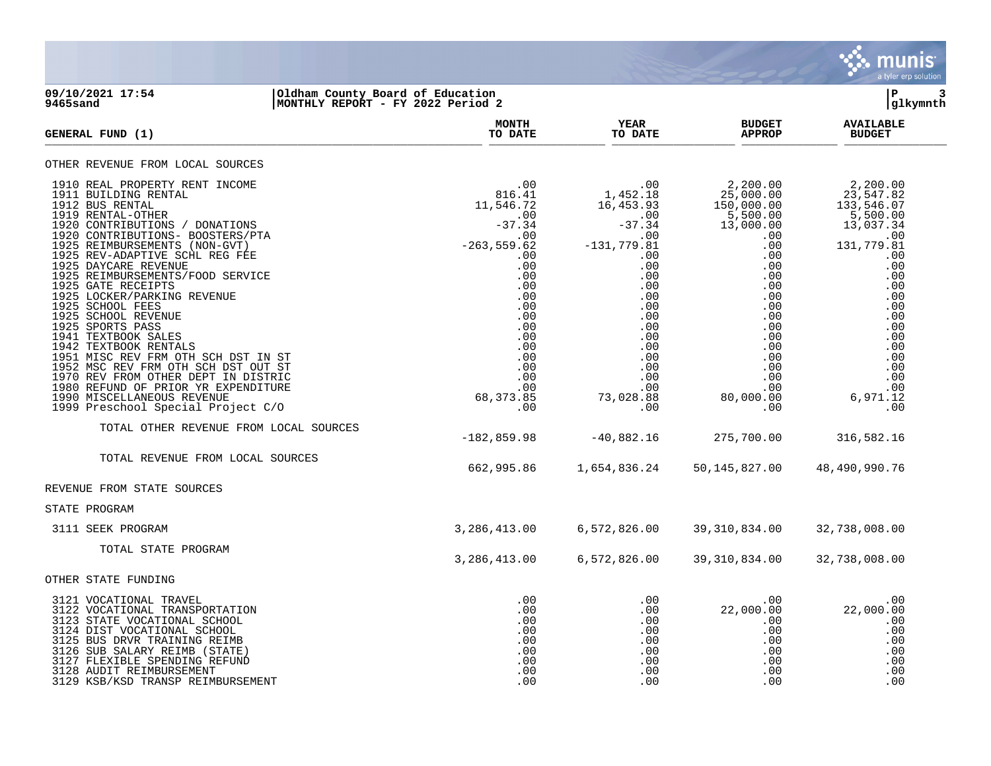

### **09/10/2021 17:54 |Oldham County Board of Education |P 3 9465sand |MONTHLY REPORT - FY 2022 Period 2 |glkymnth**

| GENERAL FUND (1)                                                                                                                                                                                                                                                                                                                                                                                                                                                                                                                                                                                                                                                                                                                                                              | <b>MONTH</b><br>TO DATE                                     | <b>YEAR</b><br>TO DATE                                                                                | <b>BUDGET</b><br><b>APPROP</b>                                                                                                                                                                                                                                                                                                                                                                       | <b>AVAILABLE</b><br><b>BUDGET</b>                                                                                                                                                               |
|-------------------------------------------------------------------------------------------------------------------------------------------------------------------------------------------------------------------------------------------------------------------------------------------------------------------------------------------------------------------------------------------------------------------------------------------------------------------------------------------------------------------------------------------------------------------------------------------------------------------------------------------------------------------------------------------------------------------------------------------------------------------------------|-------------------------------------------------------------|-------------------------------------------------------------------------------------------------------|------------------------------------------------------------------------------------------------------------------------------------------------------------------------------------------------------------------------------------------------------------------------------------------------------------------------------------------------------------------------------------------------------|-------------------------------------------------------------------------------------------------------------------------------------------------------------------------------------------------|
| OTHER REVENUE FROM LOCAL SOURCES                                                                                                                                                                                                                                                                                                                                                                                                                                                                                                                                                                                                                                                                                                                                              |                                                             |                                                                                                       |                                                                                                                                                                                                                                                                                                                                                                                                      |                                                                                                                                                                                                 |
| 1910 REAL PROPERTY RENT INCOME<br>$\begin{array}{cc}\n & -37.35 \\  & -263,559.62 \\  & 00 \\  & 00 \\  & 0\n\end{array}$<br><i>CRVICE</i><br>1911 BUILDING RENTAL<br>1912 BUS RENTAL<br>1919 RENTAL-OTHER<br>1920 CONTRIBUTIONS / DONATIONS<br>1920 CONTRIBUTIONS- BOOSTERS/PTA<br>1925 REIMBURSEMENTS (NON-GVT)<br>1925 REV-ADAPTIVE SCHL REG FEE<br>1925 DAYCARE REVENUE<br>1925 REIMBURSEMENTS/FOOD SERVICE<br>1925 GATE RECEIPTS<br>1925 LOCKER/PARKING REVENUE<br>1925 SCHOOL FEES<br>1925 SCHOOL REVENUE<br>1925 SPORTS PASS<br>1941 TEXTBOOK SALES<br>1942 TEXTBOOK RENTALS<br>1951 MISC REV FRM OTH SCH DST IN ST<br>1952 MSC REV FRM OTH SCH DST OUT ST<br>1970 REV FROM OTHER DEPT IN DISTRIC<br>1980 REFUND OF PRIOR YR EXPENDITURE<br>1990 MISCELLANEOUS REVENUE | .00<br>.00<br>.00<br>.00<br>68, 373.85                      | 1,452.18<br>.00<br>$-131,779.81$<br>.00<br>.00<br>.00<br>.00<br>.00<br>.00<br>.00<br>.00<br>73,028.88 | $\begin{array}{ccc} . & 00 & 2\, , 200\, .00 \\ 1\, , 452\, .18 & 25\, , 000\, .00 \\ 16\, , 453\, .93 & 150\, , 000\, .00 \\ . & 00 & 5\, , 500\, .00 \\ -37\, .34 & 13\, , 000\, .00 \\ \end{array}$<br>$\begin{array}{c} . & 0 & 0 \\ 0 & 0 & 0 \end{array}$<br>$\frac{0}{2}$<br>.00<br>.00<br>$.00 \,$<br>.00<br>.00<br>.00<br>.00<br>.00<br>.00<br>.00<br>.00<br>.00<br>.00<br>.00<br>80,000.00 | 2,200.00<br>23,547.82<br>133,546.07<br>5,500.00<br>13,037.34<br>.00<br>131,779.81<br>.00<br>.00<br>.00<br>.00<br>.00<br>.00<br>.00<br>.00<br>.00<br>.00<br>.00<br>.00<br>.00<br>.00<br>6,971.12 |
| 1999 Preschool Special Project C/O                                                                                                                                                                                                                                                                                                                                                                                                                                                                                                                                                                                                                                                                                                                                            | .00                                                         | .00                                                                                                   | .00                                                                                                                                                                                                                                                                                                                                                                                                  | .00                                                                                                                                                                                             |
| TOTAL OTHER REVENUE FROM LOCAL SOURCES                                                                                                                                                                                                                                                                                                                                                                                                                                                                                                                                                                                                                                                                                                                                        | $-182, 859.98$                                              | $-40,882.16$                                                                                          | 275,700.00                                                                                                                                                                                                                                                                                                                                                                                           | 316,582.16                                                                                                                                                                                      |
| TOTAL REVENUE FROM LOCAL SOURCES                                                                                                                                                                                                                                                                                                                                                                                                                                                                                                                                                                                                                                                                                                                                              | 662,995.86                                                  | 1,654,836.24                                                                                          | 50,145,827.00                                                                                                                                                                                                                                                                                                                                                                                        | 48,490,990.76                                                                                                                                                                                   |
| REVENUE FROM STATE SOURCES                                                                                                                                                                                                                                                                                                                                                                                                                                                                                                                                                                                                                                                                                                                                                    |                                                             |                                                                                                       |                                                                                                                                                                                                                                                                                                                                                                                                      |                                                                                                                                                                                                 |
| STATE PROGRAM                                                                                                                                                                                                                                                                                                                                                                                                                                                                                                                                                                                                                                                                                                                                                                 |                                                             |                                                                                                       |                                                                                                                                                                                                                                                                                                                                                                                                      |                                                                                                                                                                                                 |
| 3111 SEEK PROGRAM                                                                                                                                                                                                                                                                                                                                                                                                                                                                                                                                                                                                                                                                                                                                                             | 3,286,413.00                                                | 6,572,826.00                                                                                          | 39,310,834.00                                                                                                                                                                                                                                                                                                                                                                                        | 32,738,008.00                                                                                                                                                                                   |
| TOTAL STATE PROGRAM                                                                                                                                                                                                                                                                                                                                                                                                                                                                                                                                                                                                                                                                                                                                                           | 3,286,413.00                                                | 6,572,826.00                                                                                          | 39, 310, 834.00                                                                                                                                                                                                                                                                                                                                                                                      | 32,738,008.00                                                                                                                                                                                   |
| OTHER STATE FUNDING                                                                                                                                                                                                                                                                                                                                                                                                                                                                                                                                                                                                                                                                                                                                                           |                                                             |                                                                                                       |                                                                                                                                                                                                                                                                                                                                                                                                      |                                                                                                                                                                                                 |
| 3121 VOCATIONAL TRAVEL<br>3122 VOCATIONAL TRANSPORTATION<br>3123 STATE VOCATIONAL SCHOOL<br>3124 DIST VOCATIONAL SCHOOL<br>3125 BUS DRVR TRAINING REIMB<br>3126 SUB SALARY REIMB (STATE)<br>3127 FLEXIBLE SPENDING REFUND<br>3128 AUDIT REIMBURSEMENT<br>3129 KSB/KSD TRANSP REIMBURSEMENT                                                                                                                                                                                                                                                                                                                                                                                                                                                                                    | .00<br>.00<br>.00<br>.00<br>.00<br>.00<br>.00<br>.00<br>.00 | .00<br>.00<br>.00<br>.00<br>.00<br>.00<br>.00                                                         | $.00 \,$<br>22,000.00<br>$.00 \,$<br>.00<br>.00<br>.00<br>$.00 \,$<br>.00<br>.00                                                                                                                                                                                                                                                                                                                     | .00<br>22,000.00<br>.00<br>.00<br>.00<br>.00<br>.00<br>.00<br>.00                                                                                                                               |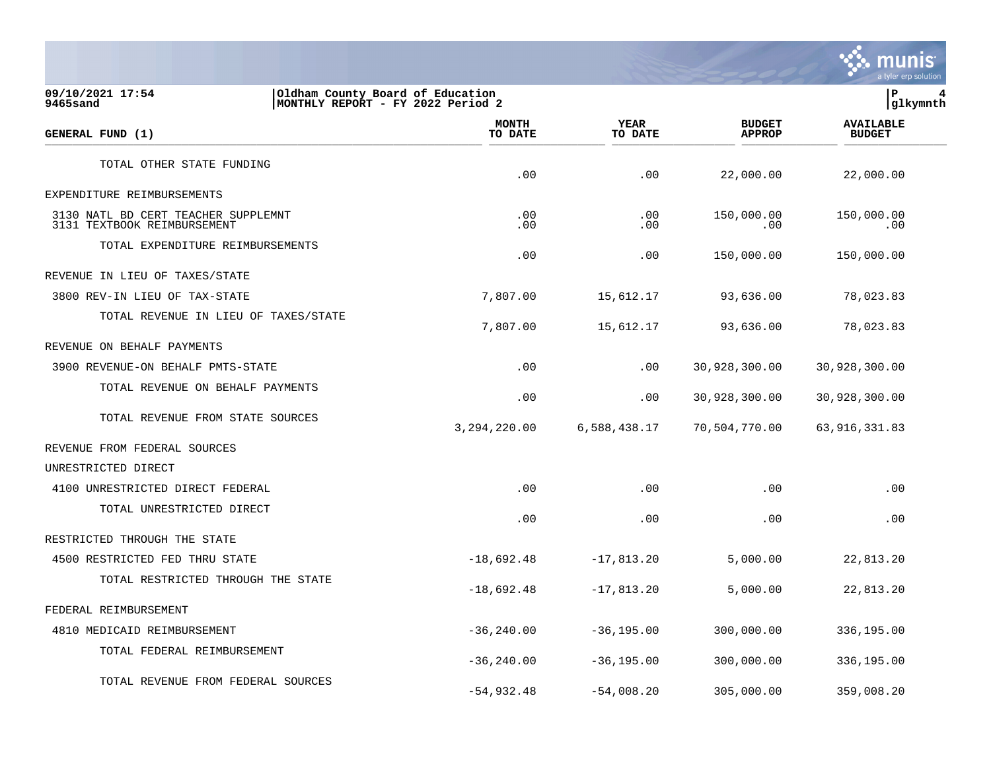

**09/10/2021 17:54 |Oldham County Board of Education |P 4** MONTHLY REPORT - FY 2022 Period 2  **MONTH AVAILABLE YEAR BUDGET** AVAILABLE **GENERAL FUND (1) TO DATE TO DATE APPROP BUDGET**  TO DATE THE RESERVED FOND (1) TOTAL OTHER STATE FUNDING .00 .00 22,000.00 22,000.00 EXPENDITURE REIMBURSEMENTS 3130 NATL BD CERT TEACHER SUPPLEMNT .00 .00 150,000.00 150,000.00 3131 TEXTBOOK REIMBURSEMENT TOTAL EXPENDITURE REIMBURSEMENTS .00 .00 150,000.00 150,000.00 REVENUE IN LIEU OF TAXES/STATE 3800 REV-IN LIEU OF TAX-STATE 7,807.00 15,612.17 93,636.00 78,023.83 TOTAL REVENUE IN LIEU OF TAXES/STATE 7,807.00 15,612.17 93,636.00 78,023.83 REVENUE ON BEHALF PAYMENTS 3900 REVENUE-ON BEHALF PMTS-STATE .00 .00 30,928,300.00 30,928,300.00 TOTAL REVENUE ON BEHALF PAYMENTS .00 .00 30,928,300.00 30,928,300.00 TOTAL REVENUE FROM STATE SOURCES 3,294,220.00 6,588,438.17 70,504,770.00 63,916,331.83 REVENUE FROM FEDERAL SOURCES UNRESTRICTED DIRECT 4100 UNRESTRICTED DIRECT FEDERAL .00 .00 .00 .00 TOTAL UNRESTRICTED DIRECT .00 .00 .00 .00 RESTRICTED THROUGH THE STATE 4500 RESTRICTED FED THRU STATE -18,692.48 -17,813.20 5,000.00 22,813.20 TOTAL RESTRICTED THROUGH THE STATE -18,692.48 -17,813.20 5,000.00 22,813.20 FEDERAL REIMBURSEMENT 4810 MEDICAID REIMBURSEMENT -36,240.00 -36,195.00 300,000.00 336,195.00 TOTAL FEDERAL REIMBURSEMENT -36,240.00 -36,195.00 300,000.00 336,195.00 TOTAL REVENUE FROM FEDERAL SOURCES

-54,932.48 -54,008.20 305,000.00 359,008.20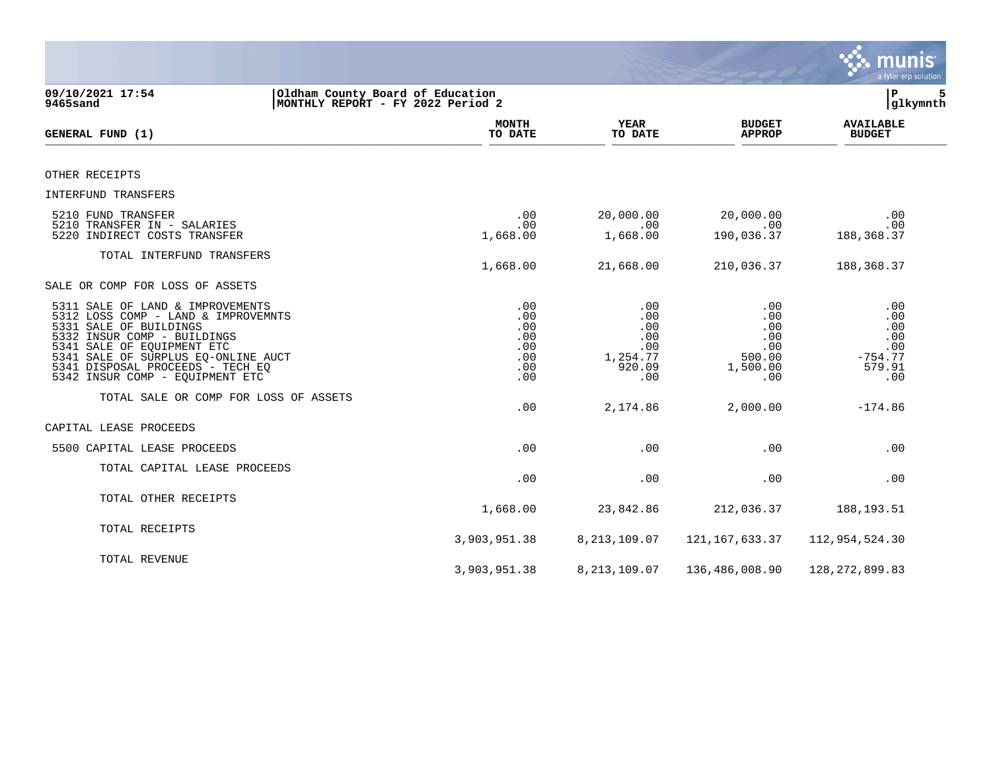|                                                                                                                                                                                                                                                                              |                                                      |                                                              |                                                              | munis<br>a tyler erp solution                                 |
|------------------------------------------------------------------------------------------------------------------------------------------------------------------------------------------------------------------------------------------------------------------------------|------------------------------------------------------|--------------------------------------------------------------|--------------------------------------------------------------|---------------------------------------------------------------|
| 09/10/2021 17:54<br>Oldham County Board of Education<br>MONTHLY REPORT - FY 2022 Period 2<br>9465sand                                                                                                                                                                        |                                                      |                                                              |                                                              | ΙP<br>5<br>glkymnth                                           |
| GENERAL FUND (1)                                                                                                                                                                                                                                                             | <b>MONTH</b><br>TO DATE                              | YEAR<br>TO DATE                                              | <b>BUDGET</b><br><b>APPROP</b>                               | <b>AVAILABLE</b><br><b>BUDGET</b>                             |
| OTHER RECEIPTS                                                                                                                                                                                                                                                               |                                                      |                                                              |                                                              |                                                               |
| INTERFUND TRANSFERS                                                                                                                                                                                                                                                          |                                                      |                                                              |                                                              |                                                               |
| 5210 FUND TRANSFER<br>5210 TRANSFER IN - SALARIES<br>5220 INDIRECT COSTS TRANSFER                                                                                                                                                                                            | .00<br>.00<br>1,668.00                               | 20,000.00<br>.00<br>1,668.00                                 | 20,000.00<br>.00<br>190,036.37                               | .00<br>.00<br>188, 368.37                                     |
| TOTAL INTERFUND TRANSFERS                                                                                                                                                                                                                                                    | 1,668.00                                             | 21,668.00                                                    | 210,036.37                                                   | 188, 368. 37                                                  |
| SALE OR COMP FOR LOSS OF ASSETS                                                                                                                                                                                                                                              |                                                      |                                                              |                                                              |                                                               |
| 5311 SALE OF LAND & IMPROVEMENTS<br>5312 LOSS COMP - LAND & IMPROVEMNTS<br>5331 SALE OF BUILDINGS<br>5332 INSUR COMP - BUILDINGS<br>5341 SALE OF EQUIPMENT ETC<br>5341 SALE OF SURPLUS EQ-ONLINE AUCT<br>5341 DISPOSAL PROCEEDS - TECH EQ<br>5342 INSUR COMP - EQUIPMENT ETC | .00<br>.00<br>.00<br>.00<br>.00<br>.00<br>.00<br>.00 | .00<br>.00<br>.00<br>.00<br>.00<br>1,254.77<br>920.09<br>.00 | .00<br>.00<br>.00<br>.00<br>.00<br>500.00<br>1,500.00<br>.00 | .00<br>.00<br>.00<br>.00<br>.00<br>$-754.77$<br>579.91<br>.00 |
| TOTAL SALE OR COMP FOR LOSS OF ASSETS                                                                                                                                                                                                                                        | .00                                                  | 2,174.86                                                     | 2,000.00                                                     | $-174.86$                                                     |
| CAPITAL LEASE PROCEEDS                                                                                                                                                                                                                                                       |                                                      |                                                              |                                                              |                                                               |
| 5500 CAPITAL LEASE PROCEEDS                                                                                                                                                                                                                                                  | .00.                                                 | .00                                                          | .00                                                          | .00                                                           |
| TOTAL CAPITAL LEASE PROCEEDS                                                                                                                                                                                                                                                 | .00                                                  | .00                                                          | .00                                                          | .00                                                           |
| TOTAL OTHER RECEIPTS                                                                                                                                                                                                                                                         | 1,668.00                                             | 23,842.86                                                    | 212,036.37                                                   | 188, 193. 51                                                  |
| TOTAL RECEIPTS                                                                                                                                                                                                                                                               | 3,903,951.38                                         | 8, 213, 109.07                                               | 121,167,633.37                                               | 112,954,524.30                                                |
| TOTAL REVENUE                                                                                                                                                                                                                                                                | 3,903,951.38                                         | 8, 213, 109.07                                               | 136,486,008.90                                               | 128, 272, 899.83                                              |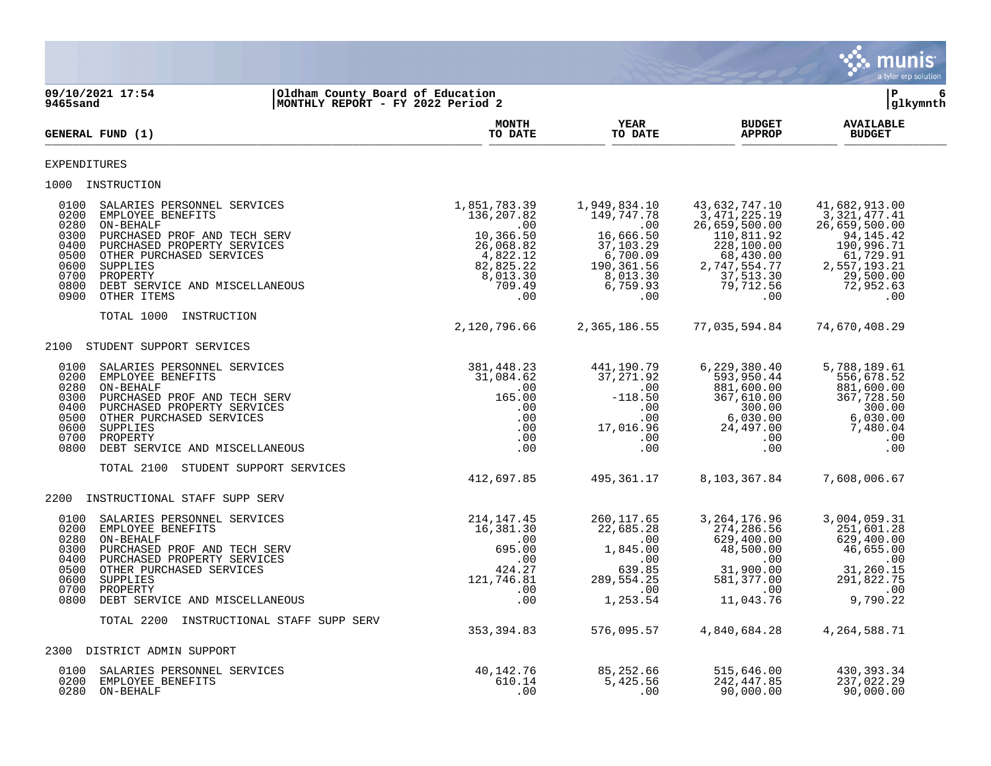|                                                                                                                                                                                                                                                                                                                   |                                                                                                                   |                                                                                                                            |                                                                                                                                                   | <b>munis</b><br>a tyler erp solution                                                                                                         |
|-------------------------------------------------------------------------------------------------------------------------------------------------------------------------------------------------------------------------------------------------------------------------------------------------------------------|-------------------------------------------------------------------------------------------------------------------|----------------------------------------------------------------------------------------------------------------------------|---------------------------------------------------------------------------------------------------------------------------------------------------|----------------------------------------------------------------------------------------------------------------------------------------------|
| 09/10/2021 17:54<br>Oldham County Board of Education<br>MONTHLY REPORT - FY 2022 Period 2<br>9465sand                                                                                                                                                                                                             |                                                                                                                   |                                                                                                                            |                                                                                                                                                   | ∣P<br>6<br> glkymnth                                                                                                                         |
| GENERAL FUND (1)                                                                                                                                                                                                                                                                                                  | <b>MONTH</b><br>TO DATE                                                                                           | <b>YEAR</b><br>TO DATE                                                                                                     | <b>BUDGET</b><br><b>APPROP</b>                                                                                                                    | <b>AVAILABLE</b><br><b>BUDGET</b>                                                                                                            |
| EXPENDITURES                                                                                                                                                                                                                                                                                                      |                                                                                                                   |                                                                                                                            |                                                                                                                                                   |                                                                                                                                              |
| 1000 INSTRUCTION                                                                                                                                                                                                                                                                                                  |                                                                                                                   |                                                                                                                            |                                                                                                                                                   |                                                                                                                                              |
| 0100<br>SALARIES PERSONNEL SERVICES<br>0200<br>EMPLOYEE BENEFITS<br>0280<br>ON-BEHALF<br>0300<br>PURCHASED PROF AND TECH SERV<br>0400<br>PURCHASED PROPERTY SERVICES<br>0500<br>OTHER PURCHASED SERVICES<br>0600<br>SUPPLIES<br>0700<br>PROPERTY<br>0800<br>DEBT SERVICE AND MISCELLANEOUS<br>0900<br>OTHER ITEMS | 1,851,783.39<br>136,207.82<br>.00<br>10,366.50<br>26,068.82<br>4,822.12<br>82,825.22<br>8,013.30<br>709.49<br>.00 | 1,949,834.10<br>149,747.78<br>$\sim 00$<br>16,666.50<br>37,103.29<br>6,700.09<br>190,361.56<br>8,013.30<br>6,759.93<br>.00 | 43,632,747.10<br>3,471,225.19<br>26,659,500.00<br>$110, 811.92$<br>$228, 100.00$<br>$68, 430.00$<br>2,747,554.77<br>37,513.30<br>79,712.56<br>.00 | 41,682,913.00<br>3,321,477.41<br>26,659,500.00<br>94,145.42<br>190,996.71<br>61,729.91<br>2,557,193.21<br>29,500.00<br>72,952.63<br>.00      |
| TOTAL 1000<br>INSTRUCTION                                                                                                                                                                                                                                                                                         | 2,120,796.66                                                                                                      | 2,365,186.55                                                                                                               | 77,035,594.84                                                                                                                                     | 74,670,408.29                                                                                                                                |
| 2100<br>STUDENT SUPPORT SERVICES                                                                                                                                                                                                                                                                                  |                                                                                                                   |                                                                                                                            |                                                                                                                                                   |                                                                                                                                              |
| SALARIES PERSONNEL SERVICES<br>0100<br>EMPLOYEE BENEFITS<br>0200<br>0280<br>ON-BEHALF<br>0300<br>PURCHASED PROF AND TECH SERV<br>0400<br>PURCHASED PROPERTY SERVICES<br>0500<br>OTHER PURCHASED SERVICES<br>0600<br>SUPPLIES<br>0700<br>PROPERTY<br>0800<br>DEBT SERVICE AND MISCELLANEOUS                        | 381,448.23<br>31,084.62<br>.00<br>165.00<br>$.00 \,$<br>.00<br>.00<br>.00<br>.00                                  | 441,190.79<br>37,271.92<br>.00<br>$-118.50$<br>.00<br>.00<br>17,016.96<br>00<br>.00                                        | 6,229,380.40<br>593,950.44<br>881,600.00<br>367,610.00<br>300.00<br>6,030.00<br>24,497.00<br>.00<br>$.00 \,$                                      | 5,788,189.61<br>556,678.52<br>881,600.00<br>367,728.50<br>300.00<br>6,030.00<br>7,480.04<br>.00<br>.00                                       |
| TOTAL 2100 STUDENT SUPPORT SERVICES                                                                                                                                                                                                                                                                               | 412,697.85                                                                                                        | 495,361.17                                                                                                                 | 8,103,367.84                                                                                                                                      | 7,608,006.67                                                                                                                                 |
| INSTRUCTIONAL STAFF SUPP SERV<br>2200                                                                                                                                                                                                                                                                             |                                                                                                                   |                                                                                                                            |                                                                                                                                                   |                                                                                                                                              |
| 0100<br>SALARIES PERSONNEL SERVICES<br>0200<br>EMPLOYEE BENEFITS<br>0280<br>ON-BEHALF<br>0300<br>PURCHASED PROF AND TECH SERV<br>0400<br>PURCHASED PROPERTY SERVICES<br>0500<br>OTHER PURCHASED SERVICES<br>0600<br>SUPPLIES<br>0700<br>PROPERTY<br>0800 DEBT SERVICE AND MISCELLANEOUS                           | 214,147.45<br>16,381.30<br>.00<br>695.00<br>.00<br>424.27<br>121,746.81<br>.00<br>.00                             | 260, 117.65<br>22,685.28<br>$\overline{00}$<br>1,845.00<br>00.<br>78 PS<br>639.85<br>289, 554. 25<br>.00<br>1,253.54       | 3, 264, 176.96<br>274,286.56<br>629,400.00<br>48,500.00<br>$31,900.00$<br>581 377 00<br>.00<br>11,043.76                                          | 3,004,059.31<br>251,601.28<br>629,400.00<br>46,655.00<br>$\begin{array}{c} .00 \\ 31,260.15 \\ 291,000 \end{array}$<br>$\sim 00$<br>9,790.22 |
| TOTAL 2200 INSTRUCTIONAL STAFF SUPP SERV                                                                                                                                                                                                                                                                          |                                                                                                                   |                                                                                                                            |                                                                                                                                                   |                                                                                                                                              |
|                                                                                                                                                                                                                                                                                                                   | 353, 394.83                                                                                                       | 576,095.57                                                                                                                 | 4,840,684.28                                                                                                                                      | 4,264,588.71                                                                                                                                 |
| DISTRICT ADMIN SUPPORT<br>2300                                                                                                                                                                                                                                                                                    |                                                                                                                   |                                                                                                                            |                                                                                                                                                   |                                                                                                                                              |
| 0100<br>SALARIES PERSONNEL SERVICES<br>EMPLOYEE BENEFITS<br>0200<br>0280<br>ON-BEHALF                                                                                                                                                                                                                             | 40,142.76<br>610.14<br>.00                                                                                        | 85,252.66<br>5,425.56<br>$.00 \,$                                                                                          | 515,646.00<br>242, 447.85<br>90,000.00                                                                                                            | 430, 393.34<br>237,022.29<br>90,000.00                                                                                                       |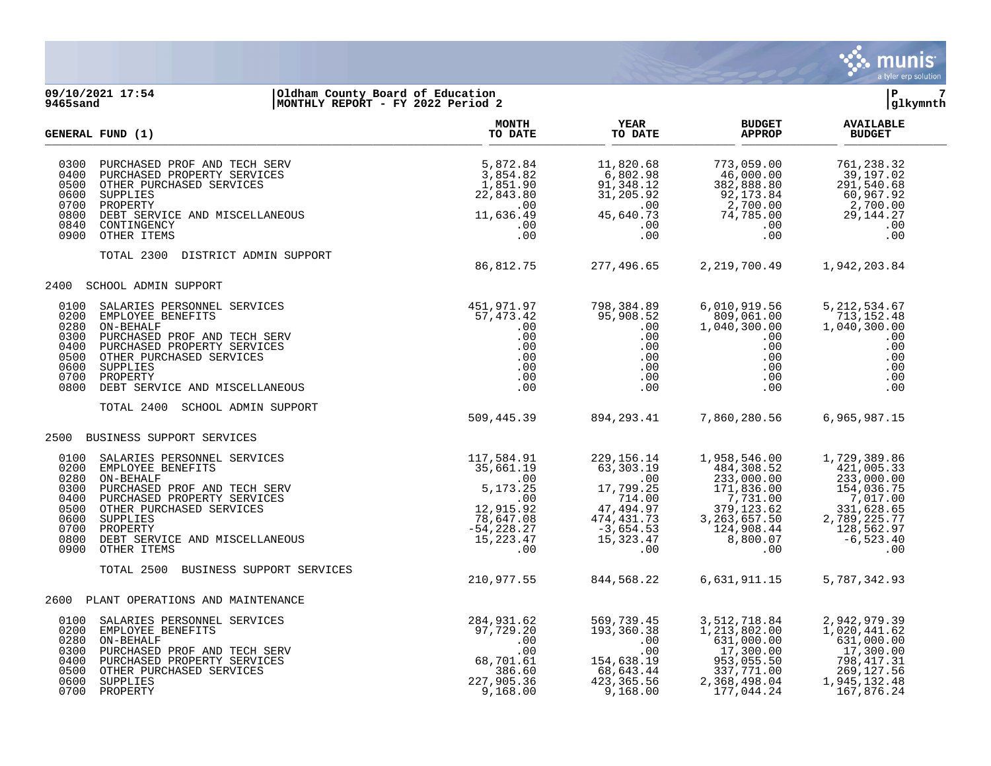

### **09/10/2021 17:54 |Oldham County Board of Education |P 7 9465sand |MONTHLY REPORT - FY 2022 Period 2 |glkymnth**

|                                                              | GENERAL FUND (1)                                                                                                                                                                                                                                                                                                                                                                                               | <b>MONTH</b><br>TO DATE                                                                            | <b>YEAR</b><br>TO DATE                                                                                                                                                                                                                               | <b>BUDGET</b><br><b>APPROP</b>                                                                                                                                                                                                                                                                            | <b>AVAILABLE</b><br><b>BUDGET</b>                                                                                   |  |
|--------------------------------------------------------------|----------------------------------------------------------------------------------------------------------------------------------------------------------------------------------------------------------------------------------------------------------------------------------------------------------------------------------------------------------------------------------------------------------------|----------------------------------------------------------------------------------------------------|------------------------------------------------------------------------------------------------------------------------------------------------------------------------------------------------------------------------------------------------------|-----------------------------------------------------------------------------------------------------------------------------------------------------------------------------------------------------------------------------------------------------------------------------------------------------------|---------------------------------------------------------------------------------------------------------------------|--|
| 0300<br>0400<br>0500<br>0600<br>0700<br>0840                 | RV<br>IS<br>IEOUS<br>PURCHASED PROF AND TECH SERV<br>PURCHASED PROPERTY SERVICES<br>OTHER PURCHASED SERVICES<br>SUPPLIES<br>PROPERTY<br>0800 DEBT SERVICE AND MISCELLANEOUS<br>CONTINGENCY<br>0900 OTHER ITEMS                                                                                                                                                                                                 | 5,872.84<br>3,854.82<br>1,851.90<br>22,843.80<br>.00<br>11,636.49<br>.00<br>.00                    | 11,820.68<br>6,802.98<br>91, 348.12<br>31, 205.92<br>$31, 205.92$<br>$31, 205.92$<br>$45, 640.73$<br>$.00$<br>$.00$<br>45,640.73<br>.00<br>.00                                                                                                       | 773,059.00<br>46,000.00<br>382,888.00<br>92,173.84<br>2,700.00<br>74,785.00<br>5.00<br>00.<br>00.                                                                                                                                                                                                         | 761,238.32<br>39,197.02<br>291,540.68<br>$60,967.92$<br>2,700.00<br>2,144.27<br>29, 144. 27<br>.00<br>.00           |  |
|                                                              | TOTAL 2300<br>DISTRICT ADMIN SUPPORT                                                                                                                                                                                                                                                                                                                                                                           | 86,812.75                                                                                          |                                                                                                                                                                                                                                                      | 277,496.65 2,219,700.49 1,942,203.84                                                                                                                                                                                                                                                                      |                                                                                                                     |  |
| 2400                                                         | SCHOOL ADMIN SUPPORT                                                                                                                                                                                                                                                                                                                                                                                           |                                                                                                    |                                                                                                                                                                                                                                                      |                                                                                                                                                                                                                                                                                                           |                                                                                                                     |  |
| 0100<br>0200<br>0280<br>0300<br>0400<br>0500<br>0700<br>0800 | SALARIES PERSONNEL SERVICES<br>EMPLOYEE BENEFITS<br>ON-BEHALF<br>PURCHASED PROF AND TECH SERV<br>PURCHASED PROPERTY SERVICES<br>OTHER PURCHASED SERVICES<br>0600 SUPPLIES<br>PROPERTY<br>DEBT SERVICE AND MISCELLANEOUS                                                                                                                                                                                        |                                                                                                    | 798,384.89<br>95,908.52<br>$\cdot$ 0.0<br>.00<br>$\begin{array}{cccc} . & 00 & & & . & 00 \ . & 00 & & & . & 00 \ . & 00 & & & & . & 00 \ . & 00 & & & & . & 00 \ . & 00 & & & & . & 00 \ . & 00 & & & & . & 00 \ . & 00 & & & & . & 00 \end{array}$ | 6,010,919.56<br>809,061.00<br>1,040,300.00<br>.00<br>.00<br>$\begin{array}{c} .00\ .00\ .00\ .00 \end{array}$<br>.00                                                                                                                                                                                      | 5, 212, 534.67<br>713,152.48<br>1,040,300.00<br>.00<br>.00<br>.00<br>.00<br>.00<br>.00                              |  |
|                                                              | SCHOOL ADMIN SUPPORT<br>TOTAL 2400                                                                                                                                                                                                                                                                                                                                                                             | 509,445.39 894,293.41                                                                              |                                                                                                                                                                                                                                                      | 7,860,280.56                                                                                                                                                                                                                                                                                              | 6,965,987.15                                                                                                        |  |
|                                                              | 2500 BUSINESS SUPPORT SERVICES                                                                                                                                                                                                                                                                                                                                                                                 |                                                                                                    |                                                                                                                                                                                                                                                      |                                                                                                                                                                                                                                                                                                           |                                                                                                                     |  |
| 0100<br>0280<br>0300<br>0400<br>0500<br>0700                 | EES<br>117, 584.91<br>35, 661.19<br>.00<br>.00<br>.00<br>5, 173.25<br>.00<br>2, 915.92<br>78, 647.08<br>-54, 228.27<br>.07<br>.07<br>5, 223.47<br>.07<br>SALARIES PERSONNEL SERVICES<br>0200 EMPLOYEE BENEFITS<br>ON-BEHALF<br>PURCHASED PROF AND TECH SERV<br>PURCHASED PROPERTY SERVICES<br>OTHER PURCHASED SERVICES<br>0600 SUPPLIES<br>PROPERTY<br>0800 DEBT SERVICE AND MISCELLANEOUS<br>0900 OTHER ITEMS | .00                                                                                                | 229, 156. 14<br>63,303.19<br>.00                                                                                                                                                                                                                     | 1,958,546.00<br>484,308.52<br>233,000.00<br>$\begin{array}{cccc} 17,799.25 & 233,000.00 & 233,000.00 \ 17,799.25 & 171,836.00 & 154,036.75 \ 71,41.00 & 7,791.00 & 7,017.00 \ 47,494.97 & 379,123.62 & 331,628.65 \ 474,431.73 & 3,263,657.50 & 2,789,225.77 \ -3,654.53 & 124,908.44 & 128,562.97 \ 15,$ | 1,729,389.86<br>421,005.33<br>233,000.00                                                                            |  |
|                                                              | TOTAL 2500<br>BUSINESS SUPPORT SERVICES                                                                                                                                                                                                                                                                                                                                                                        | 210,977.55                                                                                         | 844,568.22                                                                                                                                                                                                                                           | 6,631,911.15                                                                                                                                                                                                                                                                                              | 5,787,342.93                                                                                                        |  |
| 2600                                                         | PLANT OPERATIONS AND MAINTENANCE                                                                                                                                                                                                                                                                                                                                                                               |                                                                                                    |                                                                                                                                                                                                                                                      |                                                                                                                                                                                                                                                                                                           |                                                                                                                     |  |
| 0200<br>0280<br>0300<br>0400<br>0600                         | SALARIES PERSONNEL SERVICES<br>EMPLOYEE BENEFITS<br>ON-BEHALF<br>PURCHASED PROF AND TECH SERV<br>PURCHASED PROPERTY SERVICES<br>OTHER PURCHASED SERVICES<br>SUPPLIES<br>0100 SALARIES PERSONNEL SERVICES<br>0500 OTHER PURCHASED SERVICES<br>SUPPLIES<br>0700 PROPERTY                                                                                                                                         | 284,931.62<br>97,729.20<br>$\overline{00}$<br>.00<br>68,701.61<br>386.60<br>227,905.36<br>9,168.00 | $\begin{array}{cc}\n 2 & 569,739.45 \\  9 & 193,360.38 \\  & .00 \\  & .00\n \end{array}$<br>.00<br>68,643.44<br>423, 365.56<br>9,168.00                                                                                                             | 3, 512, 718.84<br>$1,213,804$<br>631,000.00<br>17,300.00<br>953,055.50<br>337,771.00<br>2,368,498.04<br>177,044.24                                                                                                                                                                                        | 2,942,979.39<br>1,020,441.62<br>631,000.00<br>17,300.00<br>798, 417.31<br>269, 127.56<br>1,945,132.48<br>167,876.24 |  |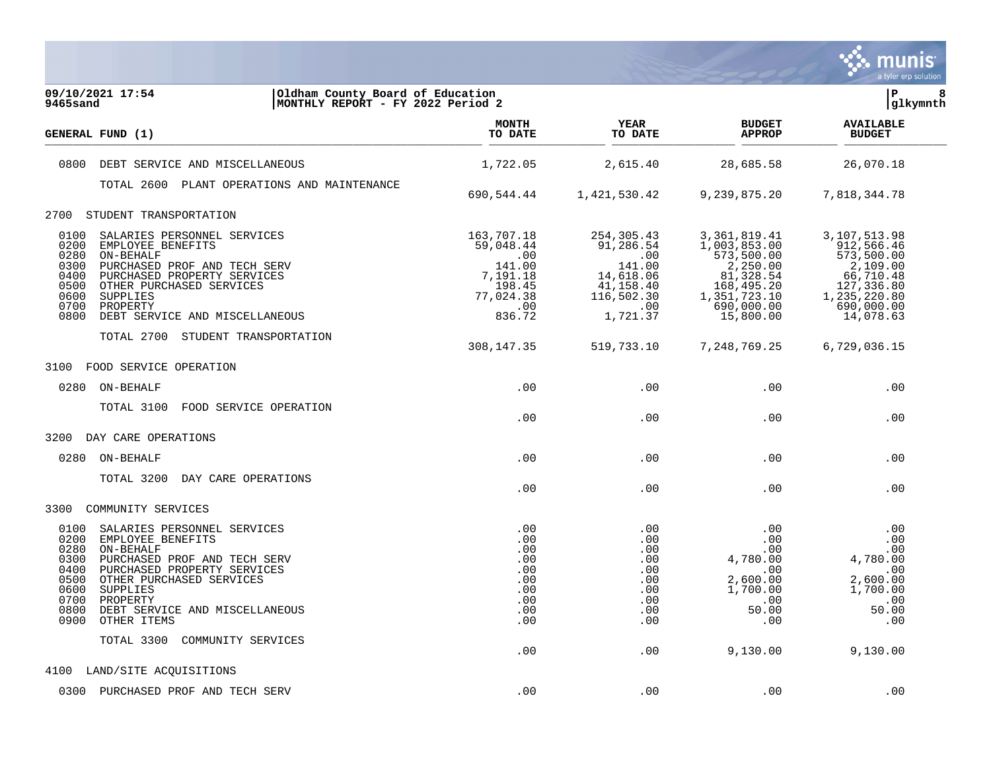

| 09/10/2021 17:54<br>Oldham County Board of Education<br>9465sand<br>MONTHLY REPORT - FY 2022 Period 2                                                                                                                                                                                                             |                                                                    |                                                                    |                                                                                     | İР<br>8<br> glkymnth                                                                |  |
|-------------------------------------------------------------------------------------------------------------------------------------------------------------------------------------------------------------------------------------------------------------------------------------------------------------------|--------------------------------------------------------------------|--------------------------------------------------------------------|-------------------------------------------------------------------------------------|-------------------------------------------------------------------------------------|--|
| GENERAL FUND (1)                                                                                                                                                                                                                                                                                                  | <b>MONTH</b><br>TO DATE                                            | <b>YEAR</b><br>TO DATE                                             | <b>BUDGET</b><br><b>APPROP</b>                                                      | <b>AVAILABLE</b><br><b>BUDGET</b>                                                   |  |
| 0800<br>DEBT SERVICE AND MISCELLANEOUS                                                                                                                                                                                                                                                                            | 1,722.05                                                           | 2,615.40                                                           | 28,685.58                                                                           | 26,070.18                                                                           |  |
| TOTAL 2600 PLANT OPERATIONS AND MAINTENANCE                                                                                                                                                                                                                                                                       | 690,544.44                                                         | 1,421,530.42                                                       | 9,239,875.20                                                                        | 7,818,344.78                                                                        |  |
| STUDENT TRANSPORTATION<br>2700                                                                                                                                                                                                                                                                                    |                                                                    |                                                                    |                                                                                     |                                                                                     |  |
| 0100<br>SALARIES PERSONNEL SERVICES<br>0200<br>EMPLOYEE BENEFITS<br>0280<br>ON-BEHALF<br>0300<br>PURCHASED PROF AND TECH SERV<br>0400<br>PURCHASED PROPERTY SERVICES                                                                                                                                              | 163,707.18<br>59,048.44<br>.00<br>141.00<br>7,191.18               | 254,305.43<br>91,286.54<br>.00<br>141.00<br>14,618.06              | 3,361,819.41<br>1,003,853.00<br>573,500.00<br>2,250.00<br>81,328.54                 | 3,107,513.98<br>912,566.46<br>573,500.00<br>2,109.00<br>66,710.48                   |  |
| 0500<br>OTHER PURCHASED SERVICES<br>0600<br>SUPPLIES<br>0700<br>PROPERTY<br>0800<br>DEBT SERVICE AND MISCELLANEOUS                                                                                                                                                                                                | 198.45<br>77,024.38<br>.00<br>836.72                               | 41,158.40<br>116,502.30<br>.00<br>1,721.37                         | 168,495.20<br>1,351,723.10<br>690,000.00<br>15,800.00                               | 127,336.80<br>1,235,220.80<br>690,000.00<br>14,078.63                               |  |
| TOTAL 2700 STUDENT TRANSPORTATION                                                                                                                                                                                                                                                                                 | 308, 147. 35                                                       | 519,733.10                                                         | 7,248,769.25                                                                        | 6,729,036.15                                                                        |  |
| 3100<br>FOOD SERVICE OPERATION                                                                                                                                                                                                                                                                                    |                                                                    |                                                                    |                                                                                     |                                                                                     |  |
| 0280<br>ON-BEHALF                                                                                                                                                                                                                                                                                                 | .00                                                                | .00                                                                | .00                                                                                 | .00                                                                                 |  |
| TOTAL 3100<br>FOOD SERVICE OPERATION                                                                                                                                                                                                                                                                              | .00                                                                | .00                                                                | .00                                                                                 | .00                                                                                 |  |
| 3200<br>DAY CARE OPERATIONS                                                                                                                                                                                                                                                                                       |                                                                    |                                                                    |                                                                                     |                                                                                     |  |
| ON-BEHALF<br>0280                                                                                                                                                                                                                                                                                                 | .00                                                                | .00                                                                | .00                                                                                 | .00                                                                                 |  |
| TOTAL 3200<br>DAY CARE OPERATIONS                                                                                                                                                                                                                                                                                 | .00                                                                | .00                                                                | .00                                                                                 | .00                                                                                 |  |
| 3300<br>COMMUNITY SERVICES                                                                                                                                                                                                                                                                                        |                                                                    |                                                                    |                                                                                     |                                                                                     |  |
| SALARIES PERSONNEL SERVICES<br>0100<br>0200<br>EMPLOYEE BENEFITS<br>0280<br>ON-BEHALF<br>0300<br>PURCHASED PROF AND TECH SERV<br>0400<br>PURCHASED PROPERTY SERVICES<br>0500<br>OTHER PURCHASED SERVICES<br>0600<br>SUPPLIES<br>0700<br>PROPERTY<br>0800<br>DEBT SERVICE AND MISCELLANEOUS<br>0900<br>OTHER ITEMS | .00<br>.00<br>.00<br>.00<br>.00<br>.00<br>.00<br>.00<br>.00<br>.00 | .00<br>.00<br>.00<br>.00<br>.00<br>.00<br>.00<br>.00<br>.00<br>.00 | .00<br>.00<br>.00<br>4,780.00<br>.00<br>2,600.00<br>1,700.00<br>.00<br>50.00<br>.00 | .00<br>.00<br>.00<br>4,780.00<br>.00<br>2,600.00<br>1,700.00<br>.00<br>50.00<br>.00 |  |
| TOTAL 3300<br>COMMUNITY SERVICES                                                                                                                                                                                                                                                                                  | .00                                                                | .00                                                                | 9,130.00                                                                            | 9,130.00                                                                            |  |
| 4100 LAND/SITE ACQUISITIONS                                                                                                                                                                                                                                                                                       |                                                                    |                                                                    |                                                                                     |                                                                                     |  |
| 0300 PURCHASED PROF AND TECH SERV                                                                                                                                                                                                                                                                                 | .00                                                                | .00                                                                | .00                                                                                 | .00                                                                                 |  |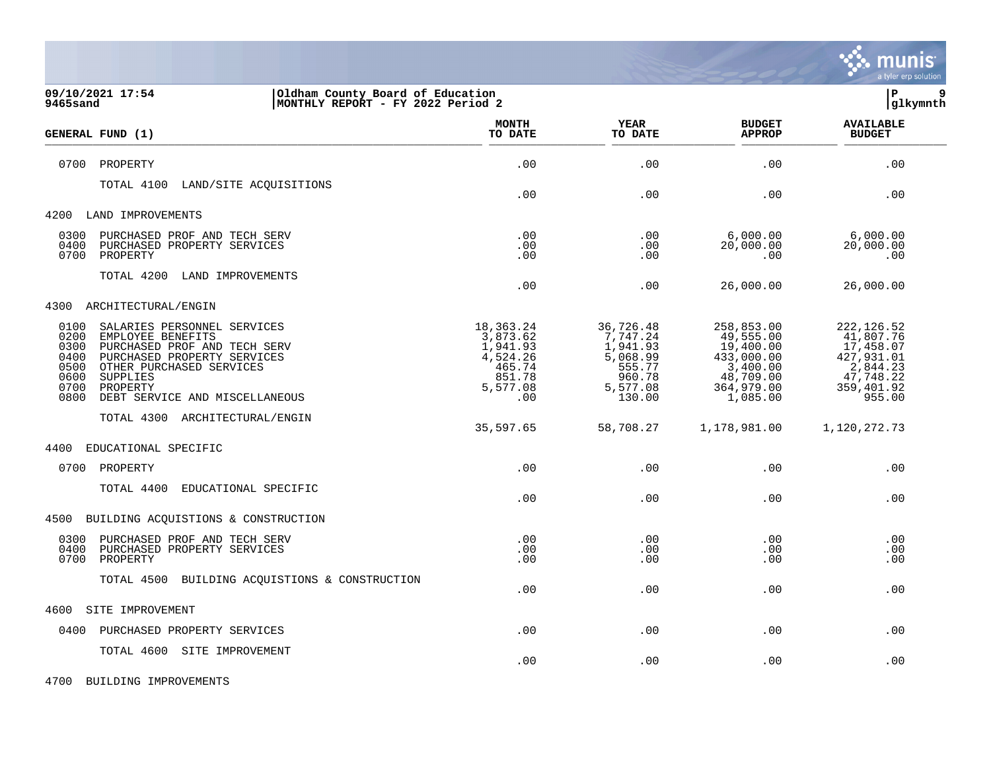

| 09/10/2021 17:54<br>Oldham County Board of Education<br>9465sand<br>MONTHLY REPORT - FY 2022 Period 2                                                                                                                                                                        |                                                                                      |                                                                                         |                                                                                                       | lР<br>9<br> glkymnth                                                                                 |
|------------------------------------------------------------------------------------------------------------------------------------------------------------------------------------------------------------------------------------------------------------------------------|--------------------------------------------------------------------------------------|-----------------------------------------------------------------------------------------|-------------------------------------------------------------------------------------------------------|------------------------------------------------------------------------------------------------------|
| GENERAL FUND (1)                                                                                                                                                                                                                                                             | MONTH<br>TO DATE                                                                     | YEAR<br>TO DATE                                                                         | <b>BUDGET</b><br><b>APPROP</b>                                                                        | <b>AVAILABLE</b><br><b>BUDGET</b>                                                                    |
| 0700<br>PROPERTY                                                                                                                                                                                                                                                             | .00                                                                                  | .00                                                                                     | .00                                                                                                   | .00                                                                                                  |
| TOTAL 4100<br>LAND/SITE ACQUISITIONS                                                                                                                                                                                                                                         | .00                                                                                  | .00                                                                                     | .00                                                                                                   | .00                                                                                                  |
| 4200<br>LAND IMPROVEMENTS                                                                                                                                                                                                                                                    |                                                                                      |                                                                                         |                                                                                                       |                                                                                                      |
| 0300<br>PURCHASED PROF AND TECH SERV<br>0400<br>PURCHASED PROPERTY SERVICES<br>0700<br>PROPERTY                                                                                                                                                                              | .00<br>.00<br>.00                                                                    | .00<br>.00<br>.00                                                                       | 6,000.00<br>20,000.00<br>.00                                                                          | 6,000.00<br>20,000.00<br>.00                                                                         |
| TOTAL 4200<br>LAND IMPROVEMENTS                                                                                                                                                                                                                                              | .00                                                                                  | .00                                                                                     | 26,000.00                                                                                             | 26,000.00                                                                                            |
| 4300<br>ARCHITECTURAL/ENGIN                                                                                                                                                                                                                                                  |                                                                                      |                                                                                         |                                                                                                       |                                                                                                      |
| 0100<br>SALARIES PERSONNEL SERVICES<br>0200<br>EMPLOYEE BENEFITS<br>0300<br>PURCHASED PROF AND TECH SERV<br>0400<br>PURCHASED PROPERTY SERVICES<br>0500<br>OTHER PURCHASED SERVICES<br>0600<br><b>SUPPLIES</b><br>0700<br>PROPERTY<br>0800<br>DEBT SERVICE AND MISCELLANEOUS | 18,363.24<br>3,873.62<br>1,941.93<br>4,524.26<br>465.74<br>851.78<br>5,577.08<br>.00 | 36,726.48<br>7,747.24<br>1,941.93<br>5,068.99<br>555.77<br>960.78<br>5,577.08<br>130.00 | 258,853.00<br>49,555.00<br>19,400.00<br>433,000.00<br>3,400.00<br>48,709.00<br>364,979.00<br>1,085.00 | 222, 126.52<br>41,807.76<br>17,458.07<br>427,931.01<br>2,844.23<br>47,748.22<br>359,401.92<br>955.00 |
| TOTAL 4300 ARCHITECTURAL/ENGIN                                                                                                                                                                                                                                               | 35,597.65                                                                            | 58,708.27                                                                               | 1,178,981.00                                                                                          | 1,120,272.73                                                                                         |
| 4400<br>EDUCATIONAL SPECIFIC                                                                                                                                                                                                                                                 |                                                                                      |                                                                                         |                                                                                                       |                                                                                                      |
| 0700<br>PROPERTY                                                                                                                                                                                                                                                             | .00                                                                                  | .00                                                                                     | .00                                                                                                   | .00                                                                                                  |
| TOTAL 4400<br>EDUCATIONAL SPECIFIC                                                                                                                                                                                                                                           | .00                                                                                  | .00                                                                                     | .00                                                                                                   | .00                                                                                                  |
| 4500<br>BUILDING ACQUISTIONS & CONSTRUCTION                                                                                                                                                                                                                                  |                                                                                      |                                                                                         |                                                                                                       |                                                                                                      |
| 0300<br>PURCHASED PROF AND TECH SERV<br>0400<br>PURCHASED PROPERTY SERVICES<br>0700<br>PROPERTY                                                                                                                                                                              | .00<br>.00<br>.00                                                                    | .00<br>.00<br>.00                                                                       | .00<br>.00<br>.00                                                                                     | .00<br>.00<br>.00                                                                                    |
| TOTAL 4500<br>BUILDING ACQUISTIONS & CONSTRUCTION                                                                                                                                                                                                                            | .00.                                                                                 | .00                                                                                     | .00.                                                                                                  | .00                                                                                                  |
| 4600<br>SITE IMPROVEMENT                                                                                                                                                                                                                                                     |                                                                                      |                                                                                         |                                                                                                       |                                                                                                      |
| 0400<br>PURCHASED PROPERTY SERVICES                                                                                                                                                                                                                                          | .00                                                                                  | .00                                                                                     | .00                                                                                                   | .00                                                                                                  |
| TOTAL 4600<br>SITE IMPROVEMENT                                                                                                                                                                                                                                               | .00                                                                                  | .00                                                                                     | .00                                                                                                   | .00                                                                                                  |

4700 BUILDING IMPROVEMENTS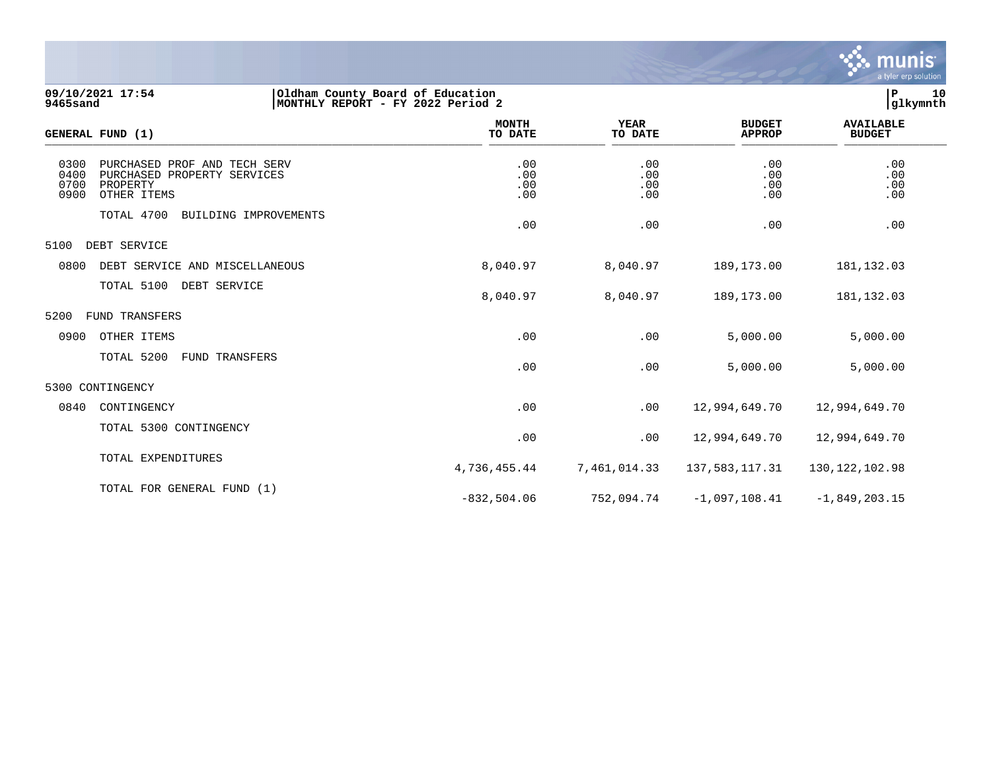

**09/10/2021 17:54 |Oldham County Board of Education |P 10 9465sand |MONTHLY REPORT - FY 2022 Period 2 |glkymnth**

| l P<br>glkymn |
|---------------|

|                              | GENERAL FUND (1)                                                                       | <b>MONTH</b><br>TO DATE  | <b>YEAR</b><br>TO DATE   | <b>BUDGET</b><br><b>APPROP</b> | <b>AVAILABLE</b><br><b>BUDGET</b> |  |
|------------------------------|----------------------------------------------------------------------------------------|--------------------------|--------------------------|--------------------------------|-----------------------------------|--|
| 0300<br>0400<br>0700<br>0900 | PURCHASED PROF AND TECH SERV<br>PURCHASED PROPERTY SERVICES<br>PROPERTY<br>OTHER ITEMS | .00<br>.00<br>.00<br>.00 | .00<br>.00<br>.00<br>.00 | .00<br>.00<br>.00<br>.00       | .00<br>.00<br>.00<br>.00          |  |
|                              | TOTAL 4700<br>BUILDING IMPROVEMENTS                                                    | .00                      | .00                      | .00                            | .00                               |  |
| 5100                         | DEBT SERVICE                                                                           |                          |                          |                                |                                   |  |
| 0800                         | DEBT SERVICE AND MISCELLANEOUS                                                         | 8,040.97                 | 8,040.97                 | 189, 173.00                    | 181, 132.03                       |  |
|                              | TOTAL 5100<br>DEBT SERVICE                                                             | 8,040.97                 | 8,040.97                 | 189,173.00                     | 181, 132.03                       |  |
| 5200                         | FUND TRANSFERS                                                                         |                          |                          |                                |                                   |  |
| 0900                         | OTHER ITEMS                                                                            | .00                      | .00                      | 5,000.00                       | 5,000.00                          |  |
|                              | TOTAL 5200<br>FUND TRANSFERS                                                           | .00                      | .00                      | 5,000.00                       | 5,000.00                          |  |
|                              | 5300 CONTINGENCY                                                                       |                          |                          |                                |                                   |  |
| 0840                         | CONTINGENCY                                                                            | .00                      | .00                      | 12,994,649.70                  | 12,994,649.70                     |  |
|                              | TOTAL 5300 CONTINGENCY                                                                 | .00                      | .00                      | 12,994,649.70                  | 12,994,649.70                     |  |
|                              | TOTAL EXPENDITURES                                                                     | 4,736,455.44             | 7,461,014.33             | 137,583,117.31                 | 130, 122, 102.98                  |  |
|                              | TOTAL FOR GENERAL FUND (1)                                                             | $-832, 504.06$           | 752,094.74               | $-1,097,108.41$                | $-1,849,203.15$                   |  |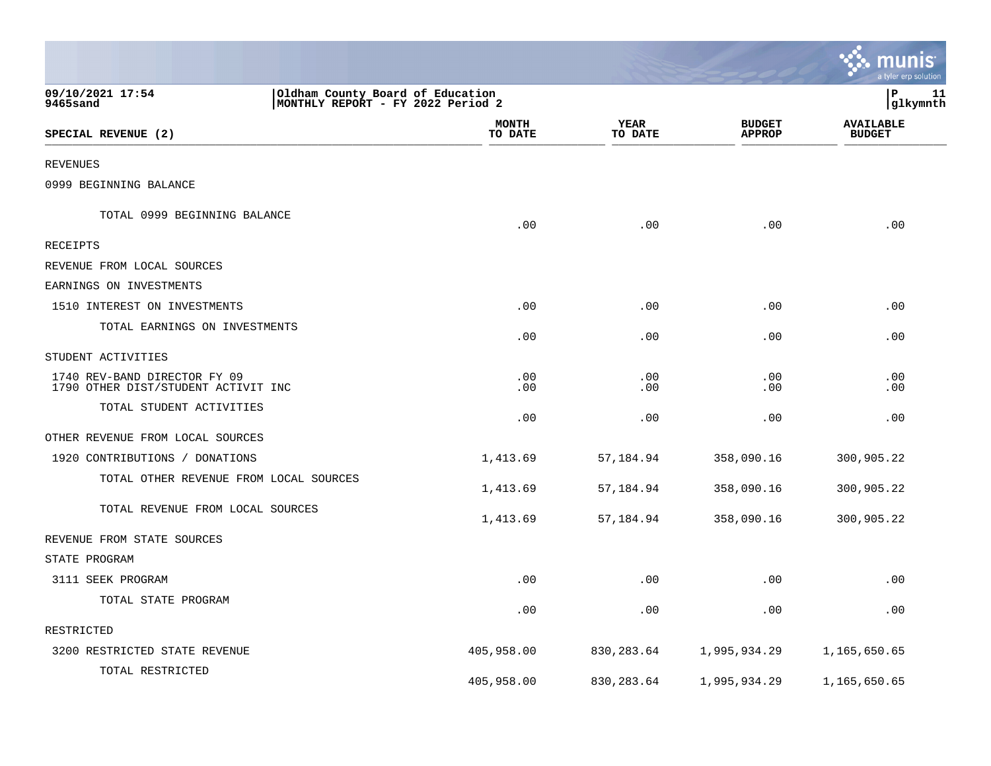|                                                                     |                                   |                        |                                | <u>ः munis</u><br>a tyler erp solution |
|---------------------------------------------------------------------|-----------------------------------|------------------------|--------------------------------|----------------------------------------|
| 09/10/2021 17:54<br>Oldham County Board of Education<br>9465sand    | MONTHLY REPORT - FY 2022 Period 2 |                        |                                | lР<br>11<br> glkymnth                  |
| SPECIAL REVENUE (2)                                                 | <b>MONTH</b><br>TO DATE           | <b>YEAR</b><br>TO DATE | <b>BUDGET</b><br><b>APPROP</b> | <b>AVAILABLE</b><br><b>BUDGET</b>      |
| <b>REVENUES</b>                                                     |                                   |                        |                                |                                        |
| 0999 BEGINNING BALANCE                                              |                                   |                        |                                |                                        |
| TOTAL 0999 BEGINNING BALANCE                                        | .00                               | .00                    | .00                            | .00                                    |
| <b>RECEIPTS</b>                                                     |                                   |                        |                                |                                        |
| REVENUE FROM LOCAL SOURCES                                          |                                   |                        |                                |                                        |
| EARNINGS ON INVESTMENTS                                             |                                   |                        |                                |                                        |
| 1510 INTEREST ON INVESTMENTS                                        | .00                               | .00                    | .00                            | .00                                    |
| TOTAL EARNINGS ON INVESTMENTS                                       | .00                               | .00                    | .00                            | .00                                    |
| STUDENT ACTIVITIES                                                  |                                   |                        |                                |                                        |
| 1740 REV-BAND DIRECTOR FY 09<br>1790 OTHER DIST/STUDENT ACTIVIT INC | .00<br>.00                        | .00<br>.00             | .00<br>.00                     | .00<br>.00                             |
| TOTAL STUDENT ACTIVITIES                                            | .00                               | .00                    | .00                            | .00                                    |
| OTHER REVENUE FROM LOCAL SOURCES                                    |                                   |                        |                                |                                        |
| 1920 CONTRIBUTIONS / DONATIONS                                      | 1,413.69                          | 57,184.94              | 358,090.16                     | 300,905.22                             |
| TOTAL OTHER REVENUE FROM LOCAL SOURCES                              | 1,413.69                          | 57,184.94              | 358,090.16                     | 300,905.22                             |
| TOTAL REVENUE FROM LOCAL SOURCES                                    | 1,413.69                          | 57,184.94              | 358,090.16                     | 300,905.22                             |
| REVENUE FROM STATE SOURCES                                          |                                   |                        |                                |                                        |
| STATE PROGRAM                                                       |                                   |                        |                                |                                        |
| 3111 SEEK PROGRAM                                                   | .00                               | .00                    | .00                            | .00                                    |
| TOTAL STATE PROGRAM                                                 | .00                               | .00                    | .00                            | .00                                    |
| RESTRICTED                                                          |                                   |                        |                                |                                        |
| 3200 RESTRICTED STATE REVENUE                                       | 405,958.00                        | 830, 283.64            | 1,995,934.29                   | 1,165,650.65                           |
| TOTAL RESTRICTED                                                    | 405,958.00                        | 830, 283.64            | 1,995,934.29                   | 1,165,650.65                           |

the control of the state of the control of the control of the control of the control of the control of the control of the control of the control of the control of the control of the control of the control of the control of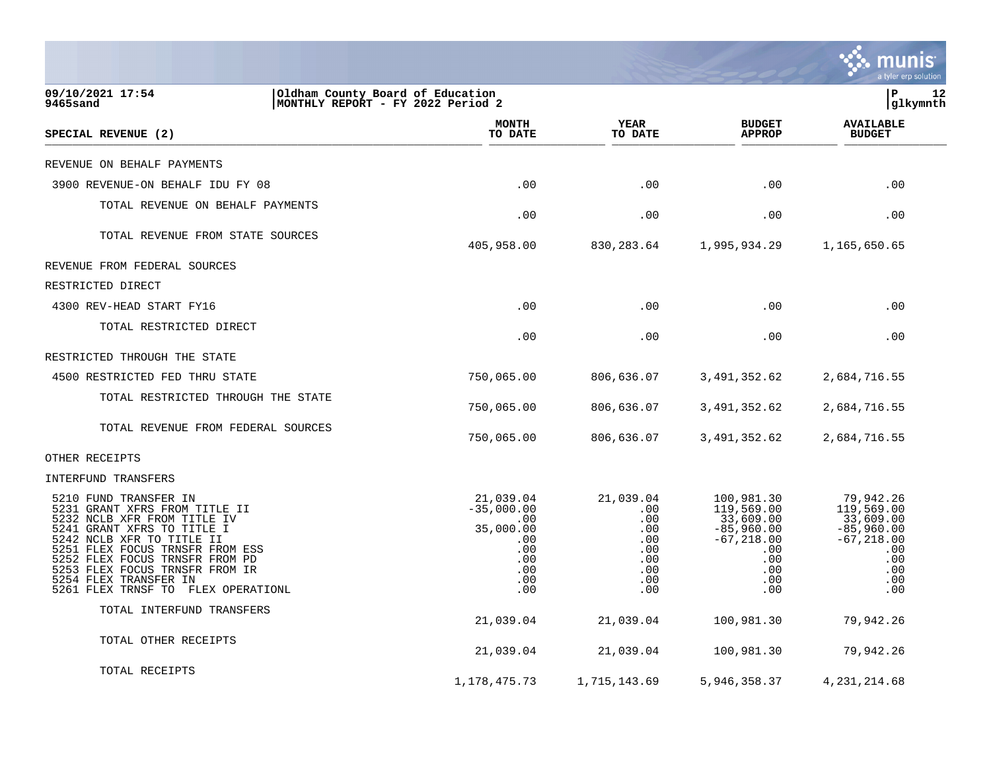|                                                                                                                                                                                                                                                                                                                        |                                                                                         |                                                                          |                                                                                                           | a tyler erp solution                                                                                     |
|------------------------------------------------------------------------------------------------------------------------------------------------------------------------------------------------------------------------------------------------------------------------------------------------------------------------|-----------------------------------------------------------------------------------------|--------------------------------------------------------------------------|-----------------------------------------------------------------------------------------------------------|----------------------------------------------------------------------------------------------------------|
| 09/10/2021 17:54<br>Oldham County Board of Education<br>MONTHLY REPORT - FY 2022 Period 2<br>9465sand                                                                                                                                                                                                                  |                                                                                         |                                                                          |                                                                                                           | lР<br>12<br> glkymnth                                                                                    |
| SPECIAL REVENUE (2)                                                                                                                                                                                                                                                                                                    | <b>MONTH</b><br>TO DATE                                                                 | YEAR<br>TO DATE                                                          | <b>BUDGET</b><br><b>APPROP</b>                                                                            | <b>AVAILABLE</b><br><b>BUDGET</b>                                                                        |
| REVENUE ON BEHALF PAYMENTS                                                                                                                                                                                                                                                                                             |                                                                                         |                                                                          |                                                                                                           |                                                                                                          |
| 3900 REVENUE-ON BEHALF IDU FY 08                                                                                                                                                                                                                                                                                       | .00                                                                                     | .00                                                                      | .00                                                                                                       | .00                                                                                                      |
| TOTAL REVENUE ON BEHALF PAYMENTS                                                                                                                                                                                                                                                                                       | .00                                                                                     | .00                                                                      | .00                                                                                                       | .00                                                                                                      |
| TOTAL REVENUE FROM STATE SOURCES                                                                                                                                                                                                                                                                                       | 405,958.00                                                                              | 830, 283.64                                                              | 1,995,934.29                                                                                              | 1,165,650.65                                                                                             |
| REVENUE FROM FEDERAL SOURCES                                                                                                                                                                                                                                                                                           |                                                                                         |                                                                          |                                                                                                           |                                                                                                          |
| RESTRICTED DIRECT                                                                                                                                                                                                                                                                                                      |                                                                                         |                                                                          |                                                                                                           |                                                                                                          |
| 4300 REV-HEAD START FY16                                                                                                                                                                                                                                                                                               | .00                                                                                     | .00                                                                      | .00                                                                                                       | .00                                                                                                      |
| TOTAL RESTRICTED DIRECT                                                                                                                                                                                                                                                                                                | .00                                                                                     | .00                                                                      | .00                                                                                                       | .00                                                                                                      |
| RESTRICTED THROUGH THE STATE                                                                                                                                                                                                                                                                                           |                                                                                         |                                                                          |                                                                                                           |                                                                                                          |
| 4500 RESTRICTED FED THRU STATE                                                                                                                                                                                                                                                                                         | 750,065.00                                                                              | 806,636.07                                                               | 3,491,352.62                                                                                              | 2,684,716.55                                                                                             |
| TOTAL RESTRICTED THROUGH THE STATE                                                                                                                                                                                                                                                                                     | 750,065.00                                                                              | 806,636.07                                                               | 3,491,352.62                                                                                              | 2,684,716.55                                                                                             |
| TOTAL REVENUE FROM FEDERAL SOURCES                                                                                                                                                                                                                                                                                     | 750,065.00                                                                              | 806,636.07                                                               | 3,491,352.62                                                                                              | 2,684,716.55                                                                                             |
| OTHER RECEIPTS                                                                                                                                                                                                                                                                                                         |                                                                                         |                                                                          |                                                                                                           |                                                                                                          |
| INTERFUND TRANSFERS                                                                                                                                                                                                                                                                                                    |                                                                                         |                                                                          |                                                                                                           |                                                                                                          |
| 5210 FUND TRANSFER IN<br>5231 GRANT XFRS FROM TITLE II<br>5232 NCLB XFR FROM TITLE IV<br>5241 GRANT XFRS TO TITLE I<br>5242 NCLB XFR TO TITLE II<br>5251 FLEX FOCUS TRNSFR FROM ESS<br>5252 FLEX FOCUS TRNSFR FROM PD<br>5253 FLEX FOCUS TRNSFR FROM IR<br>5254 FLEX TRANSFER IN<br>5261 FLEX TRNSF TO FLEX OPERATIONL | 21,039.04<br>$-35,000.00$<br>.00<br>35,000.00<br>.00<br>.00<br>.00<br>.00<br>.00<br>.00 | 21,039.04<br>.00<br>.00<br>.00<br>.00<br>.00<br>.00<br>.00<br>.00<br>.00 | 100,981.30<br>119,569.00<br>33,609.00<br>$-85,960.00$<br>$-67, 218.00$<br>.00<br>.00<br>.00<br>.00<br>.00 | 79,942.26<br>119,569.00<br>33,609.00<br>$-85,960.00$<br>$-67, 218.00$<br>.00<br>.00<br>.00<br>.00<br>.00 |
| TOTAL INTERFUND TRANSFERS                                                                                                                                                                                                                                                                                              | 21,039.04                                                                               | 21,039.04                                                                | 100,981.30                                                                                                | 79,942.26                                                                                                |
| TOTAL OTHER RECEIPTS                                                                                                                                                                                                                                                                                                   | 21,039.04                                                                               | 21,039.04                                                                | 100,981.30                                                                                                | 79,942.26                                                                                                |
| TOTAL RECEIPTS                                                                                                                                                                                                                                                                                                         | 1, 178, 475. 73                                                                         | 1,715,143.69                                                             | 5,946,358.37                                                                                              | 4, 231, 214.68                                                                                           |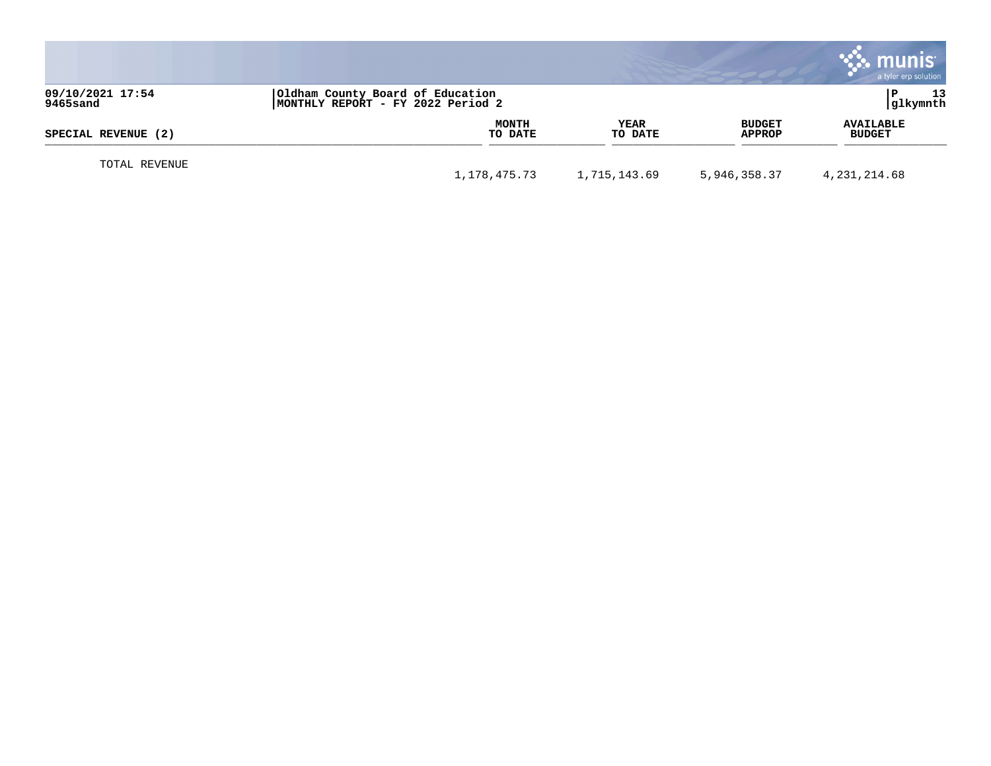|                              |                                                                       |                        |                         | munis<br>a tyler erp solution     |
|------------------------------|-----------------------------------------------------------------------|------------------------|-------------------------|-----------------------------------|
| 09/10/2021 17:54<br>9465sand | Oldham County Board of Education<br>MONTHLY REPORT - FY 2022 Period 2 |                        |                         | 13<br>glkymnth                    |
| SPECIAL REVENUE (2)          | MONTH<br>TO DATE                                                      | <b>YEAR</b><br>TO DATE | <b>BUDGET</b><br>APPROP | <b>AVAILABLE</b><br><b>BUDGET</b> |
| TOTAL REVENUE                | 1,178,475.73                                                          | 1,715,143.69           | 5,946,358.37            | 4,231,214.68                      |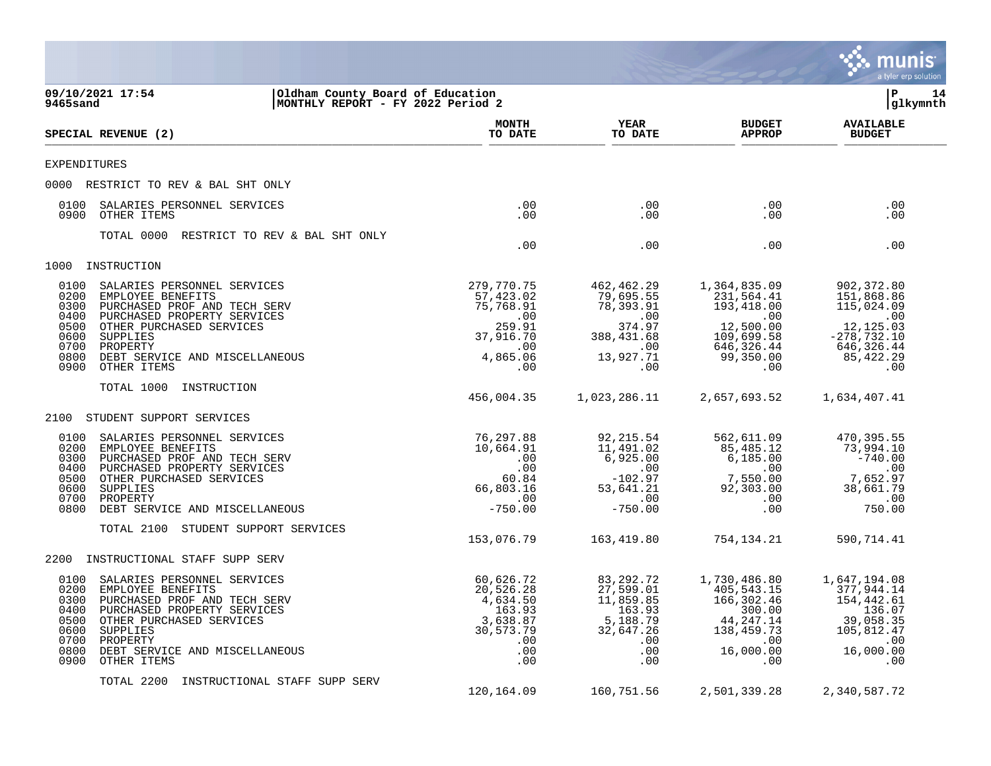|                                                                                                                                                                                                                                                                                              |                                                                                                   |                                                                                                 |                                                                                                               | munis<br>a tyler erp solution                                                                                         |
|----------------------------------------------------------------------------------------------------------------------------------------------------------------------------------------------------------------------------------------------------------------------------------------------|---------------------------------------------------------------------------------------------------|-------------------------------------------------------------------------------------------------|---------------------------------------------------------------------------------------------------------------|-----------------------------------------------------------------------------------------------------------------------|
| 09/10/2021 17:54<br>Oldham County Board of Education<br>9465sand<br>MONTHLY REPORT - FY 2022 Period 2                                                                                                                                                                                        |                                                                                                   |                                                                                                 |                                                                                                               | ΙP<br>14<br> glkymnth                                                                                                 |
| SPECIAL REVENUE (2)                                                                                                                                                                                                                                                                          | <b>MONTH</b><br>TO DATE                                                                           | <b>YEAR</b><br>TO DATE                                                                          | <b>BUDGET</b><br><b>APPROP</b>                                                                                | <b>AVAILABLE</b><br><b>BUDGET</b>                                                                                     |
| EXPENDITURES                                                                                                                                                                                                                                                                                 |                                                                                                   |                                                                                                 |                                                                                                               |                                                                                                                       |
| 0000 RESTRICT TO REV & BAL SHT ONLY                                                                                                                                                                                                                                                          |                                                                                                   |                                                                                                 |                                                                                                               |                                                                                                                       |
| SALARIES PERSONNEL SERVICES<br>0100<br>0900<br>OTHER ITEMS                                                                                                                                                                                                                                   | .00<br>.00                                                                                        | $.00 \,$<br>$.00 \,$                                                                            | $.00 \,$<br>$.00 \,$                                                                                          | .00<br>.00                                                                                                            |
| TOTAL 0000<br>RESTRICT TO REV & BAL SHT ONLY                                                                                                                                                                                                                                                 | .00                                                                                               | .00                                                                                             | .00                                                                                                           | .00                                                                                                                   |
| INSTRUCTION<br>1000                                                                                                                                                                                                                                                                          |                                                                                                   |                                                                                                 |                                                                                                               |                                                                                                                       |
| 0100<br>SALARIES PERSONNEL SERVICES<br>0200<br>EMPLOYEE BENEFITS<br>PURCHASED PROF AND TECH SERV<br>0300<br>0400<br>PURCHASED PROPERTY SERVICES<br>0500<br>OTHER PURCHASED SERVICES<br>0600<br>SUPPLIES<br>0700<br>PROPERTY<br>0800<br>DEBT SERVICE AND MISCELLANEOUS<br>0900<br>OTHER ITEMS | 279,770.75<br>57,423.02<br>75,768.91<br>$\ldots$<br>259.91<br>37,916.70<br>.00<br>4,865.06<br>.00 | 462,462.29<br>79,695.55<br>78,393.91<br>.00<br>374.97<br>388, 431.68<br>.00<br>13,927.71<br>.00 | 1,364,835.09<br>231,564.41<br>193,418.00<br>.00<br>12,500.00<br>109,699.58<br>646, 326.44<br>99,350.00<br>.00 | 902,372.80<br>151,868.86<br>115,024.09<br>$\sim 00$<br>12,125.03<br>$-278, 732.10$<br>646,326.44<br>85, 422.29<br>.00 |
| TOTAL 1000<br>INSTRUCTION                                                                                                                                                                                                                                                                    | 456,004.35                                                                                        | 1,023,286.11                                                                                    | 2,657,693.52                                                                                                  | 1,634,407.41                                                                                                          |
| STUDENT SUPPORT SERVICES<br>2100                                                                                                                                                                                                                                                             |                                                                                                   |                                                                                                 |                                                                                                               |                                                                                                                       |
| 0100<br>SALARIES PERSONNEL SERVICES<br>0200<br>EMPLOYEE BENEFITS<br>0300<br>PURCHASED PROF AND TECH SERV<br>0400<br>PURCHASED PROPERTY SERVICES<br>0500<br>OTHER PURCHASED SERVICES<br>0600<br>SUPPLIES<br>0700<br>PROPERTY<br>0800<br>DEBT SERVICE AND MISCELLANEOUS                        | 76,297.88<br>10,664.91<br>.00<br>.00<br>60.84<br>66,803.16<br>.00<br>$-750.00$                    | 92,215.54<br>11,491.02<br>6,925.00<br>.00<br>$-102.97$<br>53,641.21<br>.00<br>$-750.00$         | 562,611.09<br>85,485.12<br>6,185.00<br>$.00 \,$<br>7,550.00<br>92,303.00<br>$.00 \,$<br>$.00 \,$              | 470,395.55<br>73,994.10<br>$-740.00$<br>.00<br>7,652.97<br>38,661.79<br>.00<br>750.00                                 |
| STUDENT SUPPORT SERVICES<br>TOTAL 2100                                                                                                                                                                                                                                                       | 153,076.79                                                                                        | 163,419.80                                                                                      | 754,134.21                                                                                                    | 590,714.41                                                                                                            |
| INSTRUCTIONAL STAFF SUPP SERV<br>2200                                                                                                                                                                                                                                                        |                                                                                                   |                                                                                                 |                                                                                                               |                                                                                                                       |
| 0100<br>SALARIES PERSONNEL SERVICES<br>EMPLOYEE BENEFITS<br>0200<br>0300 PURCHASED PROF AND TECH SERV<br>0400 PURCHASED PROPERTY SERVICES<br>0500<br>OTHER PURCHASED SERVICES<br>0600<br>SUPPLIES<br>0700<br>PROPERTY<br>0800<br>DEBT SERVICE AND MISCELLANEOUS<br>0900<br>OTHER ITEMS       | 60,626.72<br>20,526.28<br>4,634.50<br>163.93<br>3,638.87<br>30,573.79<br>.00<br>.00<br>.00        | 83,292.72<br>27,599.01<br>11,859.85<br>163.93<br>5,188.79<br>32,647.26<br>.00<br>.00<br>.00     | 1,730,486.80<br>405,543.15<br>166,302.46<br>300.00<br>44, 247. 14<br>138,459.73<br>.00<br>16,000.00<br>.00    | 1,647,194.08<br>377,944.14<br>154,442.61<br>136.07<br>39,058.35<br>105,812.47<br>.00<br>16,000.00<br>.00              |
| TOTAL 2200<br>INSTRUCTIONAL STAFF SUPP SERV                                                                                                                                                                                                                                                  | 120,164.09                                                                                        | 160,751.56                                                                                      | 2,501,339.28                                                                                                  | 2,340,587.72                                                                                                          |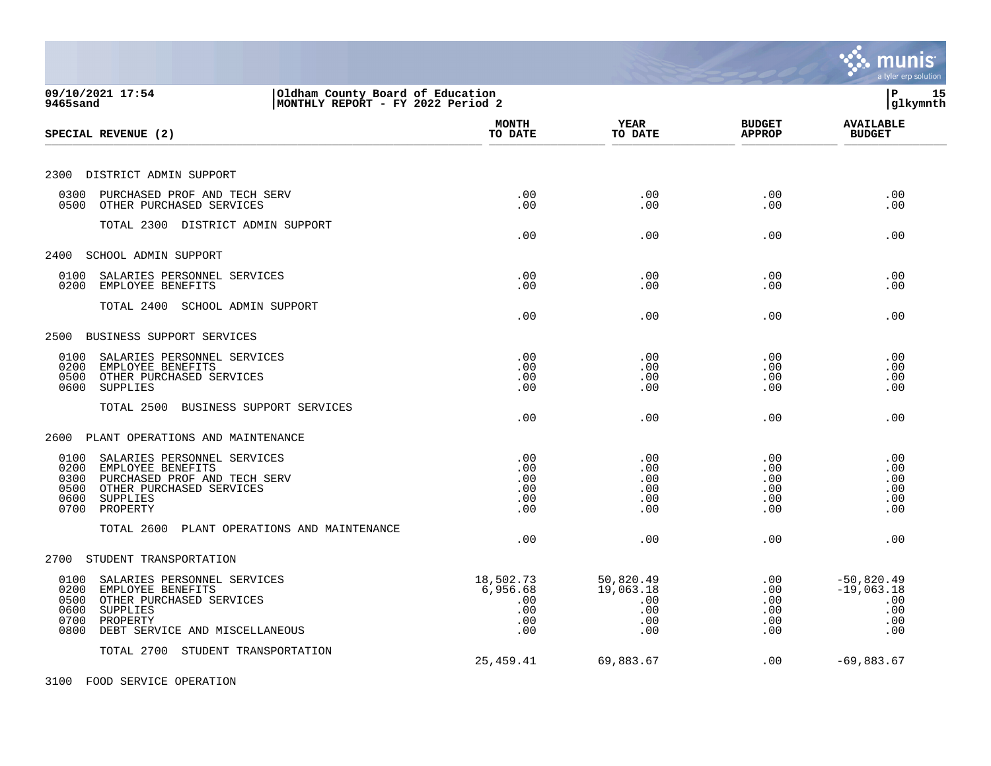|                                                                                                                                                                                        |                                                   |                                                    |                                        | a tyler erp solution                                     |
|----------------------------------------------------------------------------------------------------------------------------------------------------------------------------------------|---------------------------------------------------|----------------------------------------------------|----------------------------------------|----------------------------------------------------------|
| 09/10/2021 17:54<br>Oldham County Board of Education<br>MONTHLY REPORT - FY 2022 Period 2<br>9465sand                                                                                  |                                                   |                                                    |                                        | İP<br>15<br> glkymnth                                    |
| SPECIAL REVENUE (2)                                                                                                                                                                    | <b>MONTH</b><br>TO DATE                           | <b>YEAR</b><br>TO DATE                             | <b>BUDGET</b><br><b>APPROP</b>         | <b>AVAILABLE</b><br><b>BUDGET</b>                        |
| 2300 DISTRICT ADMIN SUPPORT                                                                                                                                                            |                                                   |                                                    |                                        |                                                          |
| 0300<br>PURCHASED PROF AND TECH SERV<br>0500 OTHER PURCHASED SERVICES                                                                                                                  | .00<br>.00                                        | .00<br>.00                                         | .00<br>.00                             | .00<br>.00                                               |
| TOTAL 2300 DISTRICT ADMIN SUPPORT                                                                                                                                                      | .00                                               | .00                                                | .00                                    | .00                                                      |
| 2400<br>SCHOOL ADMIN SUPPORT                                                                                                                                                           |                                                   |                                                    |                                        |                                                          |
| 0100<br>SALARIES PERSONNEL SERVICES<br>0200<br>EMPLOYEE BENEFITS                                                                                                                       | .00<br>.00                                        | .00<br>.00                                         | .00<br>.00                             | .00<br>.00                                               |
| TOTAL 2400 SCHOOL ADMIN SUPPORT                                                                                                                                                        | .00                                               | .00                                                | .00                                    | .00                                                      |
| 2500 BUSINESS SUPPORT SERVICES                                                                                                                                                         |                                                   |                                                    |                                        |                                                          |
| 0100<br>SALARIES PERSONNEL SERVICES<br>0200<br>EMPLOYEE BENEFITS<br>OTHER PURCHASED SERVICES<br>0500<br>0600<br><b>SUPPLIES</b>                                                        | .00<br>.00<br>.00<br>.00                          | .00<br>.00<br>.00<br>.00                           | .00<br>.00<br>.00<br>.00               | .00<br>.00<br>.00<br>.00                                 |
| TOTAL 2500<br>BUSINESS SUPPORT SERVICES                                                                                                                                                | .00                                               | .00                                                | .00                                    | .00                                                      |
| PLANT OPERATIONS AND MAINTENANCE<br>2600                                                                                                                                               |                                                   |                                                    |                                        |                                                          |
| 0100<br>SALARIES PERSONNEL SERVICES<br>0200<br>EMPLOYEE BENEFITS<br>PURCHASED PROF AND TECH SERV<br>0300<br>OTHER PURCHASED SERVICES<br>0500<br>0600<br>SUPPLIES<br>PROPERTY<br>0700   | .00<br>.00<br>.00<br>.00<br>.00<br>.00            | .00<br>.00<br>.00<br>.00<br>.00<br>.00             | .00<br>.00<br>.00<br>.00<br>.00<br>.00 | .00<br>.00<br>.00<br>.00<br>.00<br>.00                   |
| TOTAL 2600<br>PLANT OPERATIONS AND MAINTENANCE                                                                                                                                         | .00                                               | .00                                                | .00                                    | .00                                                      |
| STUDENT TRANSPORTATION<br>2700                                                                                                                                                         |                                                   |                                                    |                                        |                                                          |
| 0100<br>SALARIES PERSONNEL SERVICES<br>0200<br>EMPLOYEE BENEFITS<br>OTHER PURCHASED SERVICES<br>0500<br>0600<br>SUPPLIES<br>0700<br>PROPERTY<br>DEBT SERVICE AND MISCELLANEOUS<br>0800 | 18,502.73<br>6,956.68<br>.00<br>.00<br>.00<br>.00 | 50,820.49<br>19,063.18<br>.00<br>.00<br>.00<br>.00 | .00<br>.00<br>.00<br>.00<br>.00<br>.00 | $-50,820.49$<br>$-19,063.18$<br>.00<br>.00<br>.00<br>.00 |
| TOTAL 2700 STUDENT TRANSPORTATION                                                                                                                                                      | 25, 459.41                                        | 69,883.67                                          | .00                                    | $-69,883.67$                                             |
| 3100 FOOD SERVICE OPERATION                                                                                                                                                            |                                                   |                                                    |                                        |                                                          |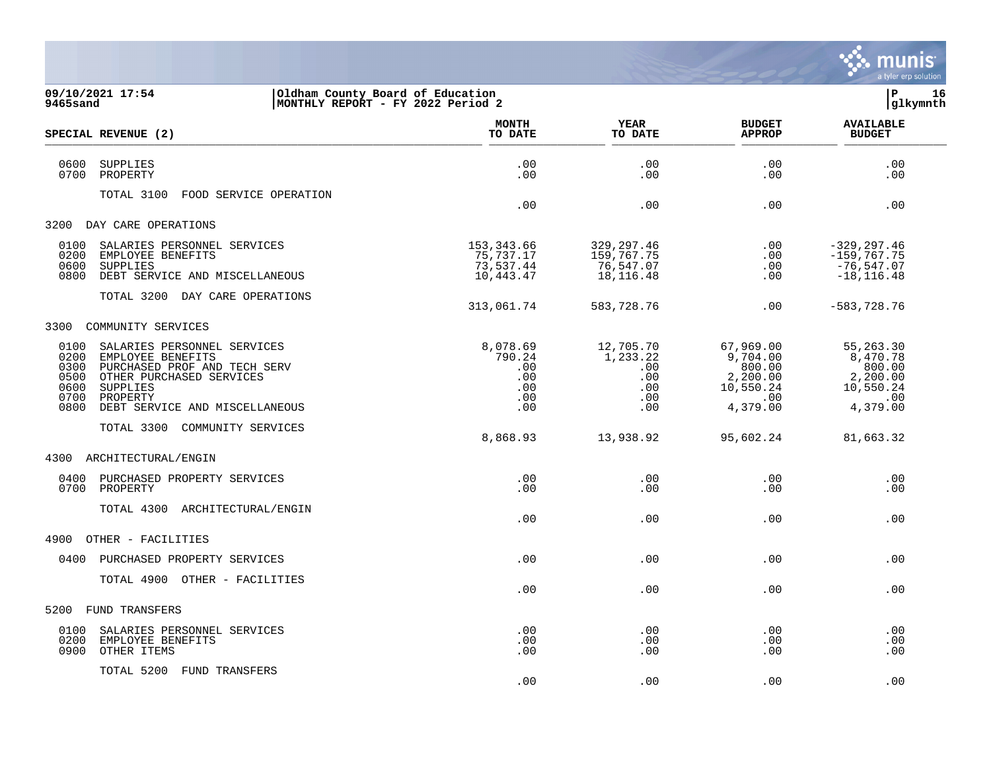

| 9465sand                                             | 09/10/2021 17:54<br>Oldham County Board of Education<br>MONTHLY REPORT - FY 2022 Period 2                                                                              |                                                       |                                                          |                                                                             | 16<br> P<br>glkymnth                                                         |
|------------------------------------------------------|------------------------------------------------------------------------------------------------------------------------------------------------------------------------|-------------------------------------------------------|----------------------------------------------------------|-----------------------------------------------------------------------------|------------------------------------------------------------------------------|
|                                                      | SPECIAL REVENUE (2)                                                                                                                                                    | <b>MONTH</b><br>TO DATE                               | YEAR<br>TO DATE                                          | <b>BUDGET</b><br><b>APPROP</b>                                              | <b>AVAILABLE</b><br><b>BUDGET</b>                                            |
| 0600<br>0700                                         | SUPPLIES<br>PROPERTY                                                                                                                                                   | .00<br>.00                                            | .00<br>.00                                               | .00<br>.00                                                                  | .00<br>.00                                                                   |
|                                                      | TOTAL 3100<br>FOOD SERVICE OPERATION                                                                                                                                   | .00                                                   | .00                                                      | .00                                                                         | .00                                                                          |
| 3200                                                 | DAY CARE OPERATIONS                                                                                                                                                    |                                                       |                                                          |                                                                             |                                                                              |
| 0100<br>0200<br>0600<br>0800                         | SALARIES PERSONNEL SERVICES<br>EMPLOYEE BENEFITS<br><b>SUPPLIES</b><br>DEBT SERVICE AND MISCELLANEOUS<br>TOTAL 3200 DAY CARE OPERATIONS                                | 153,343.66<br>75,737.17<br>73,537.44<br>10,443.47     | 329,297.46<br>159,767.75<br>76,547.07<br>18,116.48       | .00<br>.00<br>.00<br>.00                                                    | $-329, 297.46$<br>$-159,767.75$<br>$-76, 547.07$<br>$-18, 116.48$            |
|                                                      |                                                                                                                                                                        | 313,061.74                                            | 583,728.76                                               | .00                                                                         | $-583,728.76$                                                                |
|                                                      | 3300 COMMUNITY SERVICES                                                                                                                                                |                                                       |                                                          |                                                                             |                                                                              |
| 0100<br>0200<br>0300<br>0500<br>0600<br>0700<br>0800 | SALARIES PERSONNEL SERVICES<br>EMPLOYEE BENEFITS<br>PURCHASED PROF AND TECH SERV<br>OTHER PURCHASED SERVICES<br>SUPPLIES<br>PROPERTY<br>DEBT SERVICE AND MISCELLANEOUS | 8,078.69<br>790.24<br>.00<br>.00<br>.00<br>.00<br>.00 | 12,705.70<br>1,233.22<br>.00<br>.00<br>.00<br>.00<br>.00 | 67,969.00<br>9,704.00<br>800.00<br>2,200.00<br>10,550.24<br>.00<br>4,379.00 | 55, 263.30<br>8,470.78<br>800.00<br>2,200.00<br>10,550.24<br>.00<br>4,379.00 |
|                                                      | TOTAL 3300 COMMUNITY SERVICES                                                                                                                                          |                                                       |                                                          |                                                                             |                                                                              |
|                                                      |                                                                                                                                                                        | 8,868.93                                              | 13,938.92                                                | 95,602.24                                                                   | 81,663.32                                                                    |
|                                                      | 4300 ARCHITECTURAL/ENGIN                                                                                                                                               |                                                       |                                                          |                                                                             |                                                                              |
| 0400                                                 | PURCHASED PROPERTY SERVICES<br>0700 PROPERTY                                                                                                                           | .00<br>.00                                            | .00<br>.00                                               | .00<br>.00                                                                  | .00<br>.00                                                                   |
|                                                      | TOTAL 4300 ARCHITECTURAL/ENGIN                                                                                                                                         | .00                                                   | .00                                                      | .00                                                                         | .00                                                                          |
| 4900                                                 | OTHER - FACILITIES                                                                                                                                                     |                                                       |                                                          |                                                                             |                                                                              |
|                                                      | 0400 PURCHASED PROPERTY SERVICES                                                                                                                                       | .00                                                   | .00                                                      | $.00 \ \rm$                                                                 | .00                                                                          |
|                                                      | TOTAL 4900 OTHER - FACILITIES                                                                                                                                          | .00                                                   | .00                                                      | $.00 \ \rm$                                                                 | .00                                                                          |
| 5200                                                 | FUND TRANSFERS                                                                                                                                                         |                                                       |                                                          |                                                                             |                                                                              |
| 0100<br>0200<br>0900                                 | SALARIES PERSONNEL SERVICES<br>EMPLOYEE BENEFITS<br>OTHER ITEMS                                                                                                        | .00<br>.00<br>.00                                     | .00<br>.00<br>.00                                        | .00<br>.00<br>.00                                                           | .00<br>.00<br>.00                                                            |
|                                                      | TOTAL 5200 FUND TRANSFERS                                                                                                                                              |                                                       |                                                          |                                                                             |                                                                              |

.00 .00 .00 .00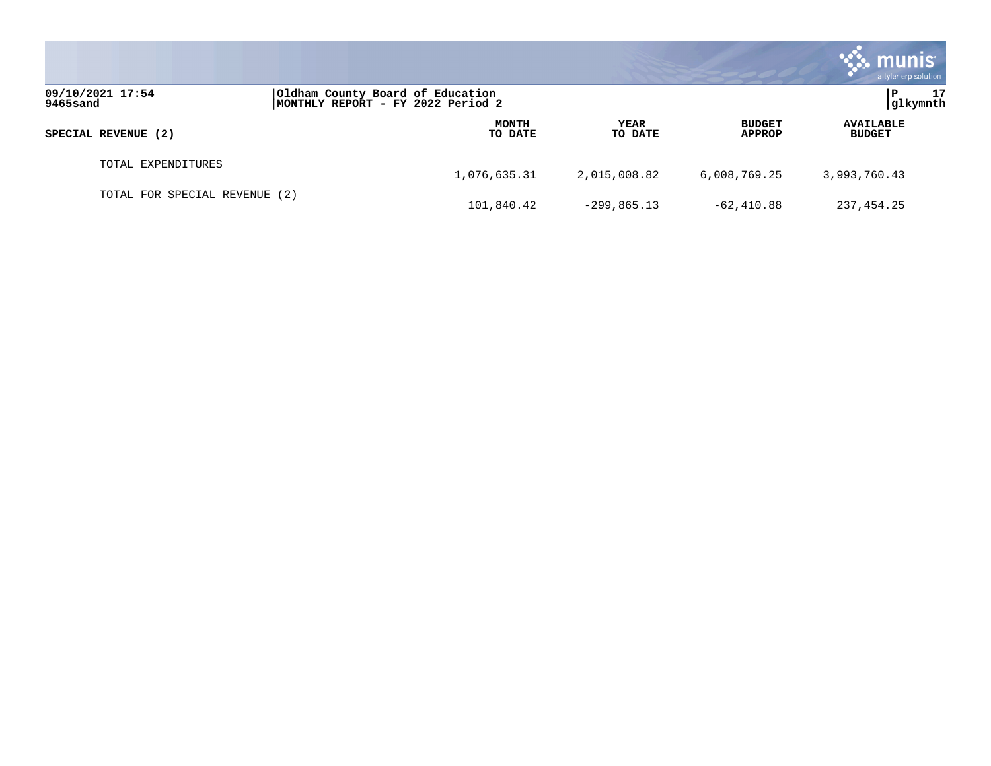|                               |                                                                       |                        |                                | a tyler erp solution              |
|-------------------------------|-----------------------------------------------------------------------|------------------------|--------------------------------|-----------------------------------|
| 09/10/2021 17:54<br>9465sand  | Oldham County Board of Education<br>MONTHLY REPORT - FY 2022 Period 2 |                        |                                | 17<br> glkymnth                   |
| SPECIAL REVENUE (2)           | <b>MONTH</b><br>TO DATE                                               | <b>YEAR</b><br>TO DATE | <b>BUDGET</b><br><b>APPROP</b> | <b>AVAILABLE</b><br><b>BUDGET</b> |
| TOTAL EXPENDITURES            | 1,076,635.31                                                          | 2,015,008.82           | 6,008,769.25                   | 3,993,760.43                      |
| TOTAL FOR SPECIAL REVENUE (2) | 101,840.42                                                            | $-299,865.13$          | $-62,410.88$                   | 237,454.25                        |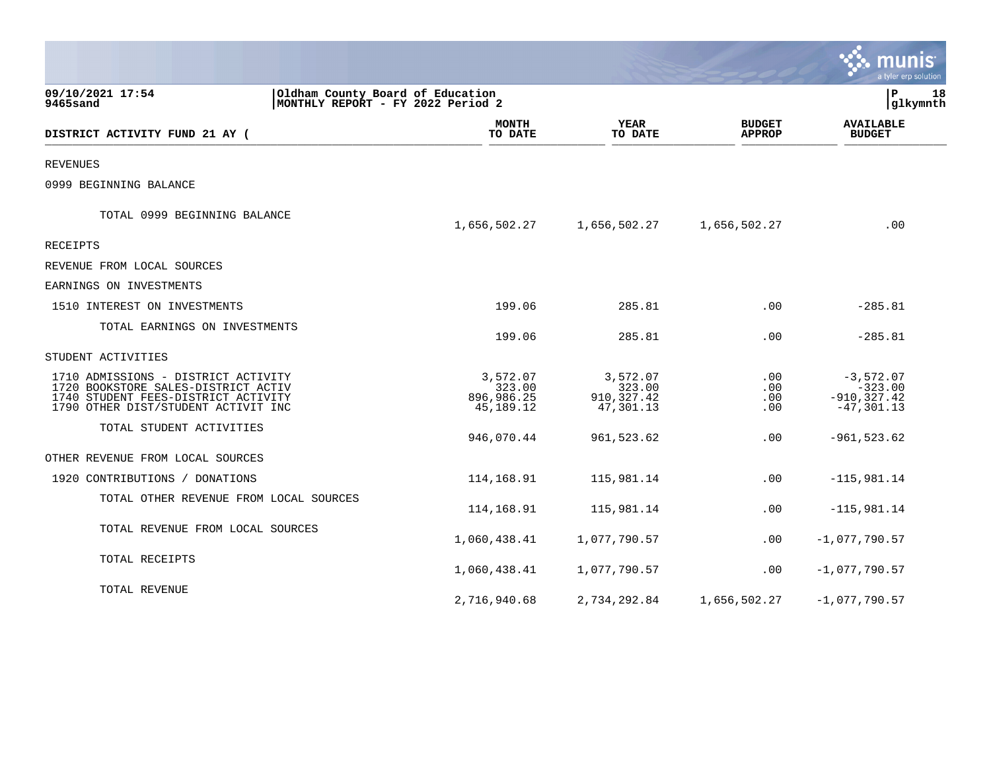|                                                                                                                                                          |                                                                       |                                               |                                       | a tyler erp solution                                        |
|----------------------------------------------------------------------------------------------------------------------------------------------------------|-----------------------------------------------------------------------|-----------------------------------------------|---------------------------------------|-------------------------------------------------------------|
| 09/10/2021 17:54<br>9465sand                                                                                                                             | Oldham County Board of Education<br>MONTHLY REPORT - FY 2022 Period 2 |                                               |                                       | l P<br>18<br> glkymnth                                      |
| DISTRICT ACTIVITY FUND 21 AY (                                                                                                                           | <b>MONTH</b><br>TO DATE                                               | YEAR<br>TO DATE                               | <b>BUDGET</b><br><b>APPROP</b>        | <b>AVAILABLE</b><br><b>BUDGET</b>                           |
| <b>REVENUES</b>                                                                                                                                          |                                                                       |                                               |                                       |                                                             |
| 0999 BEGINNING BALANCE                                                                                                                                   |                                                                       |                                               |                                       |                                                             |
| TOTAL 0999 BEGINNING BALANCE                                                                                                                             | 1,656,502.27                                                          | 1,656,502.27                                  | 1,656,502.27                          | .00                                                         |
| RECEIPTS                                                                                                                                                 |                                                                       |                                               |                                       |                                                             |
| REVENUE FROM LOCAL SOURCES                                                                                                                               |                                                                       |                                               |                                       |                                                             |
| EARNINGS ON INVESTMENTS                                                                                                                                  |                                                                       |                                               |                                       |                                                             |
| 1510 INTEREST ON INVESTMENTS                                                                                                                             | 199.06                                                                | 285.81                                        | .00                                   | $-285.81$                                                   |
| TOTAL EARNINGS ON INVESTMENTS                                                                                                                            | 199.06                                                                | 285.81                                        | .00                                   | $-285.81$                                                   |
| STUDENT ACTIVITIES                                                                                                                                       |                                                                       |                                               |                                       |                                                             |
| 1710 ADMISSIONS - DISTRICT ACTIVITY<br>1720 BOOKSTORE SALES-DISTRICT ACTIV<br>1740 STUDENT FEES-DISTRICT ACTIVITY<br>1790 OTHER DIST/STUDENT ACTIVIT INC | 3,572.07<br>323.00<br>896,986.25<br>45,189.12                         | 3,572.07<br>323.00<br>910,327.42<br>47,301.13 | $.00 \ \rm$<br>.00<br>$.00 \,$<br>.00 | $-3,572.07$<br>$-323.00$<br>$-910, 327.42$<br>$-47, 301.13$ |
| TOTAL STUDENT ACTIVITIES                                                                                                                                 | 946,070.44                                                            | 961,523.62                                    | .00                                   | $-961, 523.62$                                              |
| OTHER REVENUE FROM LOCAL SOURCES                                                                                                                         |                                                                       |                                               |                                       |                                                             |
| 1920 CONTRIBUTIONS / DONATIONS                                                                                                                           | 114,168.91                                                            | 115,981.14                                    | .00                                   | $-115,981.14$                                               |
| TOTAL OTHER REVENUE FROM LOCAL SOURCES                                                                                                                   | 114,168.91                                                            | 115,981.14                                    | .00                                   | $-115,981.14$                                               |
| TOTAL REVENUE FROM LOCAL SOURCES                                                                                                                         | 1,060,438.41                                                          | 1,077,790.57                                  | $.00 \,$                              | $-1,077,790.57$                                             |
| TOTAL RECEIPTS                                                                                                                                           | 1,060,438.41                                                          | 1,077,790.57                                  | .00                                   | $-1,077,790.57$                                             |
| TOTAL REVENUE                                                                                                                                            | 2,716,940.68                                                          | 2,734,292.84                                  | 1,656,502.27                          | $-1,077,790.57$                                             |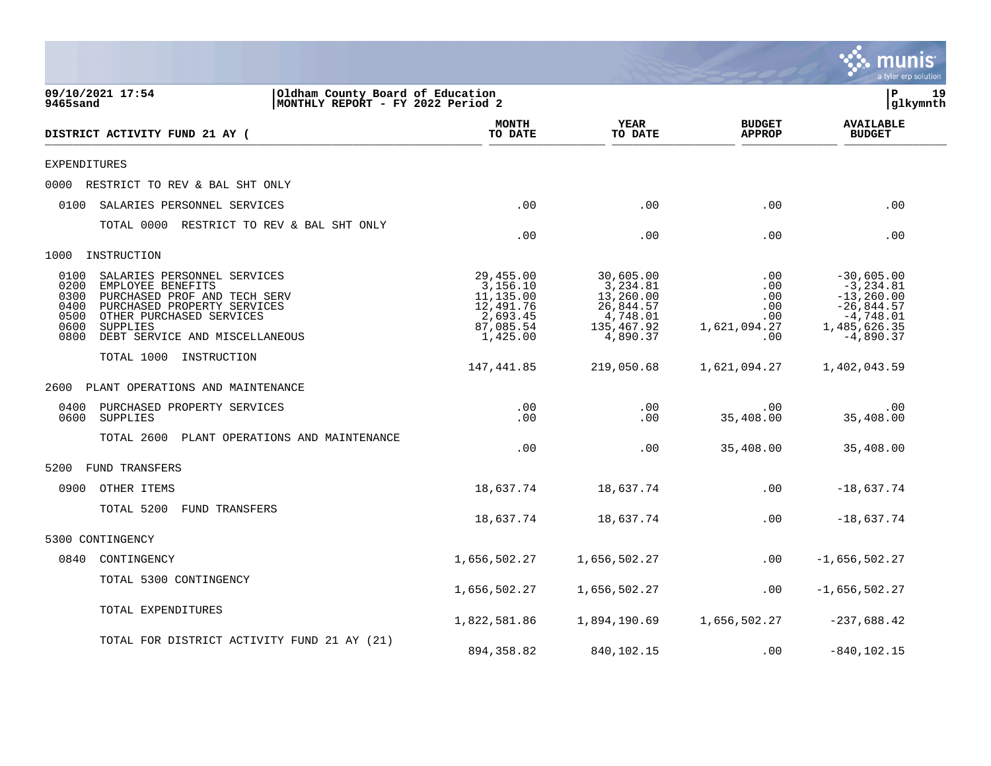|                                                                                                                                                                                                                                                   |                                                                                      |                                                                                       |                                                        | munis<br>a tyler erp solution                                                                               |
|---------------------------------------------------------------------------------------------------------------------------------------------------------------------------------------------------------------------------------------------------|--------------------------------------------------------------------------------------|---------------------------------------------------------------------------------------|--------------------------------------------------------|-------------------------------------------------------------------------------------------------------------|
| 09/10/2021 17:54<br>9465sand                                                                                                                                                                                                                      | Oldham County Board of Education<br>MONTHLY REPORT - FY 2022 Period 2                |                                                                                       |                                                        | lР<br>19<br>glkymnth                                                                                        |
| DISTRICT ACTIVITY FUND 21 AY (                                                                                                                                                                                                                    | <b>MONTH</b><br>TO DATE                                                              | YEAR<br>TO DATE                                                                       | <b>BUDGET</b><br><b>APPROP</b>                         | <b>AVAILABLE</b><br><b>BUDGET</b>                                                                           |
| EXPENDITURES                                                                                                                                                                                                                                      |                                                                                      |                                                                                       |                                                        |                                                                                                             |
| 0000<br>RESTRICT TO REV & BAL SHT ONLY                                                                                                                                                                                                            |                                                                                      |                                                                                       |                                                        |                                                                                                             |
| 0100<br>SALARIES PERSONNEL SERVICES                                                                                                                                                                                                               | .00                                                                                  | .00                                                                                   | .00                                                    | .00                                                                                                         |
| TOTAL 0000 RESTRICT TO REV & BAL SHT ONLY                                                                                                                                                                                                         | .00                                                                                  | .00                                                                                   | .00                                                    | .00                                                                                                         |
| INSTRUCTION<br>1000                                                                                                                                                                                                                               |                                                                                      |                                                                                       |                                                        |                                                                                                             |
| 0100<br>SALARIES PERSONNEL SERVICES<br>0200<br>EMPLOYEE BENEFITS<br>0300<br>PURCHASED PROF AND TECH SERV<br>0400<br>PURCHASED PROPERTY SERVICES<br>0500<br>OTHER PURCHASED SERVICES<br>0600<br>SUPPLIES<br>0800<br>DEBT SERVICE AND MISCELLANEOUS | 29,455.00<br>3,156.10<br>11,135.00<br>12,491.76<br>2,693.45<br>87,085.54<br>1,425.00 | 30,605.00<br>3,234.81<br>13,260.00<br>26,844.57<br>4,748.01<br>135,467.92<br>4,890.37 | .00<br>.00<br>.00<br>.00<br>.00<br>1,621,094.27<br>.00 | $-30,605.00$<br>$-3, 234.81$<br>$-13, 260.00$<br>$-26,844.57$<br>$-4,748.01$<br>1,485,626.35<br>$-4,890.37$ |
| TOTAL 1000 INSTRUCTION                                                                                                                                                                                                                            | 147,441.85                                                                           | 219,050.68                                                                            | 1,621,094.27                                           | 1,402,043.59                                                                                                |
| PLANT OPERATIONS AND MAINTENANCE<br>2600                                                                                                                                                                                                          |                                                                                      |                                                                                       |                                                        |                                                                                                             |
| 0400<br>PURCHASED PROPERTY SERVICES<br>0600<br>SUPPLIES                                                                                                                                                                                           | .00<br>.00                                                                           | .00<br>.00                                                                            | .00<br>35,408.00                                       | .00<br>35,408.00                                                                                            |
| TOTAL 2600<br>PLANT OPERATIONS AND MAINTENANCE                                                                                                                                                                                                    | .00                                                                                  | .00                                                                                   | 35,408.00                                              | 35,408.00                                                                                                   |
| 5200<br><b>FUND TRANSFERS</b>                                                                                                                                                                                                                     |                                                                                      |                                                                                       |                                                        |                                                                                                             |
| 0900<br>OTHER ITEMS                                                                                                                                                                                                                               | 18,637.74                                                                            | 18,637.74                                                                             | .00                                                    | $-18,637.74$                                                                                                |
| TOTAL 5200<br>FUND TRANSFERS                                                                                                                                                                                                                      | 18,637.74                                                                            | 18,637.74                                                                             | .00                                                    | $-18,637.74$                                                                                                |
| 5300 CONTINGENCY                                                                                                                                                                                                                                  |                                                                                      |                                                                                       |                                                        |                                                                                                             |
| 0840<br>CONTINGENCY                                                                                                                                                                                                                               | 1,656,502.27                                                                         | 1,656,502.27                                                                          | .00                                                    | $-1,656,502.27$                                                                                             |
| TOTAL 5300 CONTINGENCY                                                                                                                                                                                                                            | 1,656,502.27                                                                         | 1,656,502.27                                                                          | .00                                                    | $-1,656,502.27$                                                                                             |
| TOTAL EXPENDITURES                                                                                                                                                                                                                                | 1,822,581.86                                                                         | 1,894,190.69                                                                          | 1,656,502.27                                           | $-237,688.42$                                                                                               |
| TOTAL FOR DISTRICT ACTIVITY FUND 21 AY (21)                                                                                                                                                                                                       | 894, 358.82                                                                          | 840,102.15                                                                            | .00                                                    | $-840, 102.15$                                                                                              |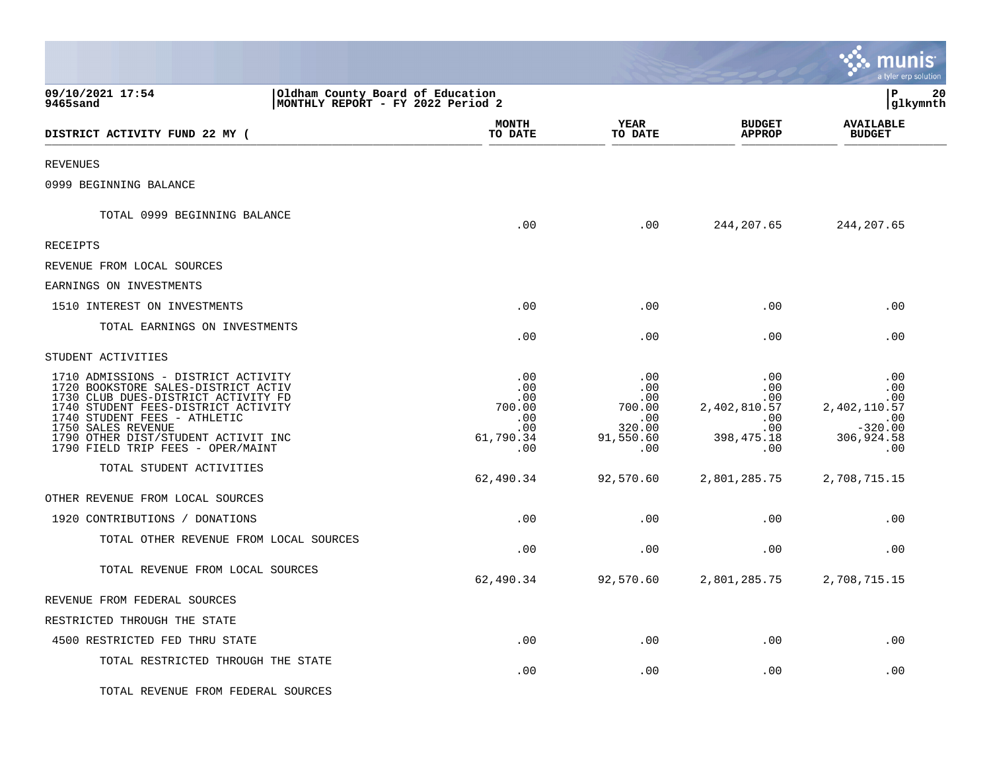|                                                                                                                                                                                                                                                                                            |                                                               |                                                                  |                                                                                                          | <u>munis</u><br>a tyler erp solution                                       |    |
|--------------------------------------------------------------------------------------------------------------------------------------------------------------------------------------------------------------------------------------------------------------------------------------------|---------------------------------------------------------------|------------------------------------------------------------------|----------------------------------------------------------------------------------------------------------|----------------------------------------------------------------------------|----|
| 09/10/2021 17:54<br>Oldham County Board of Education<br>MONTHLY REPORT - FY 2022 Period 2<br>9465sand                                                                                                                                                                                      |                                                               |                                                                  |                                                                                                          | lР<br> glkymnth                                                            | 20 |
| DISTRICT ACTIVITY FUND 22 MY (                                                                                                                                                                                                                                                             | MONTH<br>TO DATE                                              | YEAR<br>TO DATE                                                  | <b>BUDGET</b><br><b>APPROP</b>                                                                           | <b>AVAILABLE</b><br><b>BUDGET</b>                                          |    |
| <b>REVENUES</b>                                                                                                                                                                                                                                                                            |                                                               |                                                                  |                                                                                                          |                                                                            |    |
| 0999 BEGINNING BALANCE                                                                                                                                                                                                                                                                     |                                                               |                                                                  |                                                                                                          |                                                                            |    |
| TOTAL 0999 BEGINNING BALANCE                                                                                                                                                                                                                                                               | .00                                                           | .00                                                              | 244, 207.65                                                                                              | 244, 207.65                                                                |    |
| RECEIPTS                                                                                                                                                                                                                                                                                   |                                                               |                                                                  |                                                                                                          |                                                                            |    |
| REVENUE FROM LOCAL SOURCES                                                                                                                                                                                                                                                                 |                                                               |                                                                  |                                                                                                          |                                                                            |    |
| EARNINGS ON INVESTMENTS                                                                                                                                                                                                                                                                    |                                                               |                                                                  |                                                                                                          |                                                                            |    |
| 1510 INTEREST ON INVESTMENTS                                                                                                                                                                                                                                                               | .00                                                           | .00                                                              | .00                                                                                                      | .00                                                                        |    |
| TOTAL EARNINGS ON INVESTMENTS                                                                                                                                                                                                                                                              | .00                                                           | .00                                                              | .00                                                                                                      | .00                                                                        |    |
| STUDENT ACTIVITIES                                                                                                                                                                                                                                                                         |                                                               |                                                                  |                                                                                                          |                                                                            |    |
| 1710 ADMISSIONS - DISTRICT ACTIVITY<br>1720 BOOKSTORE SALES-DISTRICT ACTIV<br>1730 CLUB DUES-DISTRICT ACTIVITY FD<br>1740 STUDENT FEES-DISTRICT ACTIVITY<br>1740 STUDENT FEES - ATHLETIC<br>1750 SALES REVENUE<br>1790 OTHER DIST/STUDENT ACTIVIT INC<br>1790 FIELD TRIP FEES - OPER/MAINT | .00<br>.00<br>.00<br>700.00<br>.00<br>.00<br>61,790.34<br>.00 | .00<br>.00<br>.00<br>700.00<br>.00<br>320.00<br>91,550.60<br>.00 | .00<br>$.00 \ \rm$<br>$.00 \,$<br>2,402,810.57<br>$.00 \ \rm$<br>$.00 \,$<br>398, 475. 18<br>$.00 \ \rm$ | .00<br>.00<br>.00<br>2,402,110.57<br>.00<br>$-320.00$<br>306,924.58<br>.00 |    |
| TOTAL STUDENT ACTIVITIES                                                                                                                                                                                                                                                                   | 62,490.34                                                     | 92,570.60                                                        | 2,801,285.75                                                                                             | 2,708,715.15                                                               |    |
| OTHER REVENUE FROM LOCAL SOURCES                                                                                                                                                                                                                                                           |                                                               |                                                                  |                                                                                                          |                                                                            |    |
| 1920 CONTRIBUTIONS / DONATIONS                                                                                                                                                                                                                                                             | .00                                                           | .00                                                              | .00                                                                                                      | .00                                                                        |    |
| TOTAL OTHER REVENUE FROM LOCAL SOURCES                                                                                                                                                                                                                                                     | .00                                                           | .00                                                              | .00                                                                                                      | .00                                                                        |    |
| TOTAL REVENUE FROM LOCAL SOURCES                                                                                                                                                                                                                                                           | 62,490.34                                                     | 92,570.60                                                        | 2,801,285.75                                                                                             | 2,708,715.15                                                               |    |
| REVENUE FROM FEDERAL SOURCES                                                                                                                                                                                                                                                               |                                                               |                                                                  |                                                                                                          |                                                                            |    |
| RESTRICTED THROUGH THE STATE                                                                                                                                                                                                                                                               |                                                               |                                                                  |                                                                                                          |                                                                            |    |
| 4500 RESTRICTED FED THRU STATE                                                                                                                                                                                                                                                             | .00                                                           | .00                                                              | .00                                                                                                      | .00                                                                        |    |
| TOTAL RESTRICTED THROUGH THE STATE                                                                                                                                                                                                                                                         | .00                                                           | .00                                                              | .00                                                                                                      | .00                                                                        |    |
| TOTAL REVENUE FROM FEDERAL SOURCES                                                                                                                                                                                                                                                         |                                                               |                                                                  |                                                                                                          |                                                                            |    |

 $\mathcal{L}$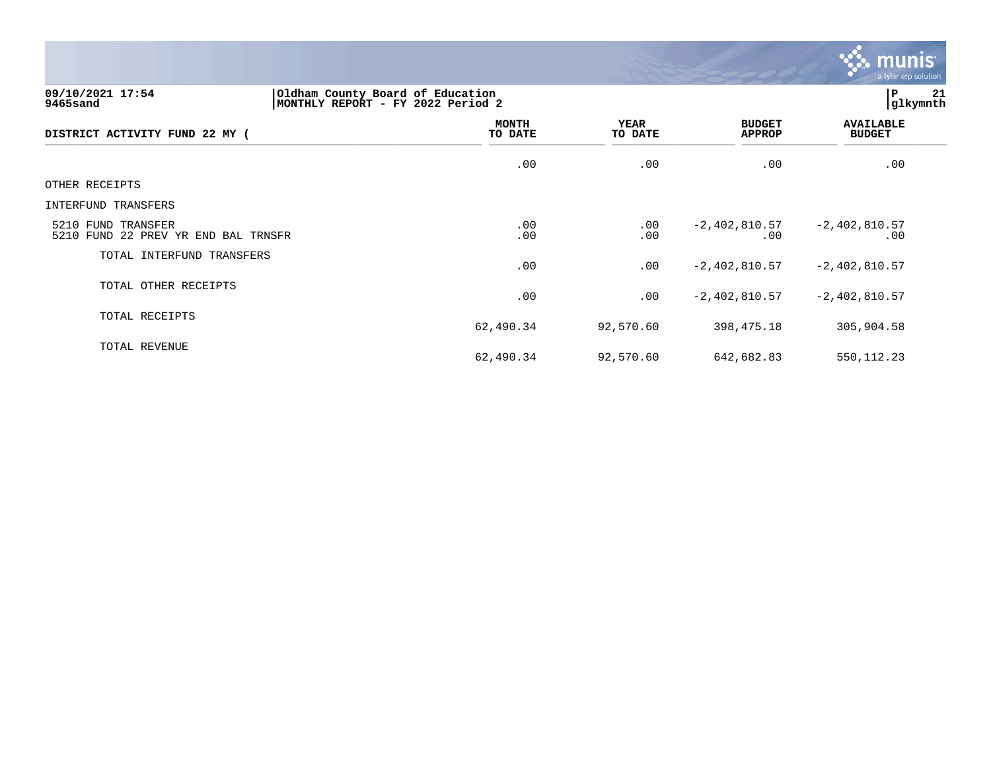

# **09/10/2021 17:54 |Oldham County Board of Education |P 21 9465sand |MONTHLY REPORT - FY 2022 Period 2 |glkymnth**

| DISTRICT ACTIVITY FUND 22 MY (                            | MONTH<br>TO DATE | <b>YEAR</b><br>TO DATE | <b>BUDGET</b><br>APPROP | <b>AVAILABLE</b><br><b>BUDGET</b> |
|-----------------------------------------------------------|------------------|------------------------|-------------------------|-----------------------------------|
|                                                           | .00              | .00                    | .00                     | .00                               |
| OTHER RECEIPTS                                            |                  |                        |                         |                                   |
| INTERFUND TRANSFERS                                       |                  |                        |                         |                                   |
| 5210 FUND TRANSFER<br>5210 FUND 22 PREV YR END BAL TRNSFR | .00<br>.00       | $.00 \,$<br>.00        | $-2,402,810.57$<br>.00  | $-2,402,810.57$<br>.00            |
| TOTAL INTERFUND TRANSFERS                                 | .00              | .00                    | $-2,402,810.57$         | $-2,402,810.57$                   |
| TOTAL OTHER RECEIPTS                                      | .00              | .00                    | $-2,402,810.57$         | $-2,402,810.57$                   |
| TOTAL RECEIPTS                                            | 62,490.34        | 92,570.60              | 398,475.18              | 305,904.58                        |
| TOTAL REVENUE                                             | 62,490.34        | 92,570.60              | 642,682.83              | 550, 112.23                       |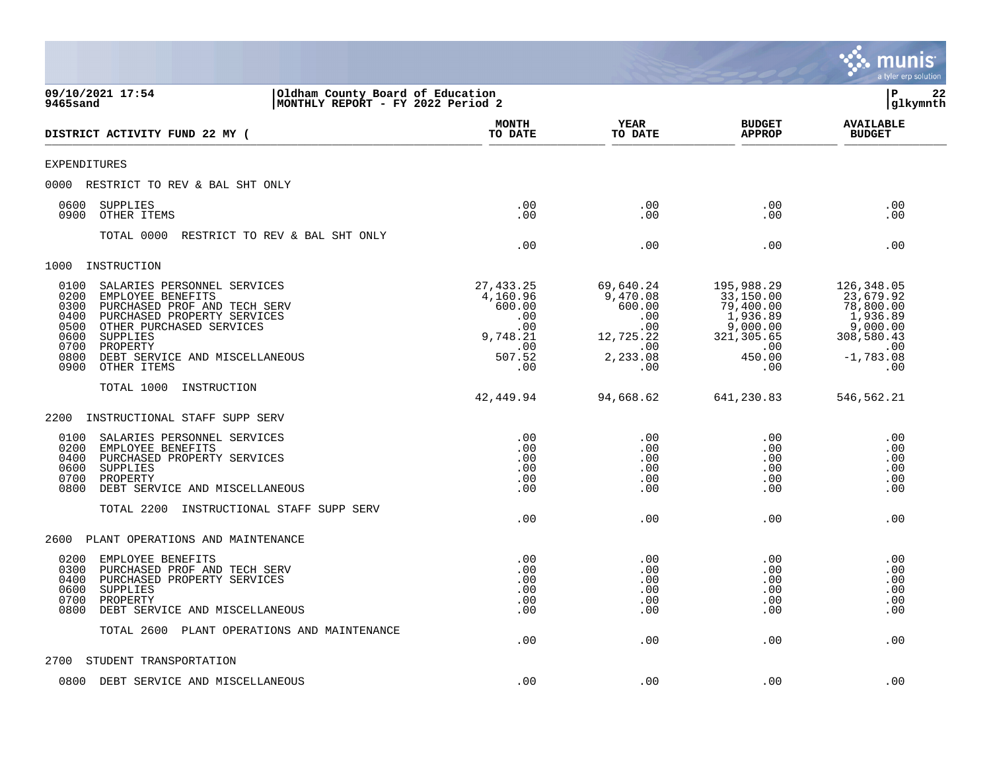|                                                                                                                                                                                                                                                                                              |                                                                                    |                                                                                      |                                                                                                     | a tyler erp solution                                                                                     |
|----------------------------------------------------------------------------------------------------------------------------------------------------------------------------------------------------------------------------------------------------------------------------------------------|------------------------------------------------------------------------------------|--------------------------------------------------------------------------------------|-----------------------------------------------------------------------------------------------------|----------------------------------------------------------------------------------------------------------|
| 09/10/2021 17:54<br>Oldham County Board of Education<br>9465sand<br>MONTHLY REPORT - FY 2022 Period 2                                                                                                                                                                                        |                                                                                    |                                                                                      |                                                                                                     | P<br>22<br>glkymnth                                                                                      |
| DISTRICT ACTIVITY FUND 22 MY (                                                                                                                                                                                                                                                               | <b>MONTH</b><br>TO DATE                                                            | YEAR<br>TO DATE                                                                      | <b>BUDGET</b><br><b>APPROP</b>                                                                      | <b>AVAILABLE</b><br><b>BUDGET</b>                                                                        |
| <b>EXPENDITURES</b>                                                                                                                                                                                                                                                                          |                                                                                    |                                                                                      |                                                                                                     |                                                                                                          |
| 0000<br>RESTRICT TO REV & BAL SHT ONLY                                                                                                                                                                                                                                                       |                                                                                    |                                                                                      |                                                                                                     |                                                                                                          |
| 0600<br>SUPPLIES<br>OTHER ITEMS<br>0900                                                                                                                                                                                                                                                      | .00<br>.00                                                                         | .00<br>.00                                                                           | .00<br>.00                                                                                          | .00<br>.00                                                                                               |
| TOTAL 0000<br>RESTRICT TO REV & BAL SHT ONLY                                                                                                                                                                                                                                                 | .00                                                                                | .00                                                                                  | .00                                                                                                 | .00                                                                                                      |
| INSTRUCTION<br>1000                                                                                                                                                                                                                                                                          |                                                                                    |                                                                                      |                                                                                                     |                                                                                                          |
| 0100<br>SALARIES PERSONNEL SERVICES<br>0200<br>EMPLOYEE BENEFITS<br>0300<br>PURCHASED PROF AND TECH SERV<br>0400<br>PURCHASED PROPERTY SERVICES<br>0500<br>OTHER PURCHASED SERVICES<br>0600<br>SUPPLIES<br>0700<br>PROPERTY<br>0800<br>DEBT SERVICE AND MISCELLANEOUS<br>0900<br>OTHER ITEMS | 27, 433.25<br>4,160.96<br>600.00<br>.00<br>.00<br>9,748.21<br>.00<br>507.52<br>.00 | 69,640.24<br>9,470.08<br>600.00<br>.00<br>.00<br>12,725.22<br>.00<br>2,233.08<br>.00 | 195,988.29<br>33,150.00<br>79,400.00<br>1,936.89<br>9,000.00<br>321, 305.65<br>.00<br>450.00<br>.00 | 126, 348.05<br>23,679.92<br>78,800.00<br>1,936.89<br>9,000.00<br>308,580.43<br>.00<br>$-1,783.08$<br>.00 |
| TOTAL 1000<br>INSTRUCTION                                                                                                                                                                                                                                                                    |                                                                                    |                                                                                      |                                                                                                     |                                                                                                          |
|                                                                                                                                                                                                                                                                                              | 42,449.94                                                                          | 94,668.62                                                                            | 641,230.83                                                                                          | 546,562.21                                                                                               |
| 2200<br>INSTRUCTIONAL STAFF SUPP SERV                                                                                                                                                                                                                                                        |                                                                                    |                                                                                      |                                                                                                     |                                                                                                          |
| 0100<br>SALARIES PERSONNEL SERVICES<br>0200<br>EMPLOYEE BENEFITS<br>0400<br>PURCHASED PROPERTY SERVICES<br>0600<br>SUPPLIES<br>0700<br>PROPERTY<br>0800<br>DEBT SERVICE AND MISCELLANEOUS<br>TOTAL 2200<br>INSTRUCTIONAL STAFF SUPP SERV                                                     | .00<br>.00<br>.00<br>.00<br>.00<br>.00                                             | .00<br>.00<br>.00<br>.00<br>.00<br>.00                                               | .00<br>.00<br>.00<br>.00<br>.00<br>.00                                                              | .00<br>.00<br>.00<br>.00<br>.00<br>.00                                                                   |
|                                                                                                                                                                                                                                                                                              | .00                                                                                | .00                                                                                  | .00                                                                                                 | .00                                                                                                      |
| 2600<br>PLANT OPERATIONS AND MAINTENANCE                                                                                                                                                                                                                                                     |                                                                                    |                                                                                      |                                                                                                     |                                                                                                          |
| 0200<br>EMPLOYEE BENEFITS<br>0300<br>PURCHASED PROF AND TECH SERV<br>PURCHASED PROPERTY SERVICES<br>0400<br>0600<br>SUPPLIES<br>0700<br>PROPERTY<br>0800<br>DEBT SERVICE AND MISCELLANEOUS                                                                                                   | .00<br>.00<br>.00<br>.00<br>.00<br>.00                                             | .00<br>.00<br>.00<br>.00<br>.00<br>.00                                               | .00<br>.00<br>.00<br>.00<br>.00<br>.00                                                              | .00<br>.00<br>.00<br>.00<br>.00<br>.00                                                                   |
| TOTAL 2600<br>PLANT OPERATIONS AND MAINTENANCE                                                                                                                                                                                                                                               | .00                                                                                | .00                                                                                  | .00                                                                                                 | .00                                                                                                      |
| 2700<br>STUDENT TRANSPORTATION                                                                                                                                                                                                                                                               |                                                                                    |                                                                                      |                                                                                                     |                                                                                                          |
| 0800 DEBT SERVICE AND MISCELLANEOUS                                                                                                                                                                                                                                                          | .00                                                                                | .00                                                                                  | .00                                                                                                 | .00                                                                                                      |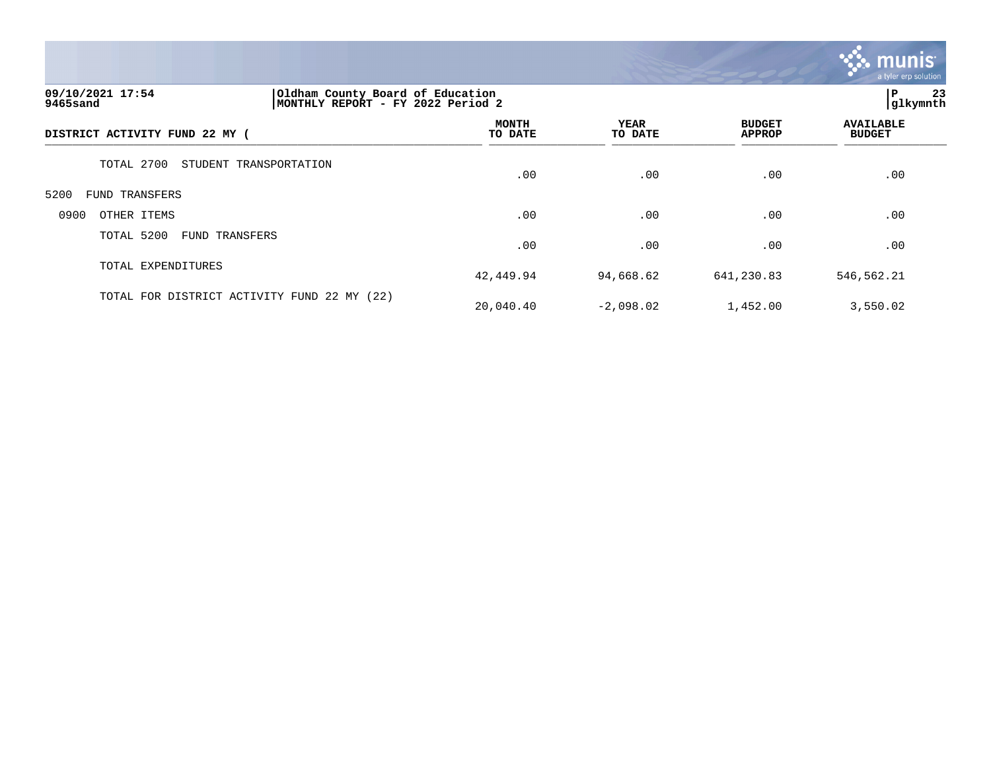

# **09/10/2021 17:54 |Oldham County Board of Education |P 23 9465sand |MONTHLY REPORT - FY 2022 Period 2 |glkymnth**

|                                             |                         |                 |                                | $\overline{\phantom{0}}$          |  |
|---------------------------------------------|-------------------------|-----------------|--------------------------------|-----------------------------------|--|
| DISTRICT ACTIVITY FUND 22 MY (              | <b>MONTH</b><br>TO DATE | YEAR<br>TO DATE | <b>BUDGET</b><br><b>APPROP</b> | <b>AVAILABLE</b><br><b>BUDGET</b> |  |
| TOTAL 2700<br>STUDENT TRANSPORTATION        | .00                     | .00             | .00                            | .00                               |  |
| 5200<br>FUND TRANSFERS                      |                         |                 |                                |                                   |  |
| 0900<br>OTHER ITEMS                         | .00                     | .00             | .00                            | .00                               |  |
| TOTAL 5200<br><b>FUND TRANSFERS</b>         | .00                     | .00             | .00                            | .00                               |  |
| TOTAL EXPENDITURES                          | 42,449.94               | 94,668.62       | 641,230.83                     | 546,562.21                        |  |
| TOTAL FOR DISTRICT ACTIVITY FUND 22 MY (22) | 20,040.40               | $-2,098.02$     | 1,452.00                       | 3,550.02                          |  |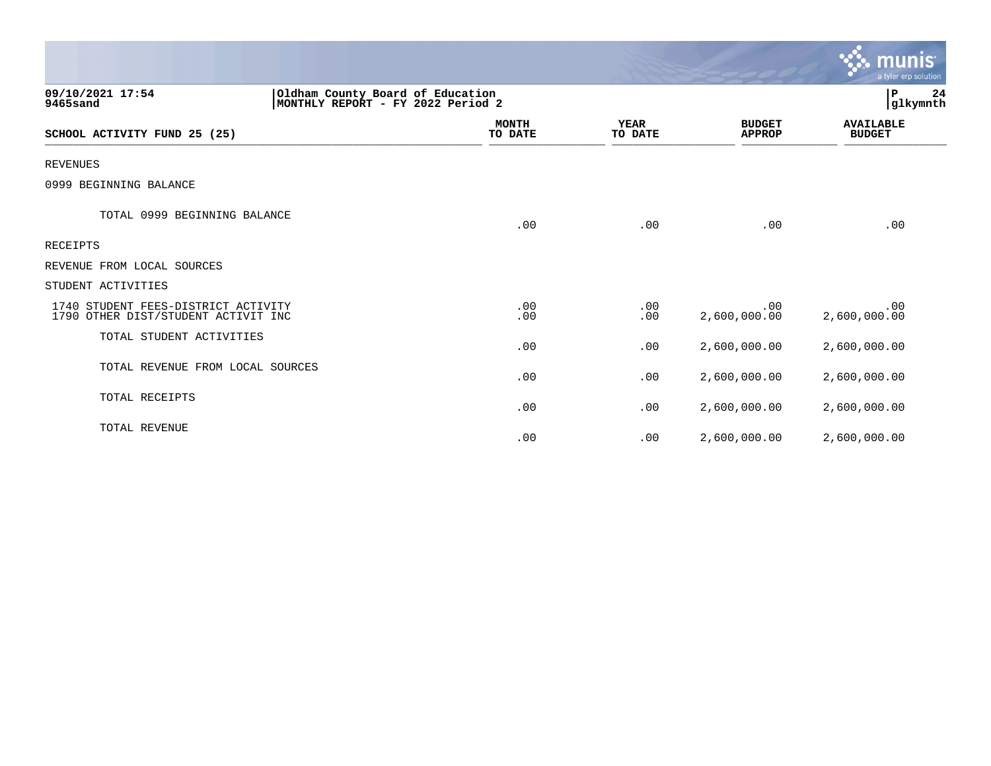|                                                                            |                                                                       |                         |                        |                                | $\mathbf{\mathcal{C}}$ . munist<br>a tyler erp solution |
|----------------------------------------------------------------------------|-----------------------------------------------------------------------|-------------------------|------------------------|--------------------------------|---------------------------------------------------------|
| 09/10/2021 17:54<br>9465sand                                               | Oldham County Board of Education<br>MONTHLY REPORT - FY 2022 Period 2 |                         |                        |                                | lР<br>24<br>glkymnth                                    |
| SCHOOL ACTIVITY FUND 25 (25)                                               |                                                                       | <b>MONTH</b><br>TO DATE | <b>YEAR</b><br>TO DATE | <b>BUDGET</b><br><b>APPROP</b> | <b>AVAILABLE</b><br><b>BUDGET</b>                       |
| <b>REVENUES</b>                                                            |                                                                       |                         |                        |                                |                                                         |
| 0999 BEGINNING BALANCE                                                     |                                                                       |                         |                        |                                |                                                         |
| TOTAL 0999 BEGINNING BALANCE                                               |                                                                       | .00                     | .00                    | .00                            | .00                                                     |
| <b>RECEIPTS</b>                                                            |                                                                       |                         |                        |                                |                                                         |
| REVENUE FROM LOCAL SOURCES                                                 |                                                                       |                         |                        |                                |                                                         |
| STUDENT ACTIVITIES                                                         |                                                                       |                         |                        |                                |                                                         |
| 1740 STUDENT FEES-DISTRICT ACTIVITY<br>1790 OTHER DIST/STUDENT ACTIVIT INC |                                                                       | .00<br>.00              | .00<br>.00             | .00<br>2,600,000.00            | .00<br>2,600,000.00                                     |
| TOTAL STUDENT ACTIVITIES                                                   |                                                                       | .00                     | .00                    | 2,600,000.00                   | 2,600,000.00                                            |
| TOTAL REVENUE FROM LOCAL SOURCES                                           |                                                                       | .00                     | .00                    | 2,600,000.00                   | 2,600,000.00                                            |
| TOTAL RECEIPTS                                                             |                                                                       | .00                     | .00                    | 2,600,000.00                   | 2,600,000.00                                            |
| TOTAL REVENUE                                                              |                                                                       | .00                     | .00                    | 2,600,000.00                   | 2,600,000.00                                            |

 $\mathcal{L}$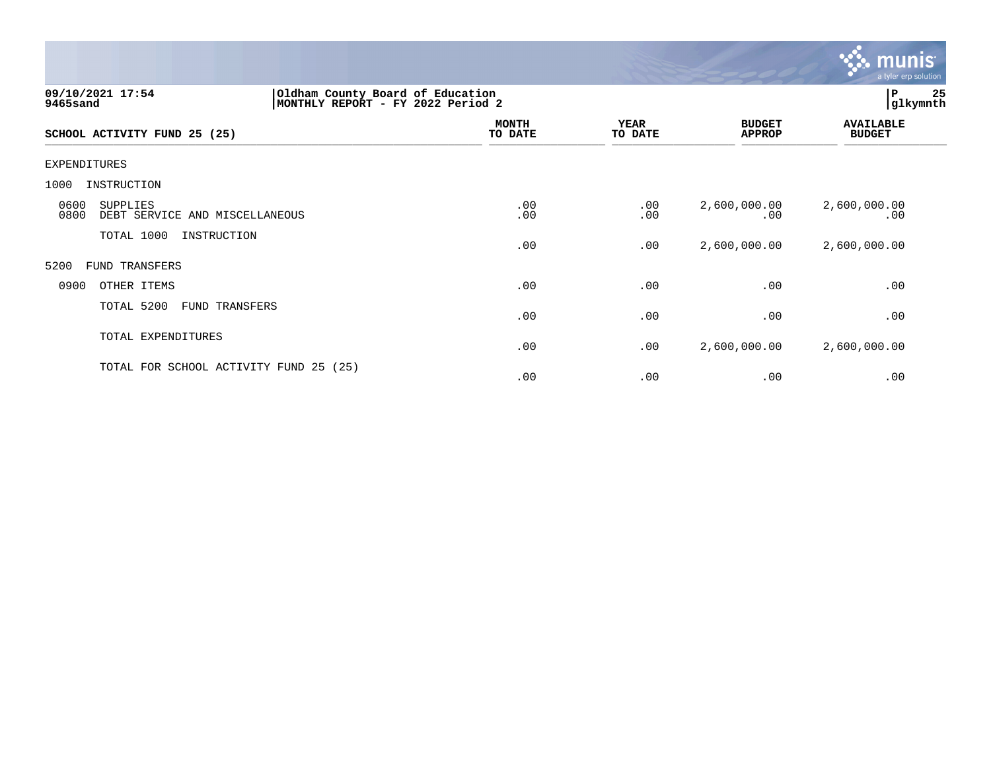

| 09/10/2021 17:54<br>9465sand                               | Oldham County Board of Education<br>MONTHLY REPORT - FY 2022 Period 2 |                        |                                | 25<br>P<br>glkymnth               |
|------------------------------------------------------------|-----------------------------------------------------------------------|------------------------|--------------------------------|-----------------------------------|
| SCHOOL ACTIVITY FUND 25 (25)                               | <b>MONTH</b><br>TO DATE                                               | <b>YEAR</b><br>TO DATE | <b>BUDGET</b><br><b>APPROP</b> | <b>AVAILABLE</b><br><b>BUDGET</b> |
| EXPENDITURES                                               |                                                                       |                        |                                |                                   |
| INSTRUCTION<br>1000                                        |                                                                       |                        |                                |                                   |
| 0600<br>SUPPLIES<br>0800<br>DEBT SERVICE AND MISCELLANEOUS | .00<br>.00                                                            | .00<br>.00             | 2,600,000.00<br>.00            | 2,600,000.00<br>.00               |
| TOTAL 1000<br>INSTRUCTION                                  | .00                                                                   | .00                    | 2,600,000.00                   | 2,600,000.00                      |
| 5200<br>FUND TRANSFERS                                     |                                                                       |                        |                                |                                   |
| 0900<br>OTHER ITEMS                                        | .00                                                                   | .00                    | .00                            | .00                               |
| TOTAL 5200<br>FUND TRANSFERS                               | .00                                                                   | .00                    | .00                            | .00                               |
| TOTAL EXPENDITURES                                         | .00                                                                   | .00                    | 2,600,000.00                   | 2,600,000.00                      |
| TOTAL FOR SCHOOL ACTIVITY FUND 25                          | (25)<br>.00                                                           | .00                    | .00                            | .00                               |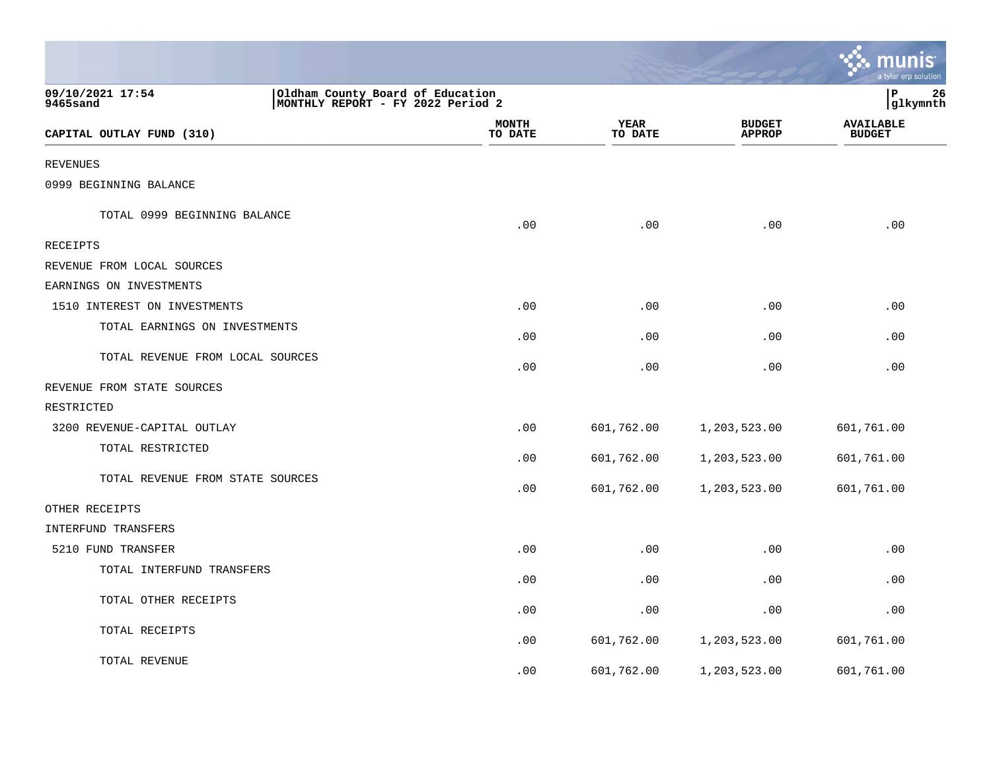|                                  |                                                                       |                 |                                | <u>ः munis</u><br>a tyler erp solution |
|----------------------------------|-----------------------------------------------------------------------|-----------------|--------------------------------|----------------------------------------|
| 09/10/2021 17:54<br>9465sand     | Oldham County Board of Education<br>MONTHLY REPORT - FY 2022 Period 2 |                 |                                | ∣P<br>26<br> glkymnth                  |
| CAPITAL OUTLAY FUND (310)        | <b>MONTH</b><br>TO DATE                                               | YEAR<br>TO DATE | <b>BUDGET</b><br><b>APPROP</b> | <b>AVAILABLE</b><br><b>BUDGET</b>      |
| <b>REVENUES</b>                  |                                                                       |                 |                                |                                        |
| 0999 BEGINNING BALANCE           |                                                                       |                 |                                |                                        |
| TOTAL 0999 BEGINNING BALANCE     | .00                                                                   | .00             | .00                            | .00                                    |
| RECEIPTS                         |                                                                       |                 |                                |                                        |
| REVENUE FROM LOCAL SOURCES       |                                                                       |                 |                                |                                        |
| EARNINGS ON INVESTMENTS          |                                                                       |                 |                                |                                        |
| 1510 INTEREST ON INVESTMENTS     | .00                                                                   | .00             | .00                            | .00                                    |
| TOTAL EARNINGS ON INVESTMENTS    | .00                                                                   | .00             | .00                            | .00                                    |
| TOTAL REVENUE FROM LOCAL SOURCES | .00                                                                   | .00             | .00                            | .00                                    |
| REVENUE FROM STATE SOURCES       |                                                                       |                 |                                |                                        |
| RESTRICTED                       |                                                                       |                 |                                |                                        |
| 3200 REVENUE-CAPITAL OUTLAY      | .00                                                                   | 601,762.00      | 1,203,523.00                   | 601,761.00                             |
| TOTAL RESTRICTED                 | .00                                                                   | 601,762.00      | 1,203,523.00                   | 601,761.00                             |
| TOTAL REVENUE FROM STATE SOURCES | .00                                                                   | 601,762.00      | 1,203,523.00                   | 601,761.00                             |
| OTHER RECEIPTS                   |                                                                       |                 |                                |                                        |
| <b>INTERFUND TRANSFERS</b>       |                                                                       |                 |                                |                                        |
| 5210 FUND TRANSFER               | .00                                                                   | .00             | .00                            | .00                                    |
| TOTAL INTERFUND TRANSFERS        | .00                                                                   | .00             | .00                            | .00                                    |
| TOTAL OTHER RECEIPTS             | .00                                                                   | .00             | .00                            | .00                                    |
| TOTAL RECEIPTS                   | .00                                                                   | 601,762.00      | 1,203,523.00                   | 601,761.00                             |
| TOTAL REVENUE                    | .00                                                                   | 601,762.00      | 1,203,523.00                   | 601,761.00                             |

the control of the state of the control of the control of the control of the control of the control of the control of the control of the control of the control of the control of the control of the control of the control of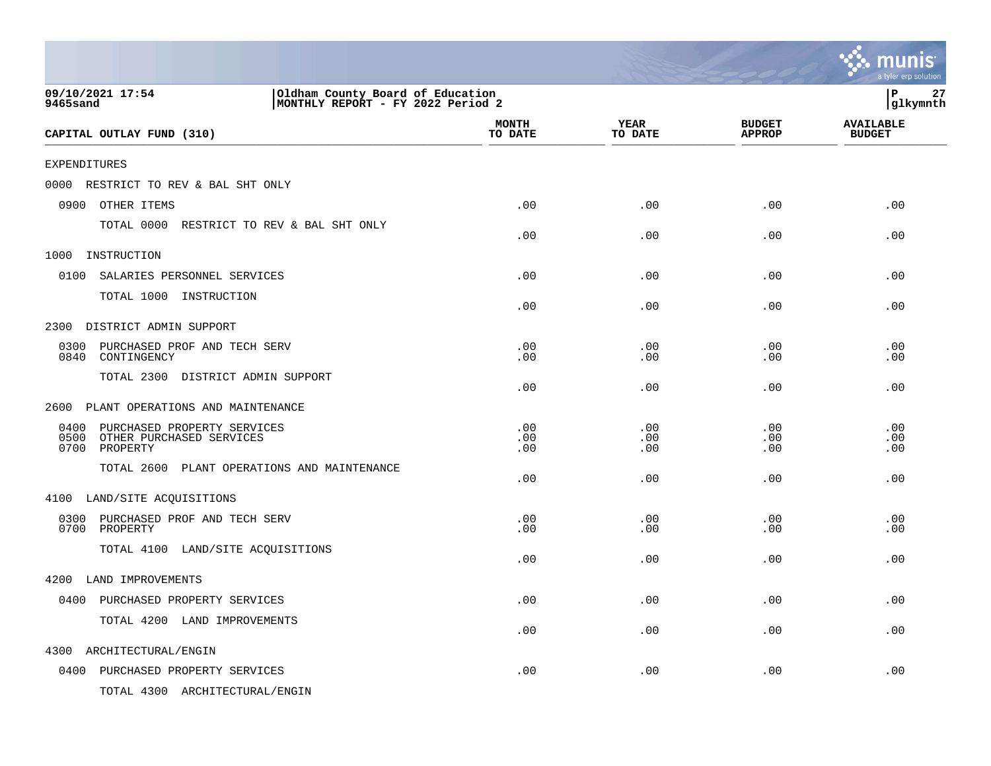|                                                                                                              |                         |                        |                                | munis<br>a tyler erp solution     |
|--------------------------------------------------------------------------------------------------------------|-------------------------|------------------------|--------------------------------|-----------------------------------|
| 09/10/2021 17:54<br>Oldham County Board of Education<br>MONTHLY REPORT - FY 2022 Period 2<br><b>9465sand</b> |                         |                        |                                | $\, {\bf P}$<br>27<br>glkymnth    |
| CAPITAL OUTLAY FUND (310)                                                                                    | <b>MONTH</b><br>TO DATE | <b>YEAR</b><br>TO DATE | <b>BUDGET</b><br><b>APPROP</b> | <b>AVAILABLE</b><br><b>BUDGET</b> |
| <b>EXPENDITURES</b>                                                                                          |                         |                        |                                |                                   |
| 0000 RESTRICT TO REV & BAL SHT ONLY                                                                          |                         |                        |                                |                                   |
| 0900<br>OTHER ITEMS                                                                                          | .00                     | .00                    | .00                            | .00                               |
| TOTAL 0000 RESTRICT TO REV & BAL SHT ONLY                                                                    | .00                     | .00                    | .00                            | .00                               |
| 1000<br>INSTRUCTION                                                                                          |                         |                        |                                |                                   |
| 0100<br>SALARIES PERSONNEL SERVICES                                                                          | .00                     | .00                    | .00                            | .00                               |
| TOTAL 1000 INSTRUCTION                                                                                       | .00                     | .00                    | .00                            | .00                               |
| DISTRICT ADMIN SUPPORT<br>2300                                                                               |                         |                        |                                |                                   |
| 0300<br>PURCHASED PROF AND TECH SERV<br>0840<br>CONTINGENCY                                                  | .00<br>.00              | .00<br>.00             | .00<br>.00                     | .00<br>.00                        |
| TOTAL 2300 DISTRICT ADMIN SUPPORT                                                                            | .00                     | .00                    | .00                            | .00                               |
| PLANT OPERATIONS AND MAINTENANCE<br>2600                                                                     |                         |                        |                                |                                   |
| 0400<br>PURCHASED PROPERTY SERVICES<br>0500<br>OTHER PURCHASED SERVICES<br>0700<br>PROPERTY                  | .00<br>.00<br>.00       | .00<br>.00<br>.00      | .00<br>.00<br>.00              | .00<br>.00<br>.00                 |
| TOTAL 2600<br>PLANT OPERATIONS AND MAINTENANCE                                                               | .00                     | .00                    | .00                            | .00                               |
| 4100 LAND/SITE ACQUISITIONS                                                                                  |                         |                        |                                |                                   |
| 0300 PURCHASED PROF AND TECH SERV<br>0700 PROPERTY                                                           | .00<br>.00              | .00<br>.00             | .00<br>.00                     | .00<br>.00                        |
| TOTAL 4100 LAND/SITE ACQUISITIONS                                                                            | .00                     | .00                    | .00                            | .00                               |
| 4200 LAND IMPROVEMENTS                                                                                       |                         |                        |                                |                                   |
| 0400 PURCHASED PROPERTY SERVICES                                                                             | .00                     | .00                    | .00                            | .00                               |
| TOTAL 4200 LAND IMPROVEMENTS                                                                                 | .00                     | .00                    | .00                            | .00                               |
| 4300<br>ARCHITECTURAL/ENGIN                                                                                  |                         |                        |                                |                                   |
| 0400 PURCHASED PROPERTY SERVICES                                                                             | .00                     | .00                    | .00                            | .00                               |
| TOTAL 4300 ARCHITECTURAL/ENGIN                                                                               |                         |                        |                                |                                   |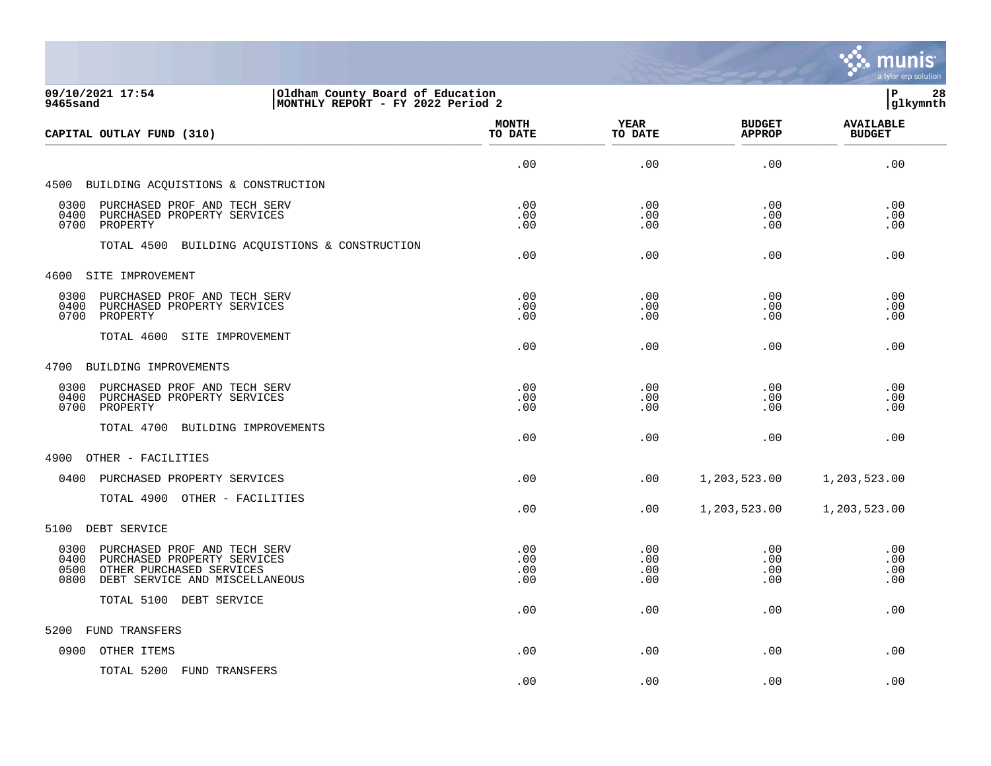

| 09/10/2021 17:54<br>Oldham County Board of Education<br>MONTHLY REPORT - FY 2022 Period 2<br>9465sand                                                  |                          |                          |                                | 28<br>lР<br> glkymnth             |
|--------------------------------------------------------------------------------------------------------------------------------------------------------|--------------------------|--------------------------|--------------------------------|-----------------------------------|
| CAPITAL OUTLAY FUND (310)                                                                                                                              | <b>MONTH</b><br>TO DATE  | YEAR<br>TO DATE          | <b>BUDGET</b><br><b>APPROP</b> | <b>AVAILABLE</b><br><b>BUDGET</b> |
|                                                                                                                                                        | .00                      | .00                      | .00                            | .00                               |
| 4500 BUILDING ACQUISTIONS & CONSTRUCTION                                                                                                               |                          |                          |                                |                                   |
| 0300 PURCHASED PROF AND TECH SERV<br>0400<br>PURCHASED PROPERTY SERVICES<br>0700 PROPERTY                                                              | .00<br>.00<br>.00        | .00<br>.00<br>.00        | .00<br>.00<br>.00              | .00<br>.00<br>.00                 |
| TOTAL 4500 BUILDING ACQUISTIONS & CONSTRUCTION                                                                                                         | .00                      | .00                      | .00                            | .00                               |
| 4600 SITE IMPROVEMENT                                                                                                                                  |                          |                          |                                |                                   |
| 0300 PURCHASED PROF AND TECH SERV<br>0400<br>PURCHASED PROPERTY SERVICES<br>0700 PROPERTY                                                              | .00<br>.00<br>.00        | .00<br>.00<br>.00        | .00<br>.00<br>.00              | .00<br>.00<br>.00                 |
| TOTAL 4600 SITE IMPROVEMENT                                                                                                                            | .00                      | .00                      | .00                            | .00                               |
| 4700 BUILDING IMPROVEMENTS                                                                                                                             |                          |                          |                                |                                   |
| 0300<br>PURCHASED PROF AND TECH SERV<br>0400<br>PURCHASED PROPERTY SERVICES<br>0700<br>PROPERTY                                                        | .00<br>.00<br>.00        | .00<br>.00<br>.00        | .00<br>.00<br>.00              | .00<br>.00<br>.00                 |
| TOTAL 4700 BUILDING IMPROVEMENTS                                                                                                                       | .00                      | .00                      | $.00 \,$                       | .00                               |
| 4900 OTHER - FACILITIES                                                                                                                                |                          |                          |                                |                                   |
| 0400 PURCHASED PROPERTY SERVICES                                                                                                                       | .00                      | .00                      | 1,203,523.00                   | 1,203,523.00                      |
| TOTAL 4900 OTHER - FACILITIES                                                                                                                          | .00                      | .00                      | 1,203,523.00                   | 1,203,523.00                      |
| 5100 DEBT SERVICE                                                                                                                                      |                          |                          |                                |                                   |
| 0300 PURCHASED PROF AND TECH SERV<br>0400<br>PURCHASED PROPERTY SERVICES<br>OTHER PURCHASED SERVICES<br>0500<br>DEBT SERVICE AND MISCELLANEOUS<br>0800 | .00<br>.00<br>.00<br>.00 | .00<br>.00<br>.00<br>.00 | .00<br>.00<br>.00<br>.00       | .00<br>.00<br>.00<br>.00          |
| TOTAL 5100 DEBT SERVICE                                                                                                                                | .00                      | .00                      | $.00 \,$                       | .00                               |
| FUND TRANSFERS<br>5200                                                                                                                                 |                          |                          |                                |                                   |
| 0900 OTHER ITEMS                                                                                                                                       | .00                      | .00                      | .00                            | .00                               |
| TOTAL 5200 FUND TRANSFERS                                                                                                                              |                          |                          |                                |                                   |

 $.00$  .  $.00$  .  $.00$  .  $.00$  .  $.00$  .  $.00$  .  $.00$  .  $.00$  .  $.00$  .  $.00$  .  $.00$  .  $.00$  .  $.00$  .  $.00$  .  $.00$  .  $.00$  .  $.00$  .  $.00$  .  $.00$  .  $.00$  .  $.00$  .  $.00$  .  $.00$  .  $.00$  .  $.00$  .  $.00$  .  $.00$  .  $.00$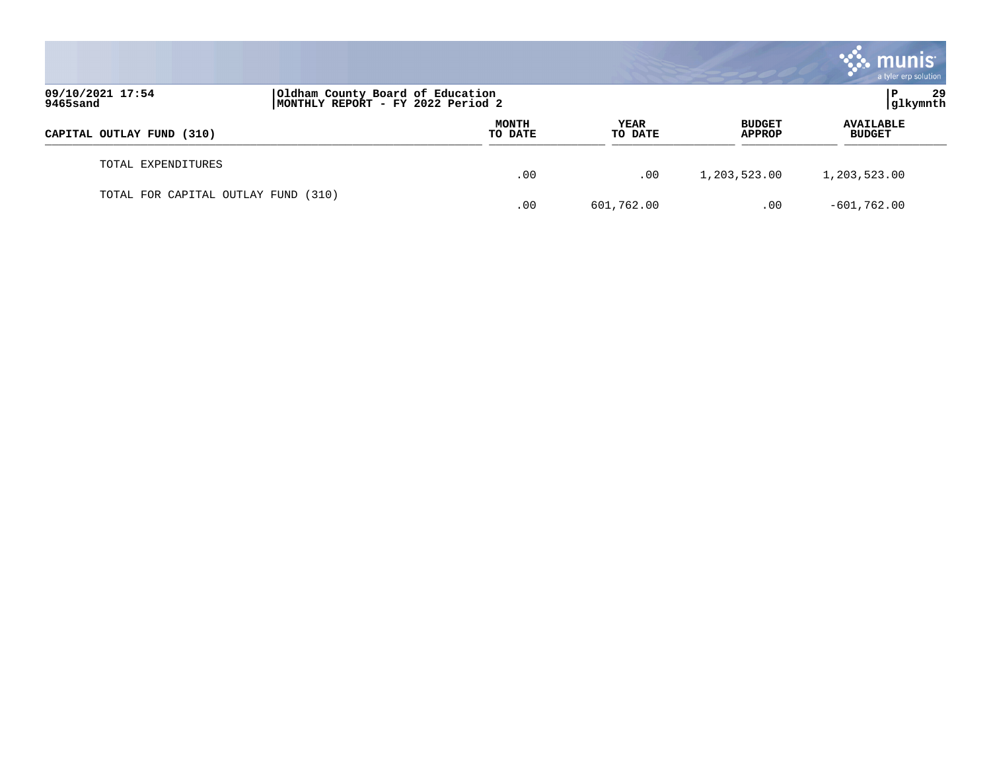|                                     |                                                                       |                  |                        |                                | <b>munis</b><br>a tyler erp solution |
|-------------------------------------|-----------------------------------------------------------------------|------------------|------------------------|--------------------------------|--------------------------------------|
| 09/10/2021 17:54<br>9465sand        | Oldham County Board of Education<br>MONTHLY REPORT - FY 2022 Period 2 |                  |                        |                                | 29<br>P<br> glkymnth                 |
| CAPITAL OUTLAY FUND (310)           |                                                                       | MONTH<br>TO DATE | <b>YEAR</b><br>TO DATE | <b>BUDGET</b><br><b>APPROP</b> | <b>AVAILABLE</b><br><b>BUDGET</b>    |
| TOTAL EXPENDITURES                  |                                                                       | .00              | .00                    | 1,203,523.00                   | 1,203,523.00                         |
| TOTAL FOR CAPITAL OUTLAY FUND (310) |                                                                       | .00              | 601,762.00             | .00                            | $-601,762.00$                        |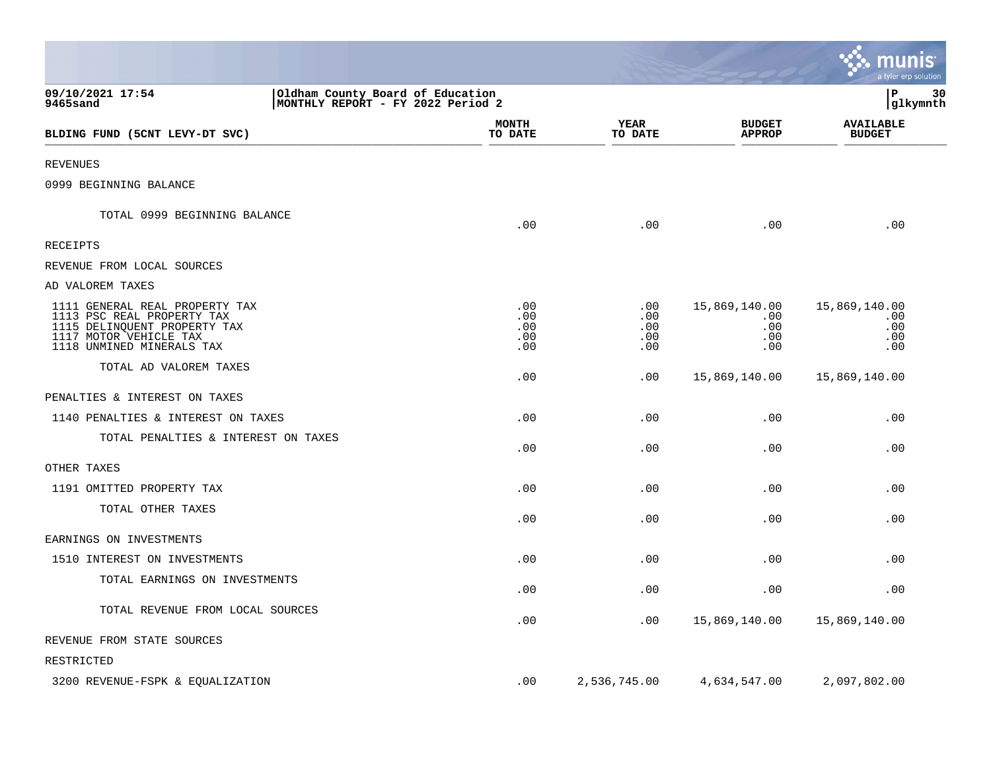|                                                                                                                                                     |                                                                       |                                 |                                 |                                           | nıs<br>mu<br>a tyler erp solution         |
|-----------------------------------------------------------------------------------------------------------------------------------------------------|-----------------------------------------------------------------------|---------------------------------|---------------------------------|-------------------------------------------|-------------------------------------------|
| 09/10/2021 17:54<br>9465sand                                                                                                                        | Oldham County Board of Education<br>MONTHLY REPORT - FY 2022 Period 2 |                                 |                                 |                                           | lР<br>30<br> glkymnth                     |
| BLDING FUND (5CNT LEVY-DT SVC)                                                                                                                      |                                                                       | <b>MONTH</b><br>TO DATE         | <b>YEAR</b><br>TO DATE          | <b>BUDGET</b><br><b>APPROP</b>            | <b>AVAILABLE</b><br><b>BUDGET</b>         |
| REVENUES                                                                                                                                            |                                                                       |                                 |                                 |                                           |                                           |
| 0999 BEGINNING BALANCE                                                                                                                              |                                                                       |                                 |                                 |                                           |                                           |
| TOTAL 0999 BEGINNING BALANCE                                                                                                                        |                                                                       | .00                             | .00                             | .00                                       | .00                                       |
| RECEIPTS                                                                                                                                            |                                                                       |                                 |                                 |                                           |                                           |
| REVENUE FROM LOCAL SOURCES                                                                                                                          |                                                                       |                                 |                                 |                                           |                                           |
| AD VALOREM TAXES                                                                                                                                    |                                                                       |                                 |                                 |                                           |                                           |
| 1111 GENERAL REAL PROPERTY TAX<br>1113 PSC REAL PROPERTY TAX<br>1115 DELINQUENT PROPERTY TAX<br>1117 MOTOR VEHICLE TAX<br>1118 UNMINED MINERALS TAX |                                                                       | .00<br>.00<br>.00<br>.00<br>.00 | .00<br>.00<br>.00<br>.00<br>.00 | 15,869,140.00<br>.00<br>.00<br>.00<br>.00 | 15,869,140.00<br>.00<br>.00<br>.00<br>.00 |
| TOTAL AD VALOREM TAXES                                                                                                                              |                                                                       | .00                             | .00                             | 15,869,140.00                             | 15,869,140.00                             |
| PENALTIES & INTEREST ON TAXES                                                                                                                       |                                                                       |                                 |                                 |                                           |                                           |
| 1140 PENALTIES & INTEREST ON TAXES                                                                                                                  |                                                                       | .00                             | .00                             | .00                                       | .00                                       |
| TOTAL PENALTIES & INTEREST ON TAXES                                                                                                                 |                                                                       | .00                             | .00                             | .00                                       | .00                                       |
| OTHER TAXES                                                                                                                                         |                                                                       |                                 |                                 |                                           |                                           |
| 1191 OMITTED PROPERTY TAX                                                                                                                           |                                                                       | .00                             | .00                             | .00                                       | .00                                       |
| TOTAL OTHER TAXES                                                                                                                                   |                                                                       | .00                             | .00                             | .00                                       | .00                                       |
| EARNINGS ON INVESTMENTS                                                                                                                             |                                                                       |                                 |                                 |                                           |                                           |
| 1510 INTEREST ON INVESTMENTS                                                                                                                        |                                                                       | .00                             | .00                             | .00                                       | .00                                       |
| TOTAL EARNINGS ON INVESTMENTS                                                                                                                       |                                                                       | .00                             | .00                             | .00                                       | .00                                       |
| TOTAL REVENUE FROM LOCAL SOURCES                                                                                                                    |                                                                       | .00                             | .00                             | 15,869,140.00                             | 15,869,140.00                             |
| REVENUE FROM STATE SOURCES                                                                                                                          |                                                                       |                                 |                                 |                                           |                                           |
| RESTRICTED                                                                                                                                          |                                                                       |                                 |                                 |                                           |                                           |
| 3200 REVENUE-FSPK & EQUALIZATION                                                                                                                    |                                                                       | .00                             | 2,536,745.00                    | 4,634,547.00                              | 2,097,802.00                              |

**Tara**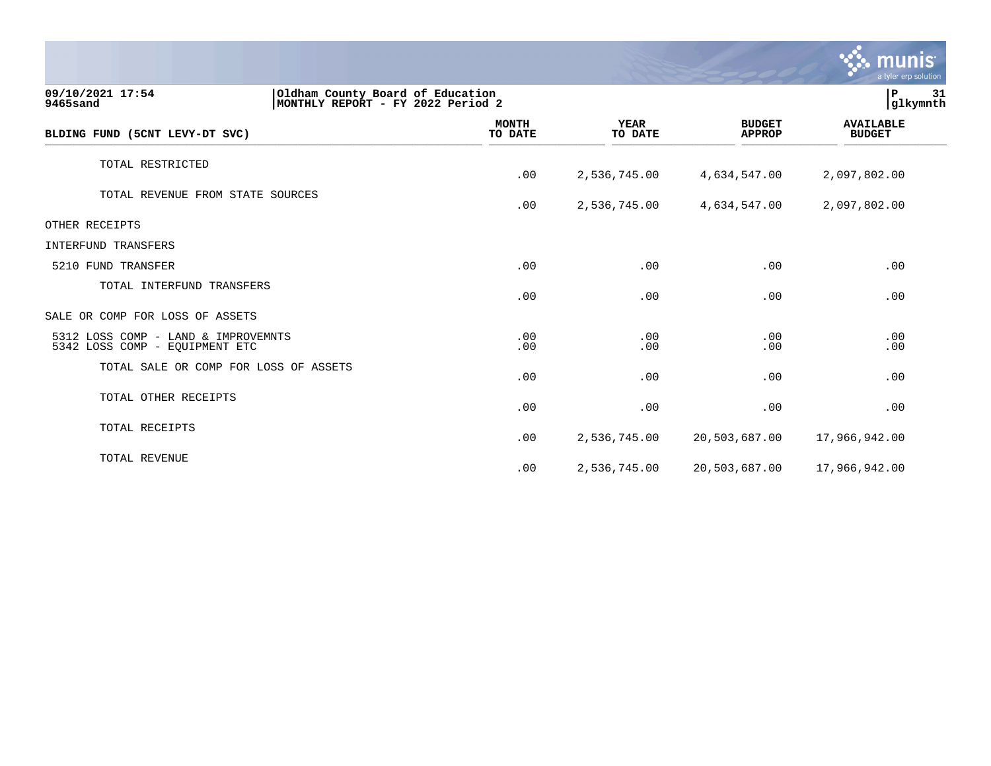|                                                                                                       |                         |                        |                                | munis<br>a tyler erp solution     |    |
|-------------------------------------------------------------------------------------------------------|-------------------------|------------------------|--------------------------------|-----------------------------------|----|
| 09/10/2021 17:54<br>Oldham County Board of Education<br>MONTHLY REPORT - FY 2022 Period 2<br>9465sand |                         |                        |                                | P<br>glkymnth                     | 31 |
| BLDING FUND (5CNT LEVY-DT SVC)                                                                        | <b>MONTH</b><br>TO DATE | <b>YEAR</b><br>TO DATE | <b>BUDGET</b><br><b>APPROP</b> | <b>AVAILABLE</b><br><b>BUDGET</b> |    |
| TOTAL RESTRICTED                                                                                      | .00                     | 2,536,745.00           | 4,634,547.00                   | 2,097,802.00                      |    |
| TOTAL REVENUE FROM STATE SOURCES                                                                      | .00                     | 2,536,745.00           | 4,634,547.00                   | 2,097,802.00                      |    |
| OTHER RECEIPTS                                                                                        |                         |                        |                                |                                   |    |
| <b>INTERFUND TRANSFERS</b>                                                                            |                         |                        |                                |                                   |    |
| 5210 FUND TRANSFER                                                                                    | .00                     | .00                    | .00                            | .00                               |    |
| TOTAL INTERFUND TRANSFERS                                                                             | .00                     | .00                    | .00                            | .00                               |    |
| SALE OR COMP FOR LOSS OF ASSETS                                                                       |                         |                        |                                |                                   |    |
| 5312 LOSS COMP - LAND & IMPROVEMNTS<br>5342 LOSS COMP - EQUIPMENT ETC                                 | .00<br>.00              | .00<br>.00             | .00<br>.00                     | .00<br>.00                        |    |
| TOTAL SALE OR COMP FOR LOSS OF ASSETS                                                                 | .00                     | .00                    | .00                            | .00                               |    |
| TOTAL OTHER RECEIPTS                                                                                  | .00                     | .00                    | .00                            | .00                               |    |
| TOTAL RECEIPTS                                                                                        | .00                     | 2,536,745.00           | 20,503,687.00                  | 17,966,942.00                     |    |
| TOTAL REVENUE                                                                                         | .00                     | 2,536,745.00           | 20,503,687.00                  | 17,966,942.00                     |    |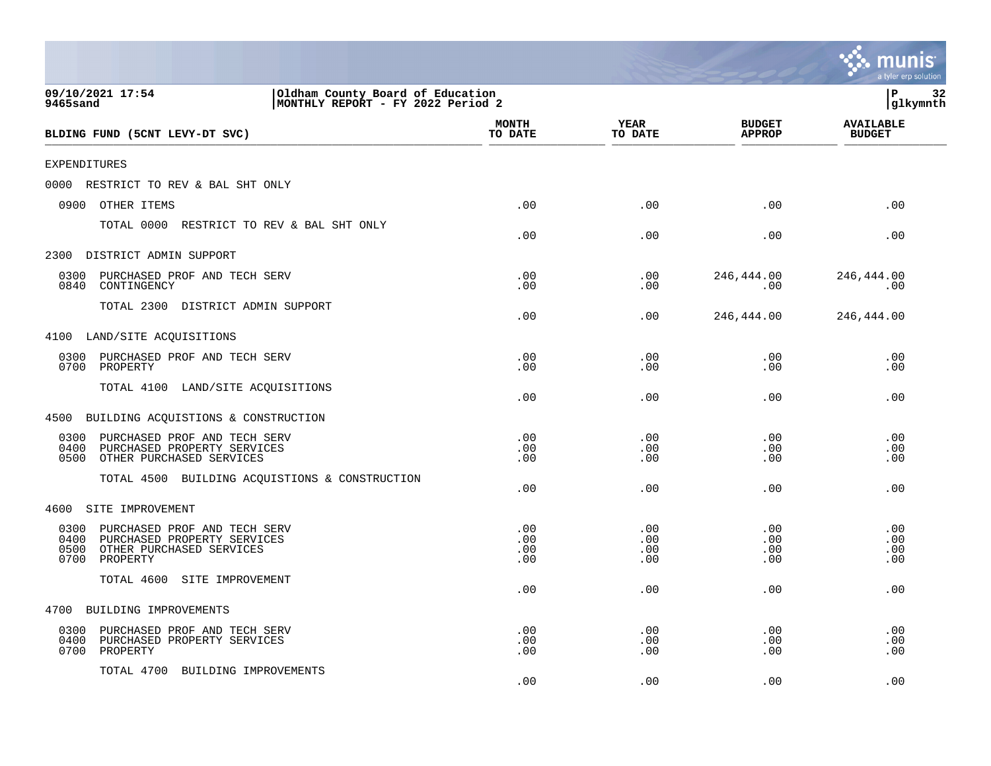|                                                                                                                                     |                                                                       |                          |                          |                                | a tyler erp solution              |
|-------------------------------------------------------------------------------------------------------------------------------------|-----------------------------------------------------------------------|--------------------------|--------------------------|--------------------------------|-----------------------------------|
| 09/10/2021 17:54<br>9465sand                                                                                                        | Oldham County Board of Education<br>MONTHLY REPORT - FY 2022 Period 2 |                          |                          |                                | P<br>32<br>glkymnth               |
| BLDING FUND (5CNT LEVY-DT SVC)                                                                                                      |                                                                       | <b>MONTH</b><br>TO DATE  | YEAR<br>TO DATE          | <b>BUDGET</b><br><b>APPROP</b> | <b>AVAILABLE</b><br><b>BUDGET</b> |
| <b>EXPENDITURES</b>                                                                                                                 |                                                                       |                          |                          |                                |                                   |
| 0000<br>RESTRICT TO REV & BAL SHT ONLY                                                                                              |                                                                       |                          |                          |                                |                                   |
| 0900<br>OTHER ITEMS                                                                                                                 |                                                                       | .00                      | .00                      | .00                            | .00                               |
| TOTAL 0000                                                                                                                          | RESTRICT TO REV & BAL SHT ONLY                                        | .00                      | .00                      | .00                            | .00                               |
| 2300<br>DISTRICT ADMIN SUPPORT                                                                                                      |                                                                       |                          |                          |                                |                                   |
| PURCHASED PROF AND TECH SERV<br>0300<br>0840<br>CONTINGENCY                                                                         |                                                                       | .00<br>.00               | .00<br>.00               | 246,444.00<br>.00              | 246,444.00<br>.00                 |
| TOTAL 2300<br>DISTRICT ADMIN SUPPORT                                                                                                |                                                                       | .00                      | .00                      | 246,444.00                     | 246,444.00                        |
| 4100 LAND/SITE ACQUISITIONS                                                                                                         |                                                                       |                          |                          |                                |                                   |
| 0300<br>PURCHASED PROF AND TECH SERV<br>0700<br>PROPERTY                                                                            |                                                                       | .00<br>.00               | .00<br>.00               | .00<br>.00                     | .00<br>.00                        |
| TOTAL 4100 LAND/SITE ACQUISITIONS                                                                                                   |                                                                       | .00                      | .00                      | .00                            | .00                               |
| BUILDING ACQUISTIONS & CONSTRUCTION<br>4500                                                                                         |                                                                       |                          |                          |                                |                                   |
| 0300<br>PURCHASED PROF AND TECH SERV<br>0400<br>PURCHASED PROPERTY SERVICES<br>0500<br>OTHER PURCHASED SERVICES                     |                                                                       | .00<br>.00<br>.00        | .00<br>.00<br>.00        | .00<br>.00<br>.00              | .00<br>.00<br>.00                 |
| TOTAL 4500                                                                                                                          | BUILDING ACQUISTIONS & CONSTRUCTION                                   | .00                      | .00                      | .00                            | .00                               |
| SITE IMPROVEMENT<br>4600                                                                                                            |                                                                       |                          |                          |                                |                                   |
| 0300<br>PURCHASED PROF AND TECH SERV<br>0400<br>PURCHASED PROPERTY SERVICES<br>0500<br>OTHER PURCHASED SERVICES<br>PROPERTY<br>0700 |                                                                       | .00<br>.00<br>.00<br>.00 | .00<br>.00<br>.00<br>.00 | .00<br>.00<br>.00<br>.00       | .00<br>.00<br>.00<br>.00          |
| TOTAL 4600<br>SITE IMPROVEMENT                                                                                                      |                                                                       | .00                      | .00                      | .00                            | .00                               |
| 4700<br>BUILDING IMPROVEMENTS                                                                                                       |                                                                       |                          |                          |                                |                                   |
| PURCHASED PROF AND TECH SERV<br>0300<br>0400<br>PURCHASED PROPERTY SERVICES<br>0700<br>PROPERTY                                     |                                                                       | .00<br>.00<br>.00        | .00<br>.00<br>.00        | .00<br>.00<br>.00              | .00<br>.00<br>.00                 |
| TOTAL 4700<br>BUILDING IMPROVEMENTS                                                                                                 |                                                                       | .00                      | .00                      | .00                            | .00                               |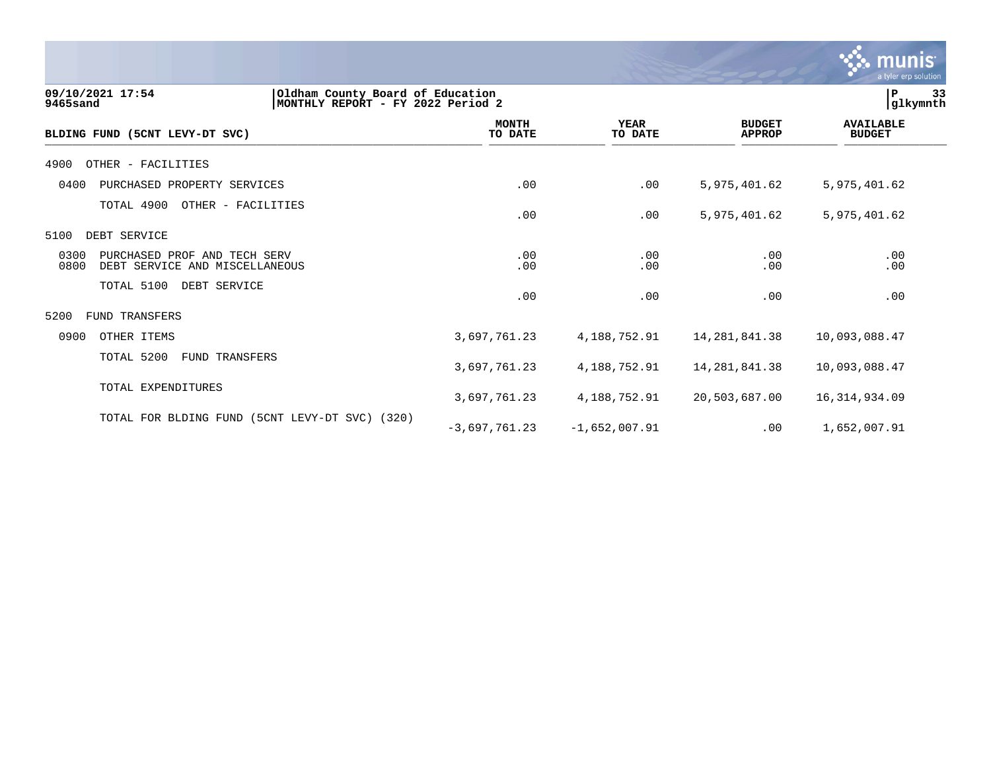

| 09/10/2021 17:54<br>Oldham County Board of Education<br>9465sand<br>MONTHLY REPORT - FY 2022 Period 2 |                         |                        |                                | P<br> glkymnth                    | 33 |
|-------------------------------------------------------------------------------------------------------|-------------------------|------------------------|--------------------------------|-----------------------------------|----|
| BLDING FUND (5CNT LEVY-DT SVC)                                                                        | <b>MONTH</b><br>TO DATE | <b>YEAR</b><br>TO DATE | <b>BUDGET</b><br><b>APPROP</b> | <b>AVAILABLE</b><br><b>BUDGET</b> |    |
| OTHER - FACILITIES<br>4900                                                                            |                         |                        |                                |                                   |    |
| PURCHASED PROPERTY SERVICES<br>0400                                                                   | .00                     | .00                    | 5,975,401.62                   | 5,975,401.62                      |    |
| TOTAL 4900<br>OTHER - FACILITIES                                                                      | .00                     | .00                    | 5,975,401.62                   | 5,975,401.62                      |    |
| DEBT SERVICE<br>5100                                                                                  |                         |                        |                                |                                   |    |
| 0300<br>PURCHASED PROF AND TECH SERV<br>0800<br>DEBT SERVICE AND MISCELLANEOUS                        | .00<br>.00              | .00<br>.00             | .00<br>.00                     | .00<br>.00                        |    |
| TOTAL 5100<br>DEBT SERVICE                                                                            | .00                     | .00                    | .00                            | .00                               |    |
| 5200<br><b>FUND TRANSFERS</b>                                                                         |                         |                        |                                |                                   |    |
| 0900<br>OTHER ITEMS                                                                                   | 3,697,761.23            | 4,188,752.91           | 14, 281, 841.38                | 10,093,088.47                     |    |
| TOTAL 5200<br><b>FUND TRANSFERS</b>                                                                   | 3,697,761.23            | 4,188,752.91           | 14, 281, 841.38                | 10,093,088.47                     |    |
| TOTAL EXPENDITURES                                                                                    | 3,697,761.23            | 4,188,752.91           | 20,503,687.00                  | 16, 314, 934.09                   |    |
| TOTAL FOR BLDING FUND (5CNT LEVY-DT SVC) (320)                                                        | $-3,697,761.23$         | $-1,652,007.91$        | .00                            | 1,652,007.91                      |    |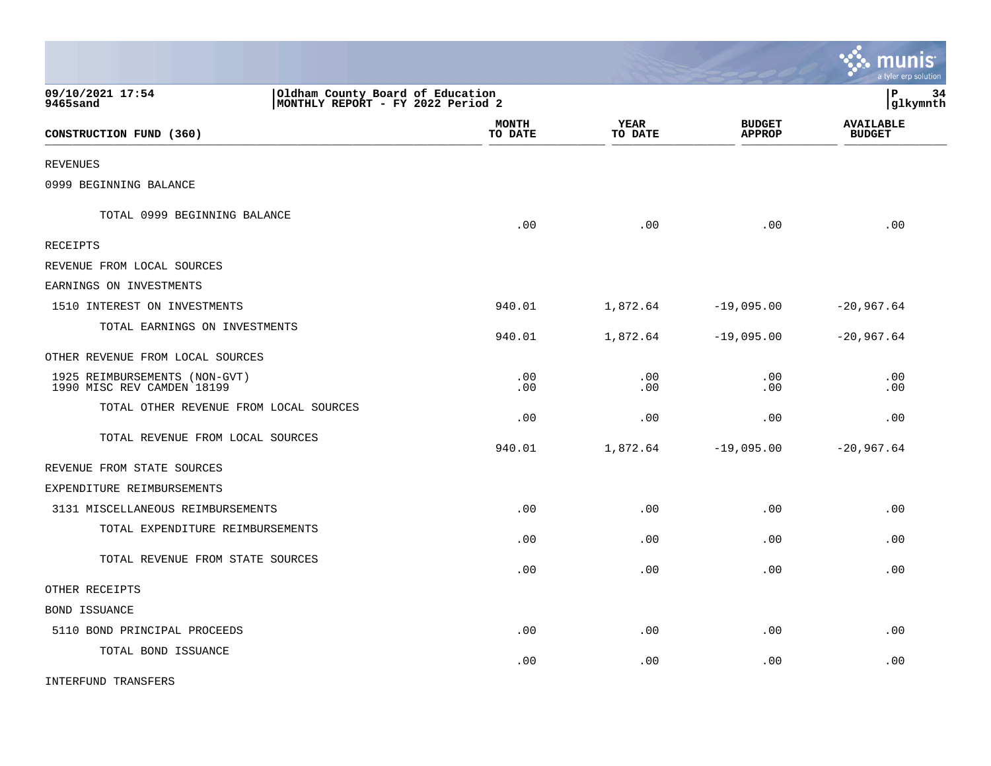|                                                                  |                                   |                        |                                | munis<br>a tyler erp solution     |
|------------------------------------------------------------------|-----------------------------------|------------------------|--------------------------------|-----------------------------------|
| 09/10/2021 17:54<br>Oldham County Board of Education<br>9465sand | MONTHLY REPORT - FY 2022 Period 2 |                        |                                | lР<br>34<br> glkymnth             |
| CONSTRUCTION FUND (360)                                          | <b>MONTH</b><br>TO DATE           | <b>YEAR</b><br>TO DATE | <b>BUDGET</b><br><b>APPROP</b> | <b>AVAILABLE</b><br><b>BUDGET</b> |
| <b>REVENUES</b>                                                  |                                   |                        |                                |                                   |
| 0999 BEGINNING BALANCE                                           |                                   |                        |                                |                                   |
| TOTAL 0999 BEGINNING BALANCE                                     | .00                               | .00                    | .00                            | .00                               |
| <b>RECEIPTS</b>                                                  |                                   |                        |                                |                                   |
| REVENUE FROM LOCAL SOURCES                                       |                                   |                        |                                |                                   |
| EARNINGS ON INVESTMENTS                                          |                                   |                        |                                |                                   |
| 1510 INTEREST ON INVESTMENTS                                     | 940.01                            | 1,872.64               | $-19,095.00$                   | $-20,967.64$                      |
| TOTAL EARNINGS ON INVESTMENTS                                    | 940.01                            | 1,872.64               | $-19,095.00$                   | $-20,967.64$                      |
| OTHER REVENUE FROM LOCAL SOURCES                                 |                                   |                        |                                |                                   |
| 1925 REIMBURSEMENTS (NON-GVT)<br>1990 MISC REV CAMDEN 18199      | .00<br>.00                        | .00<br>.00             | .00<br>.00                     | .00<br>.00                        |
| TOTAL OTHER REVENUE FROM LOCAL SOURCES                           | .00                               | .00                    | .00                            | .00                               |
| TOTAL REVENUE FROM LOCAL SOURCES                                 | 940.01                            | 1,872.64               | $-19,095.00$                   | $-20,967.64$                      |
| REVENUE FROM STATE SOURCES                                       |                                   |                        |                                |                                   |
| EXPENDITURE REIMBURSEMENTS                                       |                                   |                        |                                |                                   |
| 3131 MISCELLANEOUS REIMBURSEMENTS                                | .00                               | .00                    | .00                            | .00                               |
| TOTAL EXPENDITURE REIMBURSEMENTS                                 | .00                               | .00                    | .00                            | .00                               |
| TOTAL REVENUE FROM STATE SOURCES                                 | .00                               | .00                    | .00                            | .00                               |
| OTHER RECEIPTS                                                   |                                   |                        |                                |                                   |
| BOND ISSUANCE                                                    |                                   |                        |                                |                                   |
| 5110 BOND PRINCIPAL PROCEEDS                                     | .00                               | .00                    | .00                            | .00                               |
| TOTAL BOND ISSUANCE                                              | .00                               | .00                    | .00                            | .00                               |
| INTERFUND TRANSFERS                                              |                                   |                        |                                |                                   |

 $\mathcal{L}$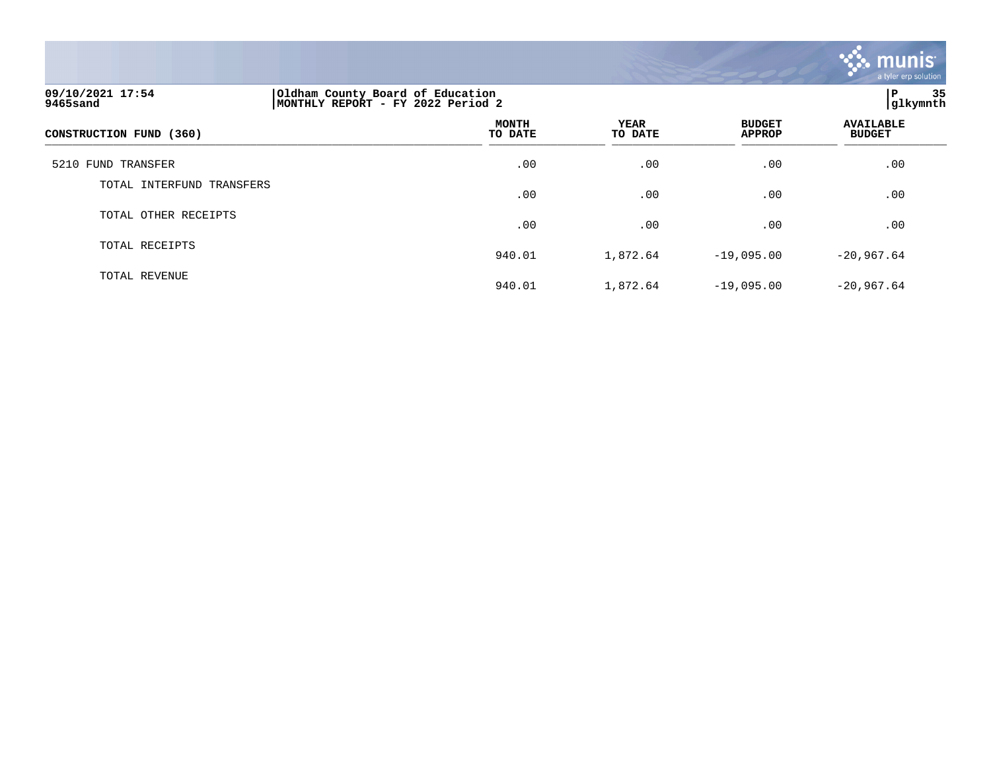

# **09/10/2021 17:54 |Oldham County Board of Education |P 35 9465sand |MONTHLY REPORT - FY 2022 Period 2 |glkymnth MONTH AVAILABLE YEAR BUDGET** AVAILABLE **CONSTRUCTION FUND (360) TO DATE TO DATE APPROP BUDGET**   $\overline{10 \text{ MHz}}$  and  $\overline{10 \text{ MHz}}$  and  $\overline{10 \text{ MHz}}$  and  $\overline{10 \text{ MHz}}$  and  $\overline{10 \text{ MHz}}$  and  $\overline{10 \text{ MHz}}$  and  $\overline{10 \text{ MHz}}$  and  $\overline{10 \text{ MHz}}$  and  $\overline{10 \text{ MHz}}$  and  $\overline{10 \text{ MHz}}$  and  $\overline{10 \text{ MHz}}$  and  $\overline{10 \text{ MHz}}$  and  $\overline{$ 5210 FUND TRANSFER .00 .00 .00 .00 TOTAL INTERFUND TRANSFERS  $.00$  .  $.00$  .  $.00$  .  $.00$  .  $.00$  .  $.00$  .  $.00$  .  $.00$  .  $.00$  .  $.00$  .  $.00$  .  $.00$  .  $.00$  .  $.00$  .  $.00$  .  $.00$  .  $.00$  .  $.00$  .  $.00$  .  $.00$  .  $.00$  .  $.00$  .  $.00$  .  $.00$  .  $.00$  .  $.00$  .  $.00$  .  $.00$ TOTAL OTHER RECEIPTS  $.00$  .  $.00$  .  $.00$  .  $.00$  .  $.00$  .  $.00$  .  $.00$  .  $.00$  .  $.00$  .  $.00$  .  $.00$  .  $.00$  .  $.00$  .  $.00$  .  $.00$  .  $.00$  .  $.00$  .  $.00$  .  $.00$  .  $.00$  .  $.00$  .  $.00$  .  $.00$  .  $.00$  .  $.00$  .  $.00$  .  $.00$  .  $.00$ TOTAL RECEIPTS 940.01 1,872.64 -19,095.00 -20,967.64 TOTAL REVENUE 940.01 1,872.64 -19,095.00 -20,967.64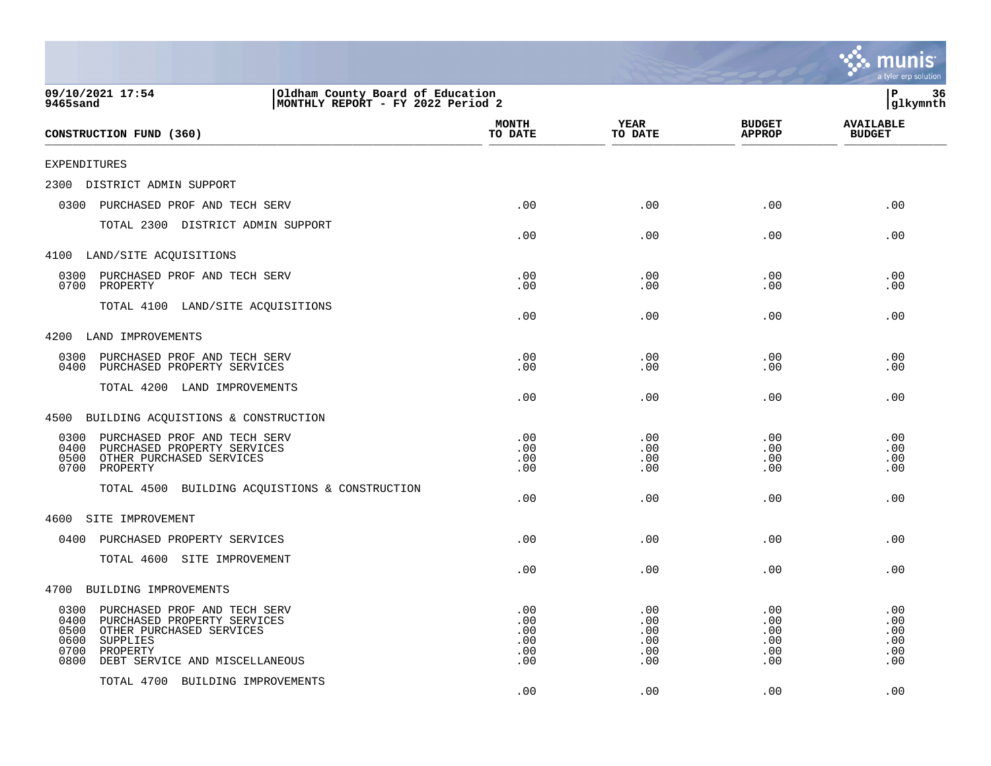|                                                                                                                                                                                                   |                                        |                                        |                                        | mu<br>a tyler erp solution             |
|---------------------------------------------------------------------------------------------------------------------------------------------------------------------------------------------------|----------------------------------------|----------------------------------------|----------------------------------------|----------------------------------------|
| 09/10/2021 17:54<br>Oldham County Board of Education<br>MONTHLY REPORT - FY 2022 Period 2<br><b>9465sand</b>                                                                                      |                                        |                                        |                                        | ΙP<br>36<br>glkymnth                   |
| CONSTRUCTION FUND (360)                                                                                                                                                                           | <b>MONTH</b><br>TO DATE                | <b>YEAR</b><br>TO DATE                 | <b>BUDGET</b><br><b>APPROP</b>         | <b>AVAILABLE</b><br><b>BUDGET</b>      |
| <b>EXPENDITURES</b>                                                                                                                                                                               |                                        |                                        |                                        |                                        |
| 2300<br>DISTRICT ADMIN SUPPORT                                                                                                                                                                    |                                        |                                        |                                        |                                        |
| 0300<br>PURCHASED PROF AND TECH SERV                                                                                                                                                              | .00                                    | .00                                    | .00                                    | .00                                    |
| TOTAL 2300 DISTRICT ADMIN SUPPORT                                                                                                                                                                 | .00                                    | .00                                    | .00                                    | .00                                    |
| 4100 LAND/SITE ACQUISITIONS                                                                                                                                                                       |                                        |                                        |                                        |                                        |
| PURCHASED PROF AND TECH SERV<br>0300<br>0700<br>PROPERTY                                                                                                                                          | .00<br>.00                             | .00<br>.00                             | .00<br>.00                             | .00<br>.00                             |
| TOTAL 4100 LAND/SITE ACQUISITIONS                                                                                                                                                                 | .00                                    | .00                                    | .00                                    | .00                                    |
| 4200<br>LAND IMPROVEMENTS                                                                                                                                                                         |                                        |                                        |                                        |                                        |
| 0300<br>PURCHASED PROF AND TECH SERV<br>0400<br>PURCHASED PROPERTY SERVICES                                                                                                                       | .00<br>.00                             | .00<br>.00                             | .00<br>.00                             | .00<br>.00                             |
| TOTAL 4200 LAND IMPROVEMENTS                                                                                                                                                                      | .00                                    | .00                                    | .00                                    | .00                                    |
| 4500<br>BUILDING ACQUISTIONS & CONSTRUCTION                                                                                                                                                       |                                        |                                        |                                        |                                        |
| 0300<br>PURCHASED PROF AND TECH SERV<br>0400<br>PURCHASED PROPERTY SERVICES<br>OTHER PURCHASED SERVICES<br>0500<br>0700<br>PROPERTY<br>TOTAL 4500 BUILDING ACQUISTIONS & CONSTRUCTION             | .00<br>.00<br>.00<br>.00               | .00<br>.00<br>.00<br>.00               | .00<br>.00<br>.00<br>.00               | .00<br>.00<br>.00<br>.00               |
|                                                                                                                                                                                                   | .00                                    | .00                                    | .00                                    | .00                                    |
| SITE IMPROVEMENT<br>4600                                                                                                                                                                          |                                        |                                        |                                        |                                        |
| 0400 PURCHASED PROPERTY SERVICES                                                                                                                                                                  | .00                                    | .00                                    | .00.                                   | .00                                    |
| TOTAL 4600 SITE IMPROVEMENT                                                                                                                                                                       | .00                                    | .00                                    | .00                                    | .00                                    |
| 4700 BUILDING IMPROVEMENTS                                                                                                                                                                        |                                        |                                        |                                        |                                        |
| 0300<br>PURCHASED PROF AND TECH SERV<br>0400<br>PURCHASED PROPERTY SERVICES<br>0500<br>OTHER PURCHASED SERVICES<br>0600<br>SUPPLIES<br>0700<br>PROPERTY<br>0800<br>DEBT SERVICE AND MISCELLANEOUS | .00<br>.00<br>.00<br>.00<br>.00<br>.00 | .00<br>.00<br>.00<br>.00<br>.00<br>.00 | .00<br>.00<br>.00<br>.00<br>.00<br>.00 | .00<br>.00<br>.00<br>.00<br>.00<br>.00 |
| TOTAL 4700 BUILDING IMPROVEMENTS                                                                                                                                                                  | .00                                    | .00                                    | .00                                    | .00                                    |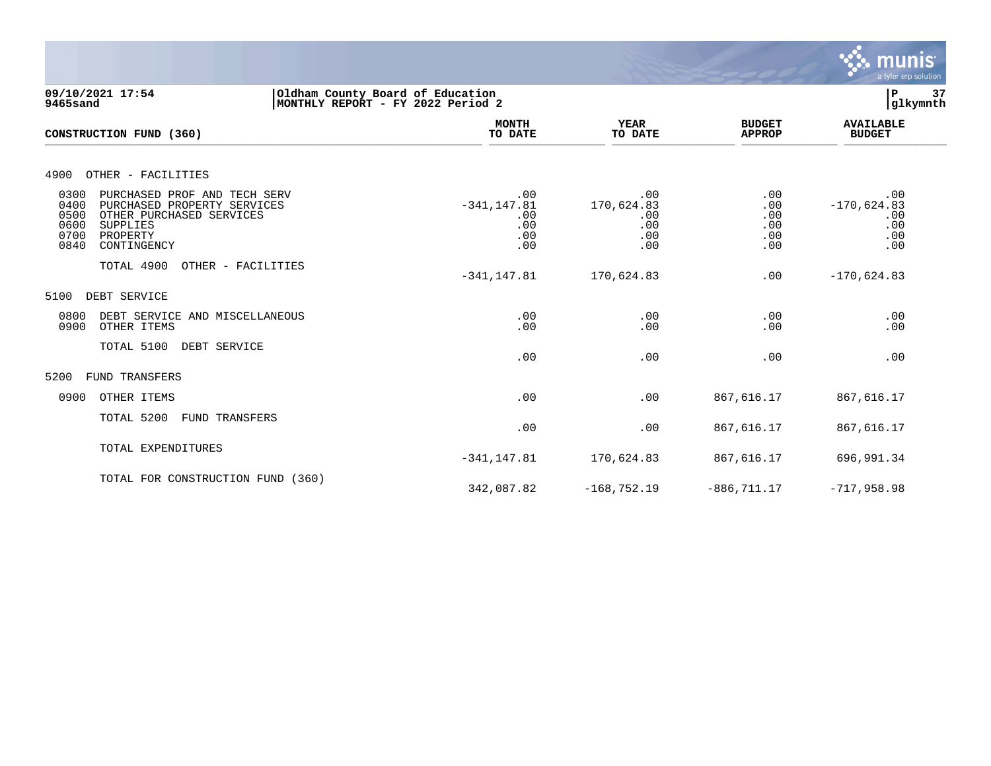

**09/10/2021 17:54 |Oldham County Board of Education |P 37 9465sand |MONTHLY REPORT - FY 2022 Period 2 |glkymnth MONTH AVAILABLE YEAR BUDGET** AVAILABLE **CONSTRUCTION FUND (360) TO DATE TO DATE APPROP BUDGET**   $\overline{10 \text{ MHz}}$  and  $\overline{10 \text{ MHz}}$  and  $\overline{10 \text{ MHz}}$  and  $\overline{10 \text{ MHz}}$  and  $\overline{10 \text{ MHz}}$  and  $\overline{10 \text{ MHz}}$  and  $\overline{10 \text{ MHz}}$  and  $\overline{10 \text{ MHz}}$  and  $\overline{10 \text{ MHz}}$  and  $\overline{10 \text{ MHz}}$  and  $\overline{10 \text{ MHz}}$  and  $\overline{10 \text{ MHz}}$  and  $\overline{$ 4900 OTHER - FACILITIES 0300 PURCHASED PROF AND TECH SERV .00 .00 .00 .00 0400 PURCHASED PROPERTY SERVICES -341,147.81 170,624.83 .00 -170,624.83 0500 OTHER PURCHASED SERVICES .00 .00 .00 .00 0600 SUPPLIES .00 .00 .00 .00 0700 PROPERTY .00 .00 .00 .00 0700 PROPERTY ... 00 ... 00 ... 00 ... 00 ... 00 ... 00 ... 00 ... 00 ... 00 ... 00 ... 00 ... 00 ... 00 ... 0<br>00 ... 00 ... 00 ... 00 ... 00 ... 00 ... 00 ... 00 ... 00 ... 00 ... 00 ... 00 ... 00 ... 00 ... 00 ... 00 .. TOTAL 4900 OTHER - FACILITIES -341,147.81 170,624.83 .00 -170,624.83 5100 DEBT SERVICE 0800 DEBT SERVICE AND MISCELLANEOUS .00 .00 .00 .00 0900 OTHER ITEMS TOTAL 5100 DEBT SERVICE  $.00$  .  $.00$  .  $.00$  .  $.00$  .  $.00$  .  $.00$  .  $.00$  .  $.00$  .  $.00$  .  $.00$  .  $.00$  .  $.00$  .  $.00$  .  $.00$  .  $.00$  .  $.00$  .  $.00$  .  $.00$  .  $.00$  .  $.00$  .  $.00$  .  $.00$  .  $.00$  .  $.00$  .  $.00$  .  $.00$  .  $.00$  .  $.00$ 5200 FUND TRANSFERS 0900 OTHER ITEMS .00 .00 867,616.17 867,616.17 TOTAL 5200 FUND TRANSFERS .00 .00 867,616.17 867,616.17 TOTAL EXPENDITURES -341,147.81 170,624.83 867,616.17 696,991.34 TOTAL FOR CONSTRUCTION FUND (360) 342,087.82 -168,752.19 -886,711.17 -717,958.98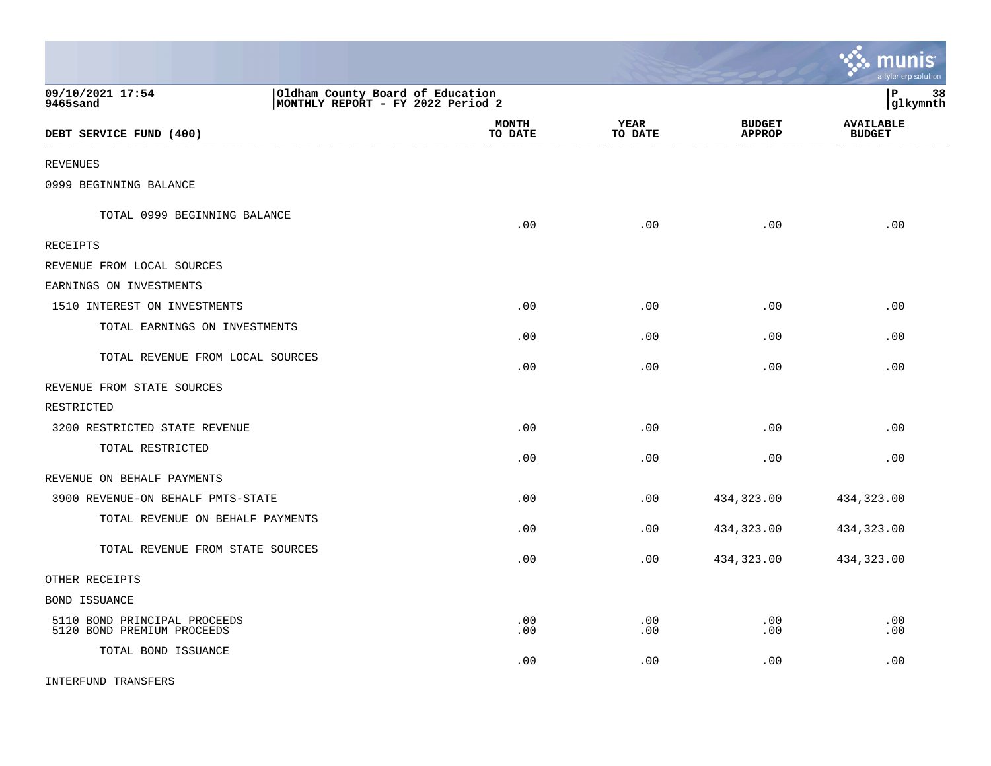|                                                            |                                                                       |                         |                        |                                | <u>munis</u><br>a tyler erp solution |
|------------------------------------------------------------|-----------------------------------------------------------------------|-------------------------|------------------------|--------------------------------|--------------------------------------|
| 09/10/2021 17:54<br>9465sand                               | Oldham County Board of Education<br>MONTHLY REPORT - FY 2022 Period 2 |                         |                        |                                | 38<br>lР<br> glkymnth                |
| DEBT SERVICE FUND (400)                                    |                                                                       | <b>MONTH</b><br>TO DATE | <b>YEAR</b><br>TO DATE | <b>BUDGET</b><br><b>APPROP</b> | <b>AVAILABLE</b><br><b>BUDGET</b>    |
| <b>REVENUES</b>                                            |                                                                       |                         |                        |                                |                                      |
| 0999 BEGINNING BALANCE                                     |                                                                       |                         |                        |                                |                                      |
| TOTAL 0999 BEGINNING BALANCE                               |                                                                       | .00                     | .00                    | .00                            | .00                                  |
| RECEIPTS                                                   |                                                                       |                         |                        |                                |                                      |
| REVENUE FROM LOCAL SOURCES                                 |                                                                       |                         |                        |                                |                                      |
| EARNINGS ON INVESTMENTS                                    |                                                                       |                         |                        |                                |                                      |
| 1510 INTEREST ON INVESTMENTS                               |                                                                       | .00                     | .00                    | .00                            | .00                                  |
| TOTAL EARNINGS ON INVESTMENTS                              |                                                                       | .00                     | .00                    | .00                            | .00                                  |
| TOTAL REVENUE FROM LOCAL SOURCES                           |                                                                       | .00                     | .00                    | .00                            | .00                                  |
| REVENUE FROM STATE SOURCES                                 |                                                                       |                         |                        |                                |                                      |
| RESTRICTED                                                 |                                                                       |                         |                        |                                |                                      |
| 3200 RESTRICTED STATE REVENUE                              |                                                                       | .00                     | .00                    | .00                            | .00                                  |
| TOTAL RESTRICTED                                           |                                                                       | .00                     | .00                    | .00                            | .00                                  |
| REVENUE ON BEHALF PAYMENTS                                 |                                                                       |                         |                        |                                |                                      |
| 3900 REVENUE-ON BEHALF PMTS-STATE                          |                                                                       | .00                     | .00                    | 434,323.00                     | 434,323.00                           |
| TOTAL REVENUE ON BEHALF PAYMENTS                           |                                                                       | .00                     | .00                    | 434,323.00                     | 434,323.00                           |
| TOTAL REVENUE FROM STATE SOURCES                           |                                                                       | .00                     | .00                    | 434,323.00                     | 434,323.00                           |
| OTHER RECEIPTS                                             |                                                                       |                         |                        |                                |                                      |
| BOND ISSUANCE                                              |                                                                       |                         |                        |                                |                                      |
| 5110 BOND PRINCIPAL PROCEEDS<br>5120 BOND PREMIUM PROCEEDS |                                                                       | .00<br>.00              | .00<br>.00             | .00<br>.00                     | .00<br>.00                           |
| TOTAL BOND ISSUANCE                                        |                                                                       | .00                     | .00                    | .00                            | .00                                  |
| INTERFUND TRANSFERS                                        |                                                                       |                         |                        |                                |                                      |

 $\mathcal{L}$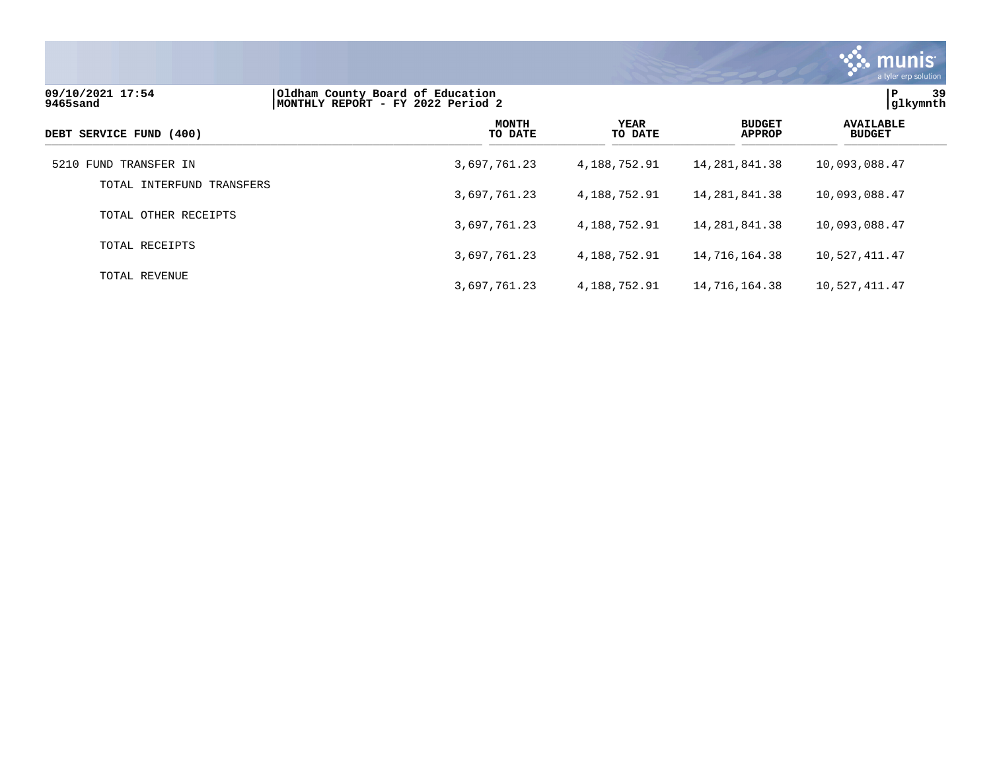

| 09/10/2021 17:54<br>9465sand | Oldham County Board of Education<br>MONTHLY REPORT - FY 2022 Period 2 |                         |                        |                                | 39<br>Р<br>glkymnth               |
|------------------------------|-----------------------------------------------------------------------|-------------------------|------------------------|--------------------------------|-----------------------------------|
| DEBT SERVICE FUND (400)      |                                                                       | <b>MONTH</b><br>TO DATE | <b>YEAR</b><br>TO DATE | <b>BUDGET</b><br><b>APPROP</b> | <b>AVAILABLE</b><br><b>BUDGET</b> |
| 5210 FUND TRANSFER IN        |                                                                       | 3,697,761.23            | 4,188,752.91           | 14,281,841.38                  | 10,093,088.47                     |
| TOTAL INTERFUND TRANSFERS    |                                                                       | 3,697,761.23            | 4,188,752.91           | 14,281,841.38                  | 10,093,088.47                     |
| TOTAL OTHER RECEIPTS         |                                                                       | 3,697,761.23            | 4,188,752.91           | 14,281,841.38                  | 10,093,088.47                     |
| TOTAL RECEIPTS               |                                                                       | 3,697,761.23            | 4,188,752.91           | 14,716,164.38                  | 10,527,411.47                     |
| TOTAL REVENUE                |                                                                       | 3,697,761.23            | 4,188,752.91           | 14,716,164.38                  | 10,527,411.47                     |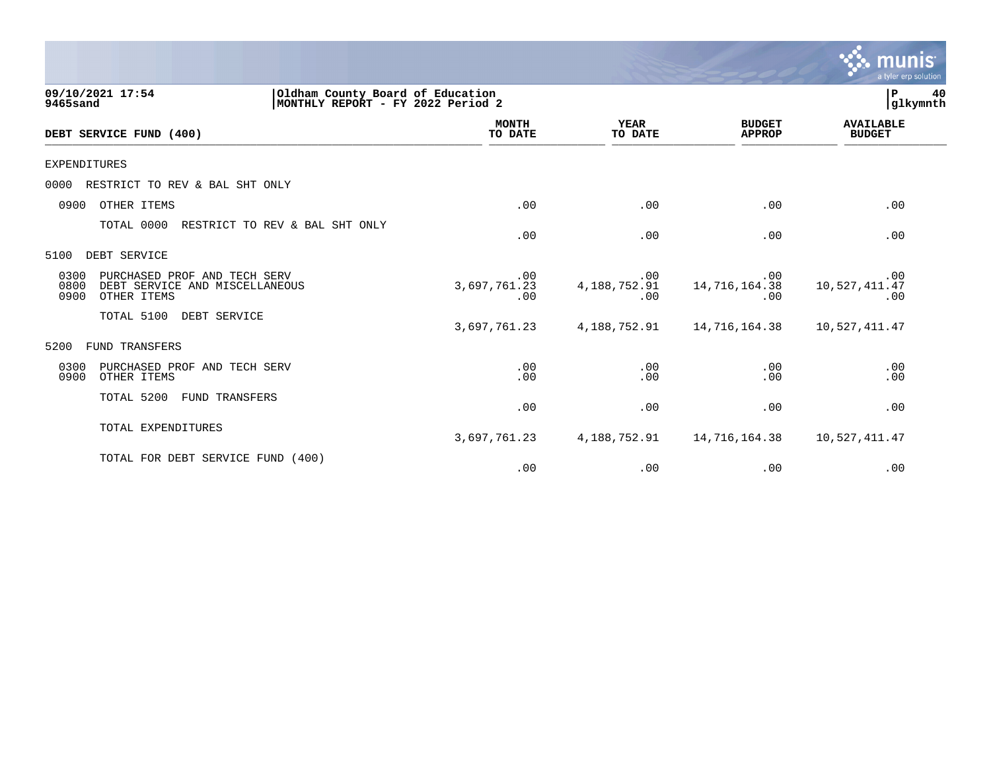|                                                                                                       |                                                                       |                               |                                | a tyler erp solution              |
|-------------------------------------------------------------------------------------------------------|-----------------------------------------------------------------------|-------------------------------|--------------------------------|-----------------------------------|
| 09/10/2021 17:54<br>9465sand                                                                          | Oldham County Board of Education<br>MONTHLY REPORT - FY 2022 Period 2 |                               |                                | 40<br>P<br>glkymnth               |
| DEBT SERVICE FUND (400)                                                                               | <b>MONTH</b><br>TO DATE                                               | <b>YEAR</b><br>TO DATE        | <b>BUDGET</b><br><b>APPROP</b> | <b>AVAILABLE</b><br><b>BUDGET</b> |
| <b>EXPENDITURES</b>                                                                                   |                                                                       |                               |                                |                                   |
| RESTRICT TO REV & BAL SHT ONLY<br>0000                                                                |                                                                       |                               |                                |                                   |
| OTHER ITEMS<br>0900                                                                                   | .00                                                                   | .00                           | .00                            | .00                               |
| TOTAL 0000<br>RESTRICT TO REV & BAL SHT ONLY                                                          | .00                                                                   | .00                           | .00                            | .00                               |
| DEBT SERVICE<br>5100                                                                                  |                                                                       |                               |                                |                                   |
| 0300<br>PURCHASED PROF AND TECH SERV<br>0800<br>DEBT SERVICE AND MISCELLANEOUS<br>0900<br>OTHER ITEMS | .00<br>3,697,761.23<br>.00                                            | .00<br>4, 188, 752. 91<br>.00 | .00<br>14,716,164.38<br>.00    | .00<br>10,527,411.47<br>.00       |
| TOTAL 5100<br>DEBT SERVICE                                                                            | 3,697,761.23                                                          | 4, 188, 752. 91               | 14,716,164.38                  | 10,527,411.47                     |
| <b>FUND TRANSFERS</b><br>5200                                                                         |                                                                       |                               |                                |                                   |
| 0300<br>PURCHASED PROF AND TECH SERV<br>0900<br>OTHER ITEMS                                           | .00<br>.00                                                            | .00<br>.00                    | .00<br>.00                     | .00<br>.00                        |
| TOTAL 5200<br>FUND TRANSFERS                                                                          | .00                                                                   | .00                           | .00                            | .00                               |
| TOTAL EXPENDITURES                                                                                    | 3,697,761.23                                                          | 4,188,752.91                  | 14,716,164.38                  | 10,527,411.47                     |
| TOTAL FOR DEBT SERVICE FUND<br>(400)                                                                  | .00                                                                   | .00                           | .00                            | .00                               |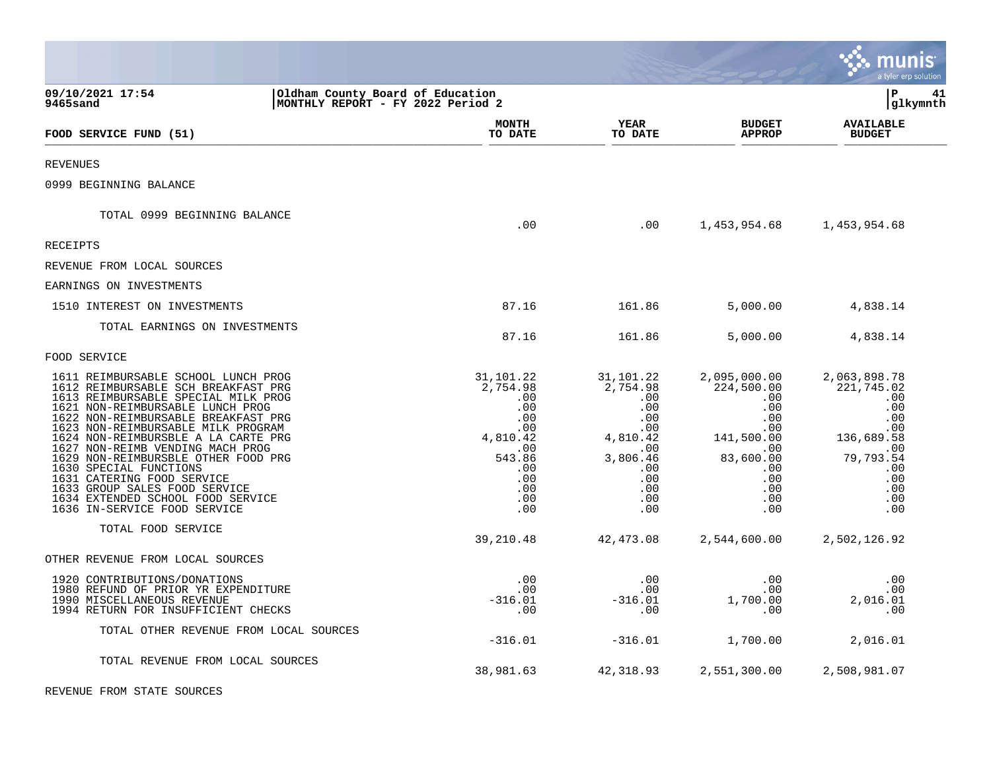|                                                                                                                                                                                                                                                                                                                                                                                                                                                                                                                    |                                                                                                                   |                                                                                                                     |                                                                                                                             | IS<br>a tyler erp solution                                                                                                  |
|--------------------------------------------------------------------------------------------------------------------------------------------------------------------------------------------------------------------------------------------------------------------------------------------------------------------------------------------------------------------------------------------------------------------------------------------------------------------------------------------------------------------|-------------------------------------------------------------------------------------------------------------------|---------------------------------------------------------------------------------------------------------------------|-----------------------------------------------------------------------------------------------------------------------------|-----------------------------------------------------------------------------------------------------------------------------|
| 09/10/2021 17:54<br>Oldham County Board of Education<br>MONTHLY REPORT - FY 2022 Period 2<br>9465sand                                                                                                                                                                                                                                                                                                                                                                                                              |                                                                                                                   |                                                                                                                     |                                                                                                                             | lР<br>41<br> glkymnth                                                                                                       |
| FOOD SERVICE FUND (51)                                                                                                                                                                                                                                                                                                                                                                                                                                                                                             | <b>MONTH</b><br>TO DATE                                                                                           | <b>YEAR</b><br>TO DATE                                                                                              | <b>BUDGET</b><br><b>APPROP</b>                                                                                              | <b>AVAILABLE</b><br><b>BUDGET</b>                                                                                           |
| <b>REVENUES</b>                                                                                                                                                                                                                                                                                                                                                                                                                                                                                                    |                                                                                                                   |                                                                                                                     |                                                                                                                             |                                                                                                                             |
| 0999 BEGINNING BALANCE                                                                                                                                                                                                                                                                                                                                                                                                                                                                                             |                                                                                                                   |                                                                                                                     |                                                                                                                             |                                                                                                                             |
| TOTAL 0999 BEGINNING BALANCE                                                                                                                                                                                                                                                                                                                                                                                                                                                                                       | .00                                                                                                               | .00                                                                                                                 | 1,453,954.68                                                                                                                | 1,453,954.68                                                                                                                |
| RECEIPTS                                                                                                                                                                                                                                                                                                                                                                                                                                                                                                           |                                                                                                                   |                                                                                                                     |                                                                                                                             |                                                                                                                             |
| REVENUE FROM LOCAL SOURCES                                                                                                                                                                                                                                                                                                                                                                                                                                                                                         |                                                                                                                   |                                                                                                                     |                                                                                                                             |                                                                                                                             |
| EARNINGS ON INVESTMENTS                                                                                                                                                                                                                                                                                                                                                                                                                                                                                            |                                                                                                                   |                                                                                                                     |                                                                                                                             |                                                                                                                             |
| 1510 INTEREST ON INVESTMENTS                                                                                                                                                                                                                                                                                                                                                                                                                                                                                       | 87.16                                                                                                             | 161.86                                                                                                              | 5,000.00                                                                                                                    | 4,838.14                                                                                                                    |
| TOTAL EARNINGS ON INVESTMENTS                                                                                                                                                                                                                                                                                                                                                                                                                                                                                      | 87.16                                                                                                             | 161.86                                                                                                              | 5,000.00                                                                                                                    | 4,838.14                                                                                                                    |
| FOOD SERVICE                                                                                                                                                                                                                                                                                                                                                                                                                                                                                                       |                                                                                                                   |                                                                                                                     |                                                                                                                             |                                                                                                                             |
| 1611 REIMBURSABLE SCHOOL LUNCH PROG<br>1612 REIMBURSABLE SCH BREAKFAST PRG<br>1613 REIMBURSABLE SPECIAL MILK PROG<br>1621 NON-REIMBURSABLE LUNCH PROG<br>1622 NON-REIMBURSABLE BREAKFAST PRG<br>1623 NON-REIMBURSABLE MILK PROGRAM<br>1624 NON-REIMBURSBLE A LA CARTE PRG<br>1627 NON-REIMB VENDING MACH PROG<br>1629 NON-REIMBURSBLE OTHER FOOD PRG<br>1630 SPECIAL FUNCTIONS<br>1631 CATERING FOOD SERVICE<br>1633 GROUP SALES FOOD SERVICE<br>1634 EXTENDED SCHOOL FOOD SERVICE<br>1636 IN-SERVICE FOOD SERVICE | 31,101.22<br>2,754.98<br>.00<br>.00<br>.00<br>.00<br>4,810.42<br>.00<br>543.86<br>.00<br>.00<br>.00<br>.00<br>.00 | 31,101.22<br>2,754.98<br>.00<br>.00<br>.00<br>.00<br>4,810.42<br>.00<br>3,806.46<br>.00<br>.00<br>.00<br>.00<br>.00 | 2,095,000.00<br>224,500.00<br>.00<br>.00<br>.00<br>.00<br>141,500.00<br>.00<br>83,600.00<br>.00<br>.00<br>.00<br>.00<br>.00 | 2,063,898.78<br>221,745.02<br>.00<br>.00<br>.00<br>.00<br>136,689.58<br>.00<br>79,793.54<br>.00<br>.00<br>.00<br>.00<br>.00 |
| TOTAL FOOD SERVICE                                                                                                                                                                                                                                                                                                                                                                                                                                                                                                 | 39,210.48                                                                                                         | 42, 473.08                                                                                                          | 2,544,600.00                                                                                                                | 2,502,126.92                                                                                                                |
| OTHER REVENUE FROM LOCAL SOURCES                                                                                                                                                                                                                                                                                                                                                                                                                                                                                   |                                                                                                                   |                                                                                                                     |                                                                                                                             |                                                                                                                             |
| 1920 CONTRIBUTIONS/DONATIONS<br>1980 REFUND OF PRIOR YR EXPENDITURE<br>1990 MISCELLANEOUS REVENUE<br>1994 RETURN FOR INSUFFICIENT CHECKS                                                                                                                                                                                                                                                                                                                                                                           | .00<br>.00<br>$-316.01$<br>.00                                                                                    | .00<br>.00<br>$-316.01$<br>.00                                                                                      | .00<br>.00<br>1,700.00<br>.00                                                                                               | .00<br>.00<br>2,016.01<br>.00                                                                                               |
| TOTAL OTHER REVENUE FROM LOCAL SOURCES                                                                                                                                                                                                                                                                                                                                                                                                                                                                             | $-316.01$                                                                                                         | $-316.01$                                                                                                           | 1,700.00                                                                                                                    | 2,016.01                                                                                                                    |
| TOTAL REVENUE FROM LOCAL SOURCES                                                                                                                                                                                                                                                                                                                                                                                                                                                                                   | 38,981.63                                                                                                         | 42,318.93                                                                                                           | 2,551,300.00                                                                                                                | 2,508,981.07                                                                                                                |

**Contract Contract** 

REVENUE FROM STATE SOURCES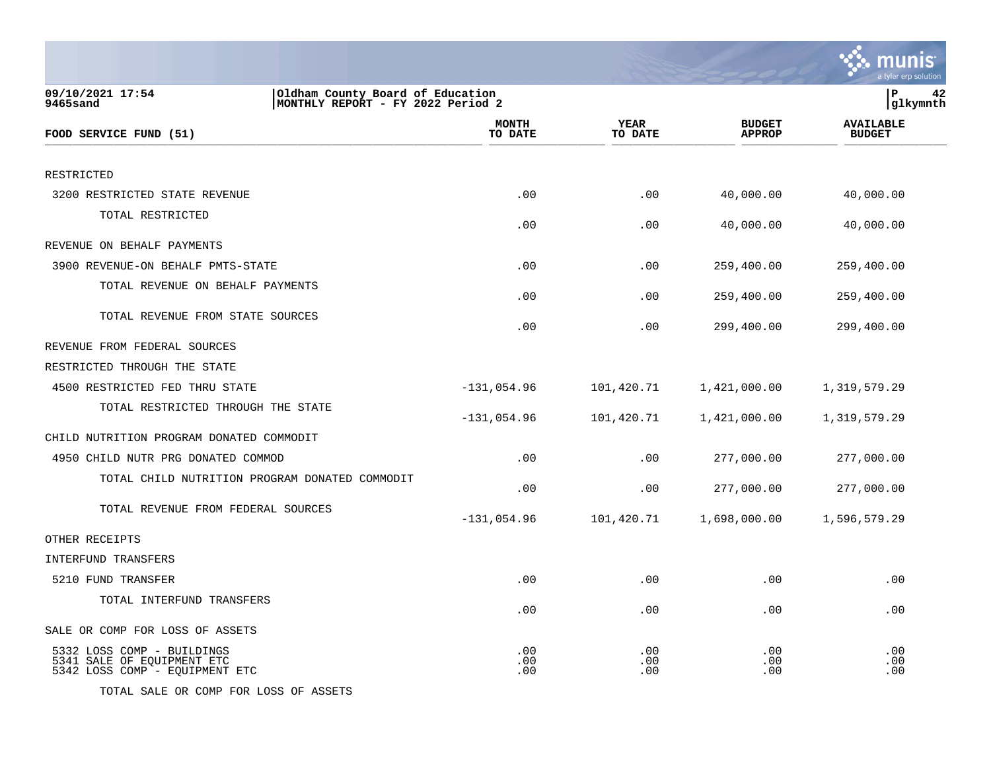|                                                                                                       |                         |                        |                                | a tyler erp solution              |
|-------------------------------------------------------------------------------------------------------|-------------------------|------------------------|--------------------------------|-----------------------------------|
| 09/10/2021 17:54<br>Oldham County Board of Education<br>9465sand<br>MONTHLY REPORT - FY 2022 Period 2 |                         |                        |                                | lР<br>42<br> glkymnth             |
| FOOD SERVICE FUND (51)                                                                                | <b>MONTH</b><br>TO DATE | <b>YEAR</b><br>TO DATE | <b>BUDGET</b><br><b>APPROP</b> | <b>AVAILABLE</b><br><b>BUDGET</b> |
| RESTRICTED                                                                                            |                         |                        |                                |                                   |
| 3200 RESTRICTED STATE REVENUE                                                                         | .00                     | .00                    | 40,000.00                      | 40,000.00                         |
| TOTAL RESTRICTED                                                                                      | .00                     | .00                    | 40,000.00                      | 40,000.00                         |
| REVENUE ON BEHALF PAYMENTS                                                                            |                         |                        |                                |                                   |
| 3900 REVENUE-ON BEHALF PMTS-STATE                                                                     | .00                     | .00                    | 259,400.00                     | 259,400.00                        |
| TOTAL REVENUE ON BEHALF PAYMENTS                                                                      | .00                     | .00                    | 259,400.00                     | 259,400.00                        |
| TOTAL REVENUE FROM STATE SOURCES                                                                      | .00                     | .00                    | 299,400.00                     | 299,400.00                        |
| REVENUE FROM FEDERAL SOURCES                                                                          |                         |                        |                                |                                   |
| RESTRICTED THROUGH THE STATE                                                                          |                         |                        |                                |                                   |
| 4500 RESTRICTED FED THRU STATE                                                                        | $-131,054.96$           | 101,420.71             | 1,421,000.00                   | 1,319,579.29                      |
| TOTAL RESTRICTED THROUGH THE STATE                                                                    | $-131,054.96$           | 101,420.71             | 1,421,000.00                   | 1,319,579.29                      |
| CHILD NUTRITION PROGRAM DONATED COMMODIT                                                              |                         |                        |                                |                                   |
| 4950 CHILD NUTR PRG DONATED COMMOD                                                                    | .00                     | .00                    | 277,000.00                     | 277,000.00                        |
| TOTAL CHILD NUTRITION PROGRAM DONATED COMMODIT                                                        | .00                     | .00                    | 277,000.00                     | 277,000.00                        |
| TOTAL REVENUE FROM FEDERAL SOURCES                                                                    | $-131,054.96$           | 101,420.71             | 1,698,000.00                   | 1,596,579.29                      |
| OTHER RECEIPTS                                                                                        |                         |                        |                                |                                   |
| INTERFUND TRANSFERS                                                                                   |                         |                        |                                |                                   |
| 5210 FUND TRANSFER                                                                                    | .00                     | .00                    | .00                            | .00                               |
| TOTAL INTERFUND TRANSFERS                                                                             | .00                     | .00                    | .00                            | .00                               |
| SALE OR COMP FOR LOSS OF ASSETS                                                                       |                         |                        |                                |                                   |
| 5332 LOSS COMP - BUILDINGS<br>5341 SALE OF EQUIPMENT ETC<br>5342 LOSS COMP - EQUIPMENT ETC            | .00<br>.00<br>.00       | .00<br>.00<br>.00      | .00<br>.00<br>.00              | .00<br>.00<br>.00                 |

TOTAL SALE OR COMP FOR LOSS OF ASSETS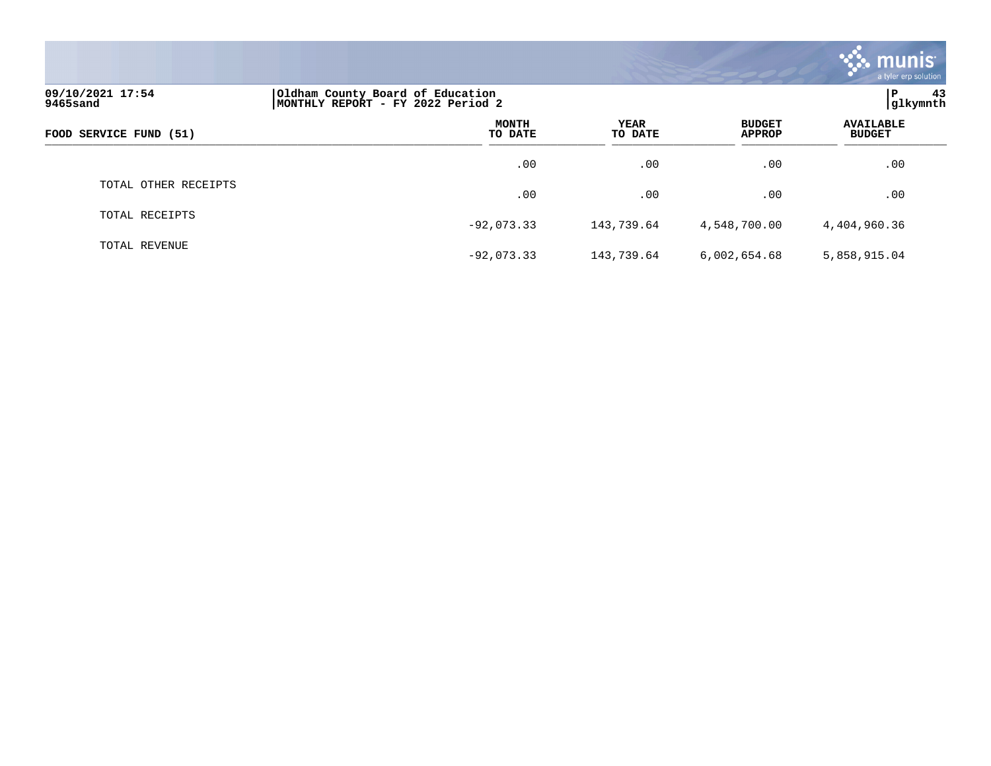|                              |                                                                       |                        |                                | <b>munis</b><br>a tyler erp solution |
|------------------------------|-----------------------------------------------------------------------|------------------------|--------------------------------|--------------------------------------|
| 09/10/2021 17:54<br>9465sand | Oldham County Board of Education<br>MONTHLY REPORT - FY 2022 Period 2 |                        |                                | ∣P<br>43<br>glkymnth                 |
| FOOD SERVICE FUND (51)       | <b>MONTH</b><br>TO DATE                                               | <b>YEAR</b><br>TO DATE | <b>BUDGET</b><br><b>APPROP</b> | <b>AVAILABLE</b><br><b>BUDGET</b>    |
|                              | .00                                                                   | .00                    | .00                            | .00                                  |
| TOTAL OTHER RECEIPTS         | .00                                                                   | .00                    | .00                            | .00                                  |
| TOTAL RECEIPTS               | $-92,073.33$                                                          | 143,739.64             | 4,548,700.00                   | 4,404,960.36                         |
| TOTAL REVENUE                | $-92,073.33$                                                          | 143,739.64             | 6,002,654.68                   | 5,858,915.04                         |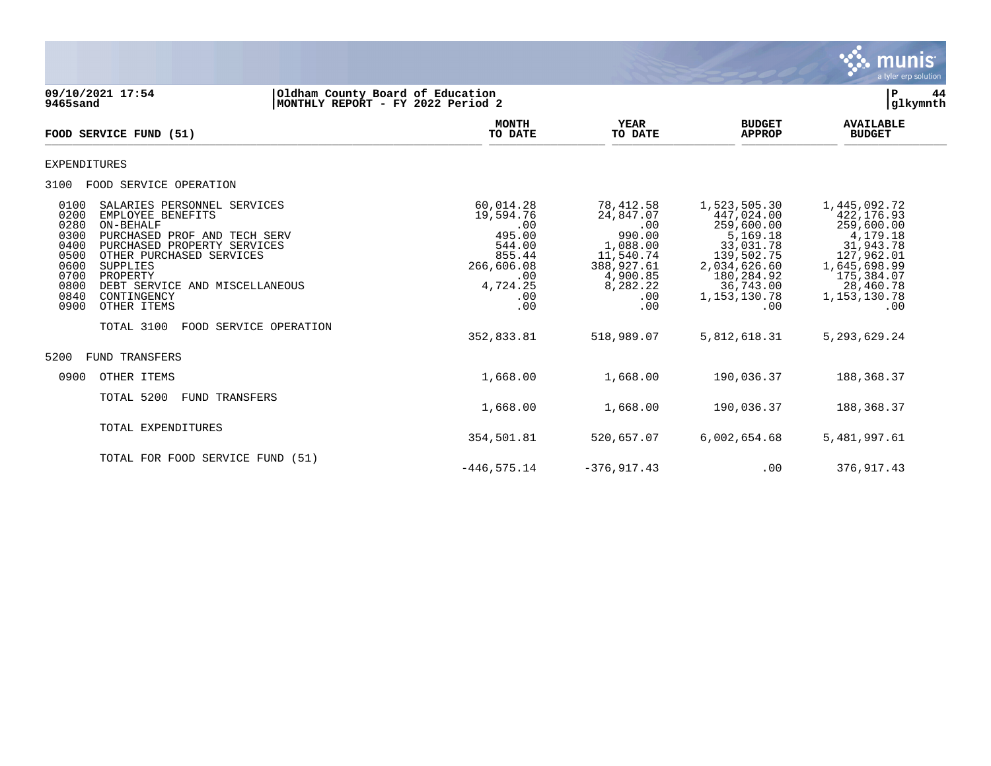

**09/10/2021 17:54 |Oldham County Board of Education |P 44 9465sand |MONTHLY REPORT - FY 2022 Period 2 |glkymnth MONTH AVAILABLE YEAR BUDGET** AVAILABLE **FOOD SERVICE FUND (51) TO DATE TO DATE APPROP BUDGET**   $\overline{10 \text{ MHz}}$  and  $\overline{10 \text{ MHz}}$  is the set of  $\overline{10 \text{ MHz}}$  and  $\overline{10 \text{ MHz}}$  and  $\overline{10 \text{ MHz}}$  and  $\overline{10 \text{ MHz}}$  and  $\overline{10 \text{ MHz}}$  and  $\overline{10 \text{ MHz}}$  and  $\overline{10 \text{ MHz}}$  and  $\overline{10 \text{ MHz}}$  and  $\overline{10 \text{ MHz}}$  and  $\overline{10 \text{ MHz}}$ EXPENDITURES 3100 FOOD SERVICE OPERATION 0100 SALARIES PERSONNEL SERVICES (0.014.28 78,412.58 1,523,505.30 1,445,092.72<br>0200 EMPLOYEE BENEFITS (19.594.76 19.594.76 24,847.07 447,024.00 422,176.93 0200 EMPLOYEE BENEFITS 19,594.76 24,847.07 447,024.00 422,176.93 0280 ON-BEHALF .00 .00 259,600.00 259,600.00 0300 PURCHASED PROF AND TECH SERV 4 205.00 990.00 5,169.18 4,179.18<br>0400 PURCHASED PROPERTY SERVICES 544.00 1,088.00 33,031.78 31,943.78<br>0500 OTHER PURCHASED SERVICES 38,031.78 127,962.01 0400 PURCHASED PROPERTY SERVICES 544.00 1,088.00 33,031.78 31,943.78 0500 OTHER PURCHASED SERVICES (855.44 11,540.74 139,502.75 127,962.01<br>36600 OG00 SUPPLIES (865.698.99 1,645,698.99 0600 SUPPLIES 266,606.08 388,927.61 2,034,626.60 1,645,698.99 0700 PROPERTY .00 4,900.85 180,284.92 175,384.07 0800 DEBT SERVICE AND MISCELLANEOUS <br>0840 CONTINGENCY 1,153,130.78 1,153,130.78 1,153,130.78 0840 CONTINGENCY .00 .00 1,153,130.78 1,153,130.78 0900 OTHER ITEMS .00 .00 .00 .00 TOTAL 3100 FOOD SERVICE OPERATION 352,833.81 518,989.07 5,812,618.31 5,293,629.24 5200 FUND TRANSFERS 0900 OTHER ITEMS 1,668.00 1,668.00 190,036.37 188,368.37 TOTAL 5200 FUND TRANSFERS 1,668.00 1,668.00 190,036.37 188,368.37 TOTAL EXPENDITURES 354,501.81 520,657.07 6,002,654.68 5,481,997.61 TOTAL FOR FOOD SERVICE FUND (51)

 $-446,575,14$   $-376,917,43$  .00 376.917.43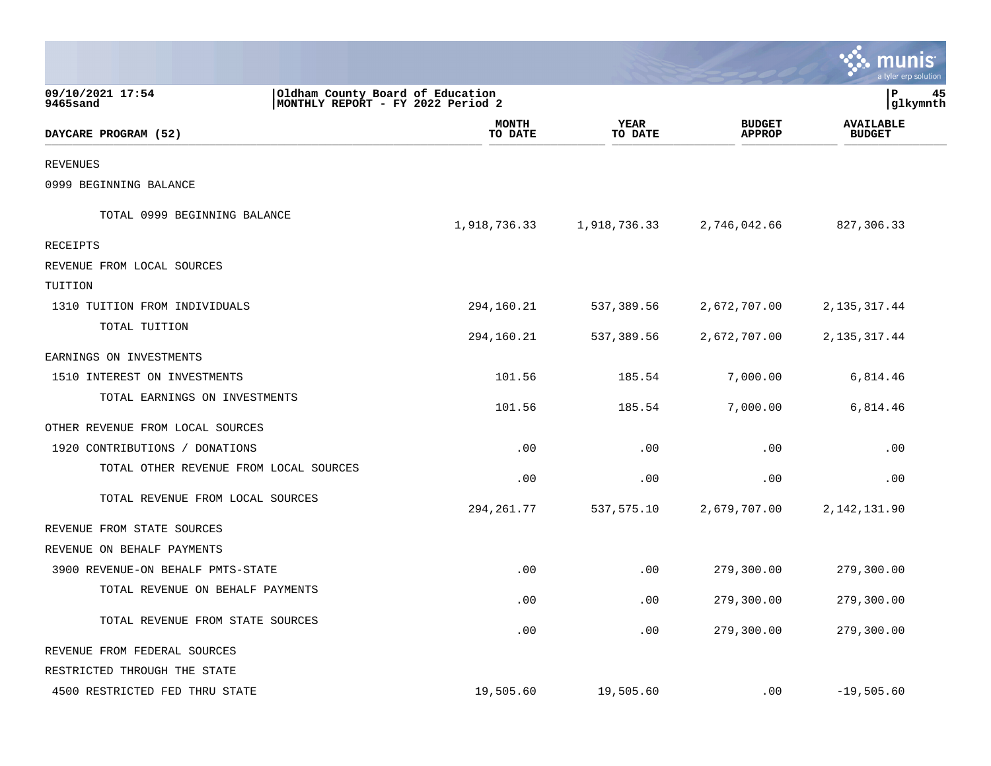|                                        |                                                                       |                         |                        |                                | nis<br>a tyler erp solution       |    |
|----------------------------------------|-----------------------------------------------------------------------|-------------------------|------------------------|--------------------------------|-----------------------------------|----|
| 09/10/2021 17:54<br>9465sand           | Oldham County Board of Education<br>MONTHLY REPORT - FY 2022 Period 2 |                         |                        |                                | l P<br> glkymnth                  | 45 |
| DAYCARE PROGRAM (52)                   |                                                                       | <b>MONTH</b><br>TO DATE | <b>YEAR</b><br>TO DATE | <b>BUDGET</b><br><b>APPROP</b> | <b>AVAILABLE</b><br><b>BUDGET</b> |    |
| <b>REVENUES</b>                        |                                                                       |                         |                        |                                |                                   |    |
| 0999 BEGINNING BALANCE                 |                                                                       |                         |                        |                                |                                   |    |
| TOTAL 0999 BEGINNING BALANCE           |                                                                       | 1,918,736.33            | 1,918,736.33           | 2,746,042.66                   | 827,306.33                        |    |
| <b>RECEIPTS</b>                        |                                                                       |                         |                        |                                |                                   |    |
| REVENUE FROM LOCAL SOURCES             |                                                                       |                         |                        |                                |                                   |    |
| TUITION                                |                                                                       |                         |                        |                                |                                   |    |
| 1310 TUITION FROM INDIVIDUALS          |                                                                       | 294,160.21              | 537,389.56             | 2,672,707.00                   | 2, 135, 317. 44                   |    |
| TOTAL TUITION                          |                                                                       | 294,160.21              | 537,389.56             | 2,672,707.00                   | 2, 135, 317.44                    |    |
| EARNINGS ON INVESTMENTS                |                                                                       |                         |                        |                                |                                   |    |
| 1510 INTEREST ON INVESTMENTS           |                                                                       | 101.56                  | 185.54                 | 7,000.00                       | 6,814.46                          |    |
| TOTAL EARNINGS ON INVESTMENTS          |                                                                       | 101.56                  | 185.54                 | 7,000.00                       | 6,814.46                          |    |
| OTHER REVENUE FROM LOCAL SOURCES       |                                                                       |                         |                        |                                |                                   |    |
| 1920 CONTRIBUTIONS / DONATIONS         |                                                                       | .00                     | .00                    | .00                            | .00                               |    |
| TOTAL OTHER REVENUE FROM LOCAL SOURCES |                                                                       | .00                     | .00                    | .00                            | .00                               |    |
| TOTAL REVENUE FROM LOCAL SOURCES       |                                                                       | 294, 261.77             | 537,575.10             | 2,679,707.00                   | 2, 142, 131.90                    |    |
| REVENUE FROM STATE SOURCES             |                                                                       |                         |                        |                                |                                   |    |
| REVENUE ON BEHALF PAYMENTS             |                                                                       |                         |                        |                                |                                   |    |
| 3900 REVENUE-ON BEHALF PMTS-STATE      |                                                                       | .00                     | .00                    | 279,300.00                     | 279,300.00                        |    |
| TOTAL REVENUE ON BEHALF PAYMENTS       |                                                                       | .00                     | .00                    | 279,300.00                     | 279,300.00                        |    |
| TOTAL REVENUE FROM STATE SOURCES       |                                                                       | .00                     | .00                    | 279,300.00                     | 279,300.00                        |    |
| REVENUE FROM FEDERAL SOURCES           |                                                                       |                         |                        |                                |                                   |    |
| RESTRICTED THROUGH THE STATE           |                                                                       |                         |                        |                                |                                   |    |
| 4500 RESTRICTED FED THRU STATE         |                                                                       | 19,505.60               | 19,505.60              | .00                            | $-19,505.60$                      |    |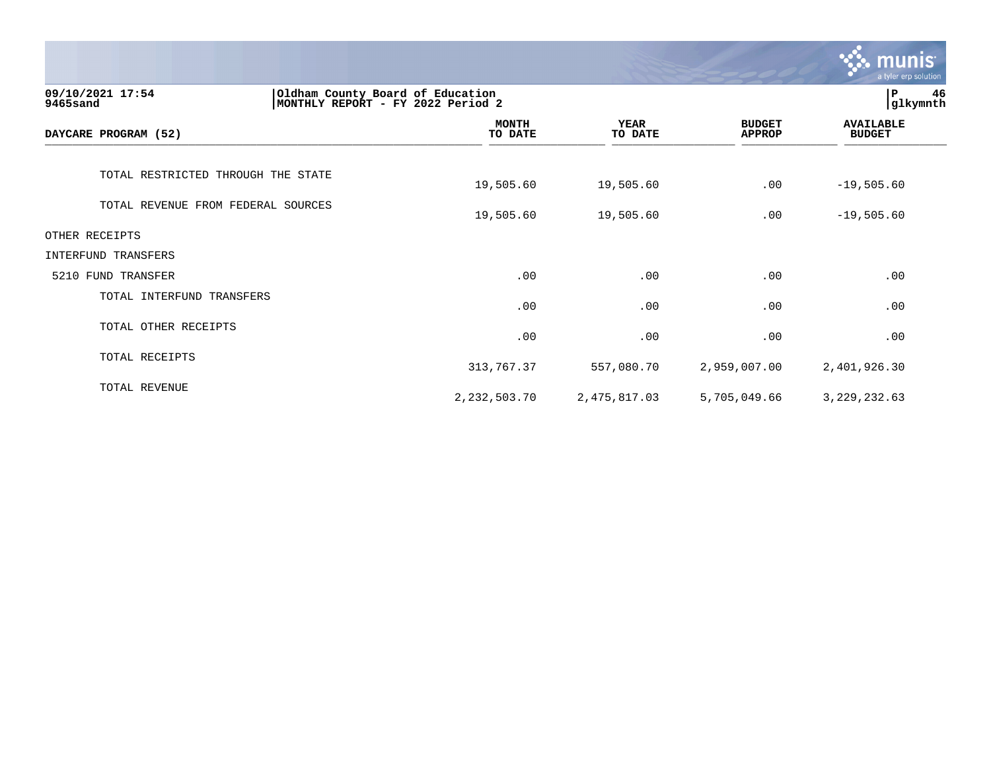|                                                                  |                                   |                        |                                | <b>munis</b><br>a tyler erp solution |
|------------------------------------------------------------------|-----------------------------------|------------------------|--------------------------------|--------------------------------------|
| Oldham County Board of Education<br>09/10/2021 17:54<br>9465sand | MONTHLY REPORT - FY 2022 Period 2 |                        |                                | 46<br>P<br>glkymnth                  |
| DAYCARE PROGRAM (52)                                             | <b>MONTH</b><br>TO DATE           | <b>YEAR</b><br>TO DATE | <b>BUDGET</b><br><b>APPROP</b> | <b>AVAILABLE</b><br><b>BUDGET</b>    |
| TOTAL RESTRICTED THROUGH THE STATE                               | 19,505.60                         | 19,505.60              | .00                            | $-19,505.60$                         |
| TOTAL REVENUE FROM FEDERAL SOURCES                               | 19,505.60                         | 19,505.60              | .00                            | $-19,505.60$                         |
| OTHER RECEIPTS                                                   |                                   |                        |                                |                                      |
| INTERFUND TRANSFERS                                              |                                   |                        |                                |                                      |
| 5210 FUND TRANSFER                                               | .00                               | .00                    | .00                            | .00                                  |
| TOTAL INTERFUND TRANSFERS                                        | .00                               | .00                    | .00                            | .00                                  |
| TOTAL OTHER RECEIPTS                                             | .00                               | .00                    | .00                            | .00                                  |
| TOTAL RECEIPTS                                                   | 313,767.37                        | 557,080.70             | 2,959,007.00                   | 2,401,926.30                         |
| TOTAL REVENUE                                                    | 2, 232, 503. 70                   | 2,475,817.03           | 5,705,049.66                   | 3, 229, 232.63                       |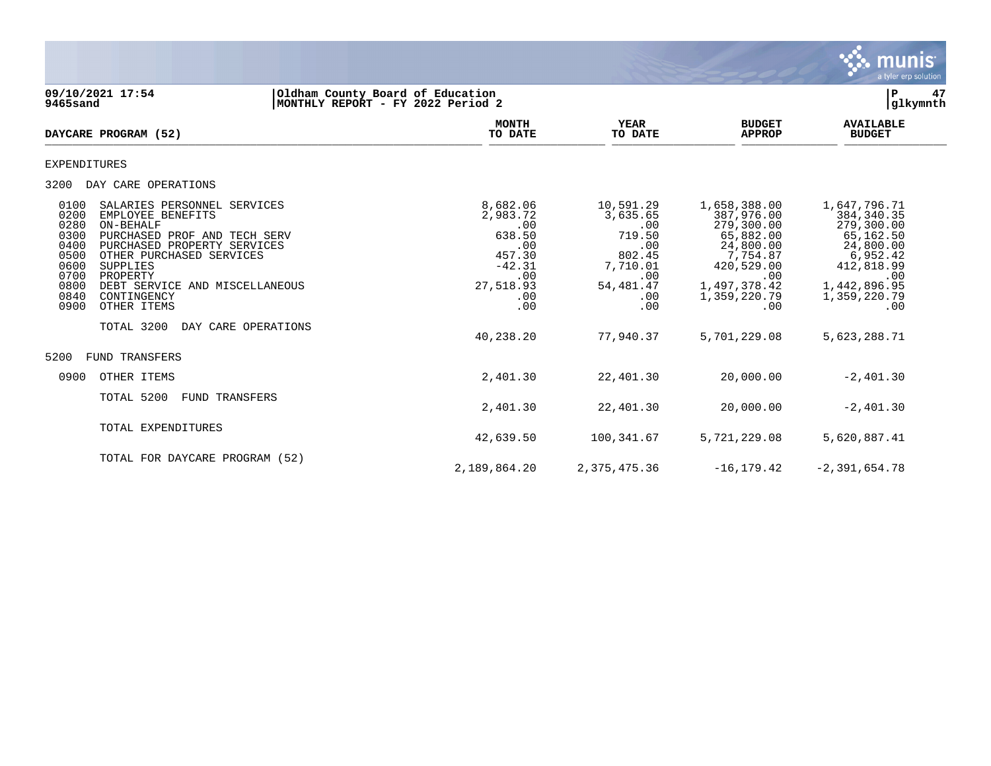

**09/10/2021 17:54 |Oldham County Board of Education |P 47 9465sand |MONTHLY REPORT - FY 2022 Period 2 |glkymnth MONTH AVAILABLE YEAR BUDGET** AVAILABLE **DAYCARE PROGRAM (52)** TO DATE TO DATE APPROP BUDGET  $\frac{10 \text{ Bile}}{10 \text{ Bile}}$ EXPENDITURES 3200 DAY CARE OPERATIONS 0100 SALARIES PERSONNEL SERVICES 8,682.06 10,591.29 1,658,388.00 1,647,796.71 0200 EMPLOYEE BENEFITS 2,983.72 3,635.65 387,976.00 384,340.35 0280 ON-BEHALF .00 .00 279,300.00 279,300.00 0300 PURCHASED PROF AND TECH SERV 638.50 638.50 719.50 65,882.00 65,162.50 65,162.50 65,162.50 65,162.50 65,162<br>0400 PURCHASED PROPERTY SERVICES 6 600 65,162.95 6.952.42 66.952.42 6.952.42 6.952.42 0400 PURCHASED PROPERTY SERVICES .00 .00 .00 .00 24,800.00 24,800.00 24,800.00<br>0500 0THER PURCHASED SERVICES .00 24,800.00 24,800.00 24,800.00 24,800.00 24,800.00 24,800.00 24,800.00 0500 OTHER PURCHASED SERVICES 457.30 802.45 7,754.87 6,952.42 0600 SUPPLIES -42.31 7,710.01 420,529.00 412,818.99 0700 PROPERTY .00 .00 .00 .00 0800 DEBT SERVICE AND MISCELLANEOUS 27,518.93 54,481.47 1,497,378.42 1,442,896.95 0840 CONTINGENCY .00 .00 1,359,220.79 1,359,220.79 0900 OTHER ITEMS .00 .00 .00 .00 TOTAL 3200 DAY CARE OPERATIONS 40,238.20 77,940.37 5,701,229.08 5,623,288.71 5200 FUND TRANSFERS 0900 OTHER ITEMS 2,401.30 22,401.30 20,000.00 -2,401.30 TOTAL 5200 FUND TRANSFERS 2,401.30 22,401.30 20,000.00 -2,401.30 TOTAL EXPENDITURES 42,639.50 100,341.67 5,721,229.08 5,620,887.41 TOTAL FOR DAYCARE PROGRAM (52)

2,189,864.20 2,375,475.36 -16,179.42 -2,391,654.78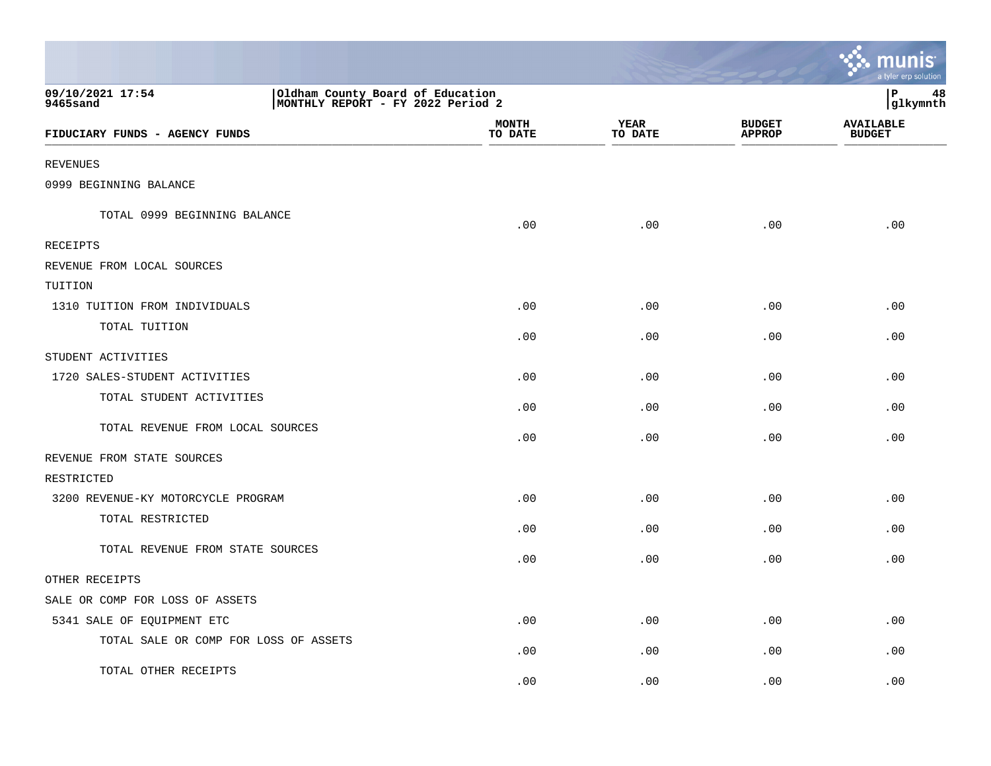|                                                                                                       |                         |                        |                                | a tyler erp solution              |
|-------------------------------------------------------------------------------------------------------|-------------------------|------------------------|--------------------------------|-----------------------------------|
| 09/10/2021 17:54<br>Oldham County Board of Education<br>MONTHLY REPORT - FY 2022 Period 2<br>9465sand |                         |                        |                                | P<br>48<br>glkymnth               |
| FIDUCIARY FUNDS - AGENCY FUNDS                                                                        | <b>MONTH</b><br>TO DATE | <b>YEAR</b><br>TO DATE | <b>BUDGET</b><br><b>APPROP</b> | <b>AVAILABLE</b><br><b>BUDGET</b> |
| <b>REVENUES</b>                                                                                       |                         |                        |                                |                                   |
| 0999 BEGINNING BALANCE                                                                                |                         |                        |                                |                                   |
| TOTAL 0999 BEGINNING BALANCE                                                                          | .00                     | .00                    | .00                            | .00                               |
| <b>RECEIPTS</b>                                                                                       |                         |                        |                                |                                   |
| REVENUE FROM LOCAL SOURCES                                                                            |                         |                        |                                |                                   |
| TUITION                                                                                               |                         |                        |                                |                                   |
| 1310 TUITION FROM INDIVIDUALS                                                                         | .00                     | .00                    | .00                            | .00                               |
| TOTAL TUITION                                                                                         | .00                     | .00                    | .00                            | .00                               |
| STUDENT ACTIVITIES                                                                                    |                         |                        |                                |                                   |
| 1720 SALES-STUDENT ACTIVITIES                                                                         | .00                     | .00                    | .00                            | .00                               |
| TOTAL STUDENT ACTIVITIES                                                                              | .00                     | .00                    | .00                            | .00                               |
| TOTAL REVENUE FROM LOCAL SOURCES                                                                      | .00                     | .00                    | .00                            | .00                               |
| REVENUE FROM STATE SOURCES                                                                            |                         |                        |                                |                                   |
| RESTRICTED                                                                                            |                         |                        |                                |                                   |
| 3200 REVENUE-KY MOTORCYCLE PROGRAM                                                                    | .00                     | .00                    | .00                            | .00                               |
| TOTAL RESTRICTED                                                                                      | .00                     | .00                    | .00                            | .00                               |
| TOTAL REVENUE FROM STATE SOURCES                                                                      | .00                     | .00                    | .00                            | .00                               |
| OTHER RECEIPTS                                                                                        |                         |                        |                                |                                   |
| SALE OR COMP FOR LOSS OF ASSETS                                                                       |                         |                        |                                |                                   |
| 5341 SALE OF EQUIPMENT ETC                                                                            | .00                     | .00                    | .00                            | .00                               |
| TOTAL SALE OR COMP FOR LOSS OF ASSETS                                                                 | .00                     | .00                    | .00                            | .00                               |
| TOTAL OTHER RECEIPTS                                                                                  | .00                     | .00                    | .00                            | .00                               |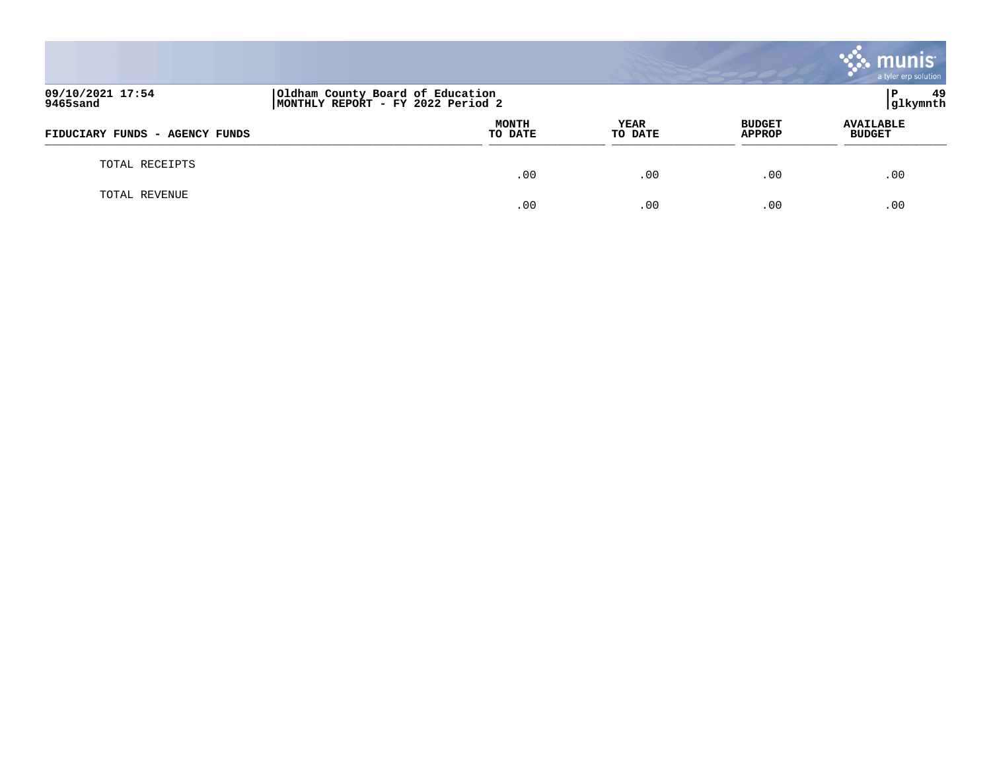|                                |                                                                       |                        |                                | munis<br>a tyler erp solution     |
|--------------------------------|-----------------------------------------------------------------------|------------------------|--------------------------------|-----------------------------------|
| 09/10/2021 17:54<br>9465sand   | Oldham County Board of Education<br>MONTHLY REPORT - FY 2022 Period 2 |                        |                                | -49<br>l P<br>glkymnth            |
| FIDUCIARY FUNDS - AGENCY FUNDS | <b>MONTH</b><br>TO DATE                                               | <b>YEAR</b><br>TO DATE | <b>BUDGET</b><br><b>APPROP</b> | <b>AVAILABLE</b><br><b>BUDGET</b> |
| TOTAL RECEIPTS                 | .00                                                                   | .00                    | .00                            | .00                               |
| TOTAL REVENUE                  | .00                                                                   | .00                    | .00                            | .00                               |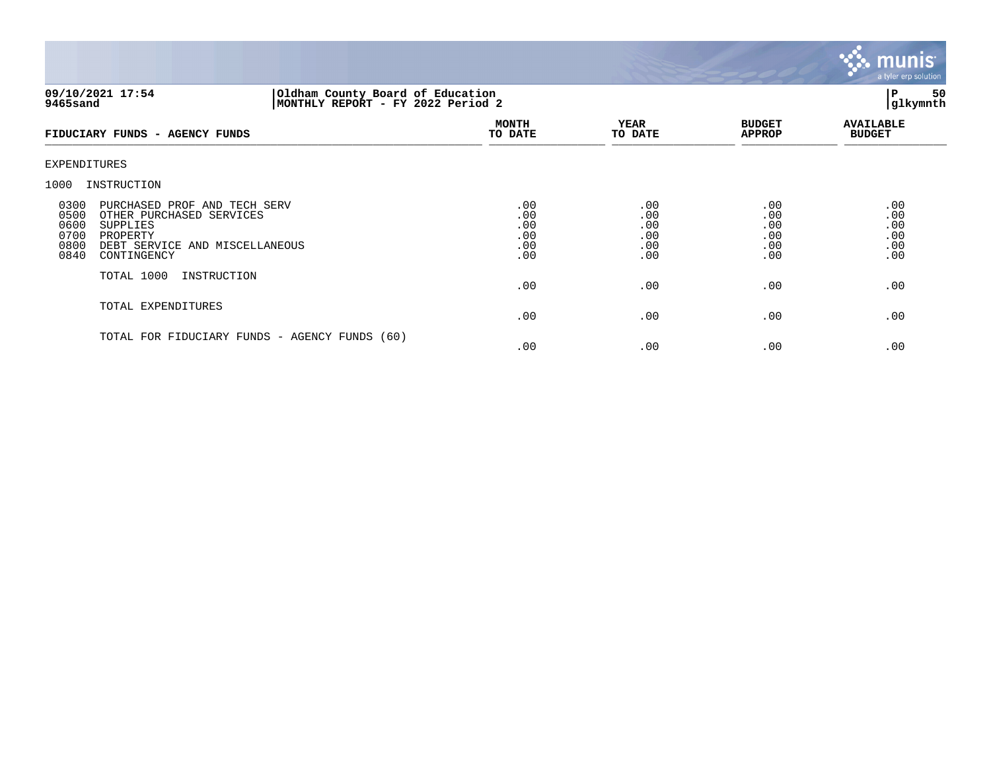

# **09/10/2021 17:54 |Oldham County Board of Education |P 50 9465sand |MONTHLY REPORT - FY 2022 Period 2 |glkymnth**

| FIDUCIARY FUNDS - AGENCY FUNDS                                                                                                                                                    | <b>MONTH</b><br>TO DATE                | <b>YEAR</b><br>TO DATE                 | <b>BUDGET</b><br><b>APPROP</b>         | <b>AVAILABLE</b><br><b>BUDGET</b>      |
|-----------------------------------------------------------------------------------------------------------------------------------------------------------------------------------|----------------------------------------|----------------------------------------|----------------------------------------|----------------------------------------|
| EXPENDITURES                                                                                                                                                                      |                                        |                                        |                                        |                                        |
| INSTRUCTION<br>1000                                                                                                                                                               |                                        |                                        |                                        |                                        |
| 0300<br>PURCHASED PROF AND TECH SERV<br>0500<br>OTHER PURCHASED SERVICES<br>0600<br>SUPPLIES<br>0700<br>PROPERTY<br>0800<br>DEBT SERVICE AND MISCELLANEOUS<br>0840<br>CONTINGENCY | .00<br>.00<br>.00<br>.00<br>.00<br>.00 | .00<br>.00<br>.00<br>.00<br>.00<br>.00 | .00<br>.00<br>.00<br>.00<br>.00<br>.00 | .00<br>.00<br>.00<br>.00<br>.00<br>.00 |
| TOTAL 1000<br>INSTRUCTION                                                                                                                                                         | .00                                    | .00                                    | .00                                    | .00                                    |
| TOTAL EXPENDITURES                                                                                                                                                                | .00                                    | .00                                    | .00                                    | .00                                    |
| TOTAL FOR FIDUCIARY FUNDS - AGENCY FUNDS (60)                                                                                                                                     | .00                                    | .00                                    | .00                                    | .00                                    |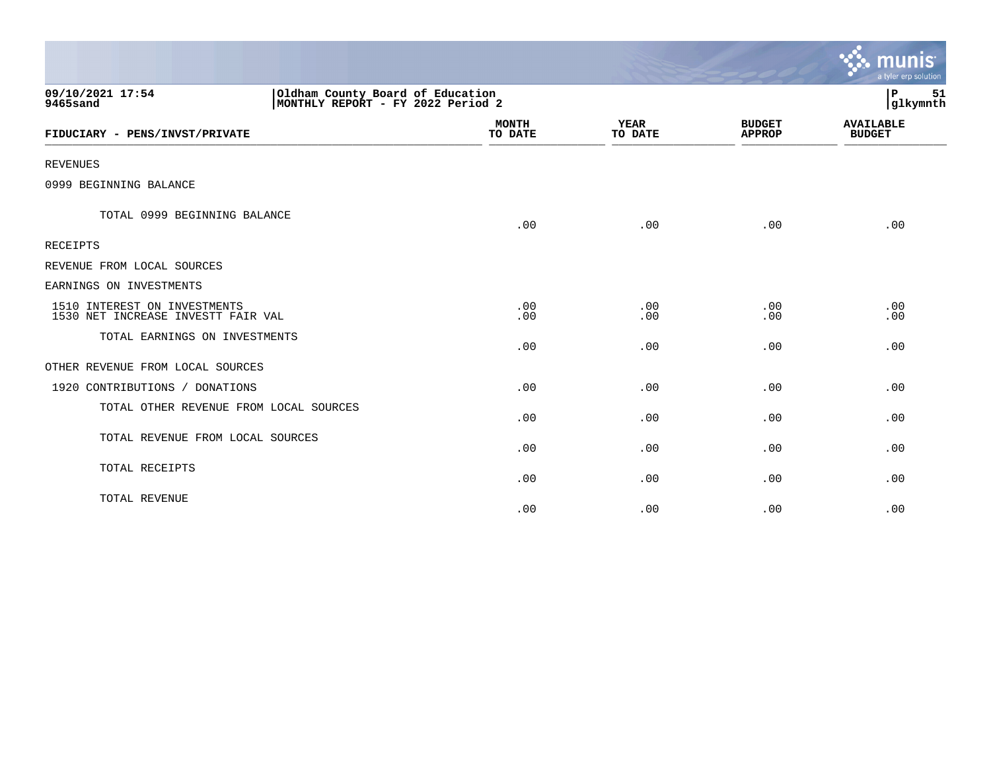|                                                                                                       |                         |                        |                                | munis<br>a tyler erp solution     |
|-------------------------------------------------------------------------------------------------------|-------------------------|------------------------|--------------------------------|-----------------------------------|
| 09/10/2021 17:54<br>Oldham County Board of Education<br>MONTHLY REPORT - FY 2022 Period 2<br>9465sand |                         |                        |                                | P<br>51<br>glkymnth               |
| FIDUCIARY - PENS/INVST/PRIVATE                                                                        | <b>MONTH</b><br>TO DATE | <b>YEAR</b><br>TO DATE | <b>BUDGET</b><br><b>APPROP</b> | <b>AVAILABLE</b><br><b>BUDGET</b> |
| <b>REVENUES</b>                                                                                       |                         |                        |                                |                                   |
| 0999 BEGINNING BALANCE                                                                                |                         |                        |                                |                                   |
| TOTAL 0999 BEGINNING BALANCE                                                                          | .00                     | .00                    | .00                            | .00                               |
| <b>RECEIPTS</b>                                                                                       |                         |                        |                                |                                   |
| REVENUE FROM LOCAL SOURCES                                                                            |                         |                        |                                |                                   |
| EARNINGS ON INVESTMENTS                                                                               |                         |                        |                                |                                   |
| 1510 INTEREST ON INVESTMENTS<br>1530 NET INCREASE INVESTT FAIR VAL                                    | .00<br>.00              | .00<br>.00             | .00<br>.00                     | .00<br>.00                        |
| TOTAL EARNINGS ON INVESTMENTS                                                                         | .00                     | .00                    | .00                            | .00                               |
| OTHER REVENUE FROM LOCAL SOURCES                                                                      |                         |                        |                                |                                   |
| 1920 CONTRIBUTIONS / DONATIONS                                                                        | .00                     | .00                    | .00                            | .00                               |
| TOTAL OTHER REVENUE FROM LOCAL SOURCES                                                                | .00                     | .00                    | .00                            | .00                               |
| TOTAL REVENUE FROM LOCAL SOURCES                                                                      | .00                     | .00                    | .00                            | .00                               |
| TOTAL RECEIPTS                                                                                        | .00                     | .00                    | .00                            | .00                               |
| TOTAL REVENUE                                                                                         | .00                     | .00                    | .00                            | .00                               |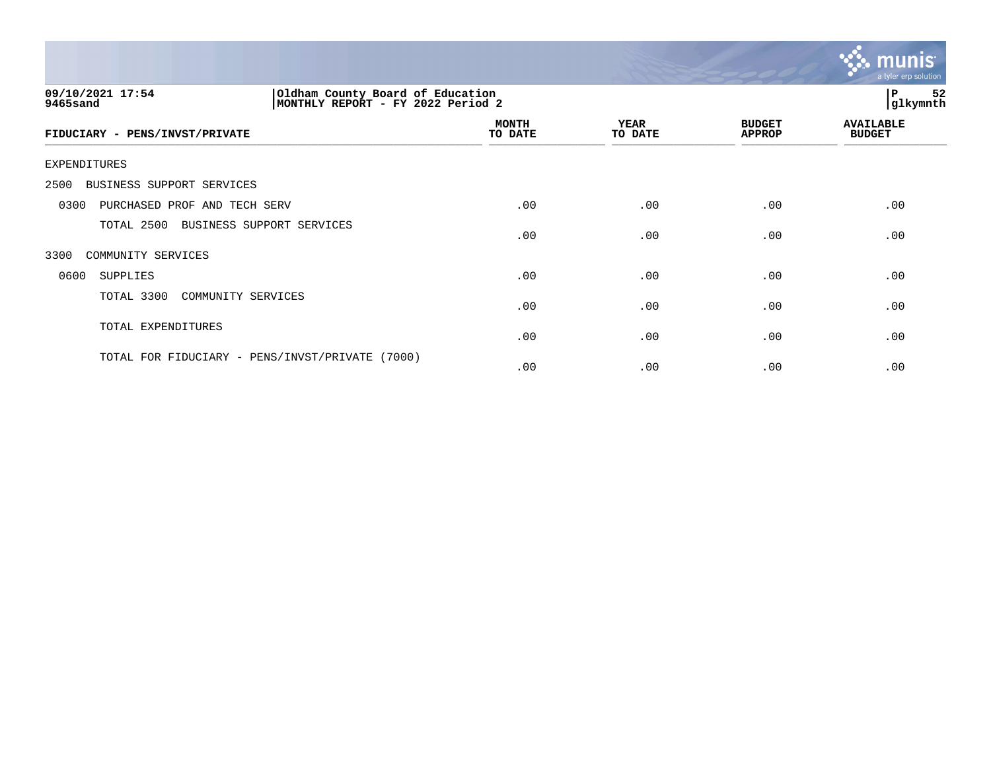

| 09/10/2021 17:54<br>9465sand                       | Oldham County Board of Education<br>MONTHLY REPORT - FY 2022 Period 2 |                        |                                |                                   |
|----------------------------------------------------|-----------------------------------------------------------------------|------------------------|--------------------------------|-----------------------------------|
| FIDUCIARY - PENS/INVST/PRIVATE                     | <b>MONTH</b><br>TO DATE                                               | <b>YEAR</b><br>TO DATE | <b>BUDGET</b><br><b>APPROP</b> | <b>AVAILABLE</b><br><b>BUDGET</b> |
| EXPENDITURES                                       |                                                                       |                        |                                |                                   |
| BUSINESS SUPPORT SERVICES<br>2500                  |                                                                       |                        |                                |                                   |
| PURCHASED PROF AND TECH SERV<br>0300               | .00                                                                   | .00                    | .00                            | .00                               |
| TOTAL 2500<br>BUSINESS SUPPORT SERVICES            | .00                                                                   | .00                    | .00                            | .00                               |
| 3300<br>COMMUNITY SERVICES                         |                                                                       |                        |                                |                                   |
| 0600<br>SUPPLIES                                   | .00                                                                   | .00                    | .00                            | .00                               |
| TOTAL 3300<br>COMMUNITY SERVICES                   | .00                                                                   | .00                    | .00                            | .00                               |
| TOTAL EXPENDITURES                                 | .00                                                                   | .00                    | .00                            | .00                               |
| TOTAL FOR FIDUCIARY - PENS/INVST/PRIVATE<br>(7000) | .00                                                                   | .00                    | .00                            | .00                               |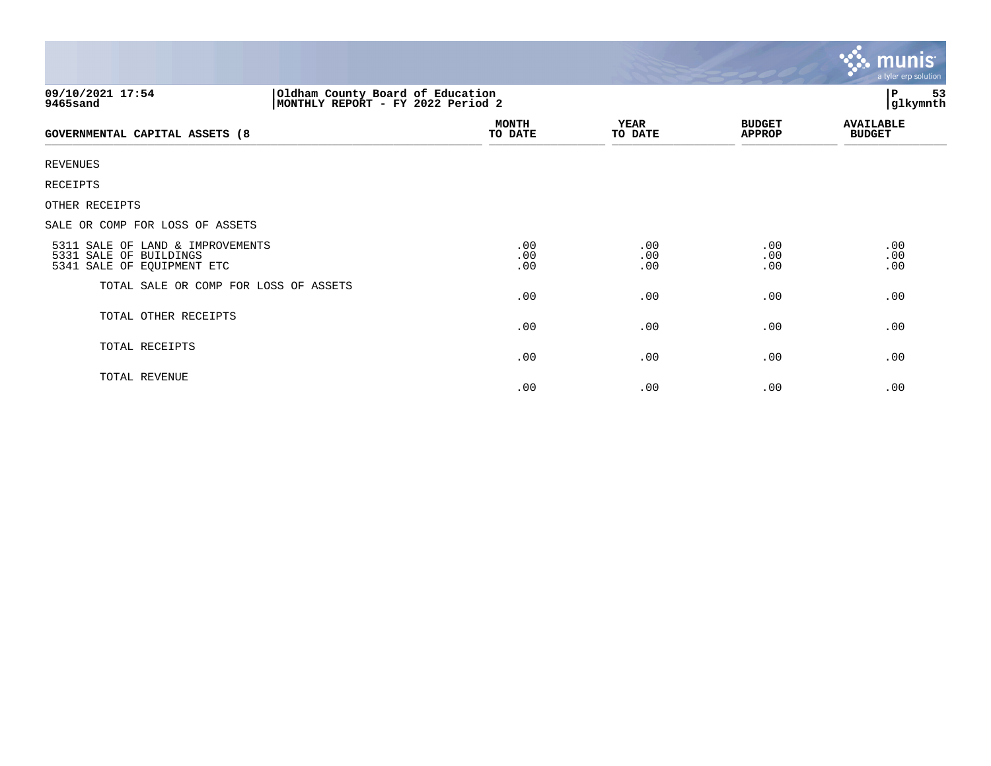|                                                                                          |                                                                       |                        |                                | <b>munis</b><br>a tyler erp solution |  |
|------------------------------------------------------------------------------------------|-----------------------------------------------------------------------|------------------------|--------------------------------|--------------------------------------|--|
| 09/10/2021 17:54<br>9465sand                                                             | Oldham County Board of Education<br>MONTHLY REPORT - FY 2022 Period 2 |                        |                                | 53<br>P<br>glkymnth                  |  |
| <b>GOVERNMENTAL CAPITAL ASSETS (8</b>                                                    | <b>MONTH</b><br>TO DATE                                               | <b>YEAR</b><br>TO DATE | <b>BUDGET</b><br><b>APPROP</b> | <b>AVAILABLE</b><br><b>BUDGET</b>    |  |
| <b>REVENUES</b>                                                                          |                                                                       |                        |                                |                                      |  |
| RECEIPTS                                                                                 |                                                                       |                        |                                |                                      |  |
| OTHER RECEIPTS                                                                           |                                                                       |                        |                                |                                      |  |
| SALE OR COMP FOR LOSS OF ASSETS                                                          |                                                                       |                        |                                |                                      |  |
| 5311 SALE OF LAND & IMPROVEMENTS<br>5331 SALE OF BUILDINGS<br>5341 SALE OF EQUIPMENT ETC | .00<br>.00<br>.00                                                     | .00<br>.00<br>.00      | .00<br>.00<br>.00              | .00<br>.00<br>.00                    |  |
| TOTAL SALE OR COMP FOR LOSS OF ASSETS                                                    | .00                                                                   | .00                    | .00                            | .00                                  |  |
| TOTAL OTHER RECEIPTS                                                                     | .00                                                                   | .00                    | .00                            | .00                                  |  |
| TOTAL RECEIPTS                                                                           | .00                                                                   | .00                    | .00                            | .00                                  |  |
| TOTAL REVENUE                                                                            | .00                                                                   | .00                    | .00                            | .00                                  |  |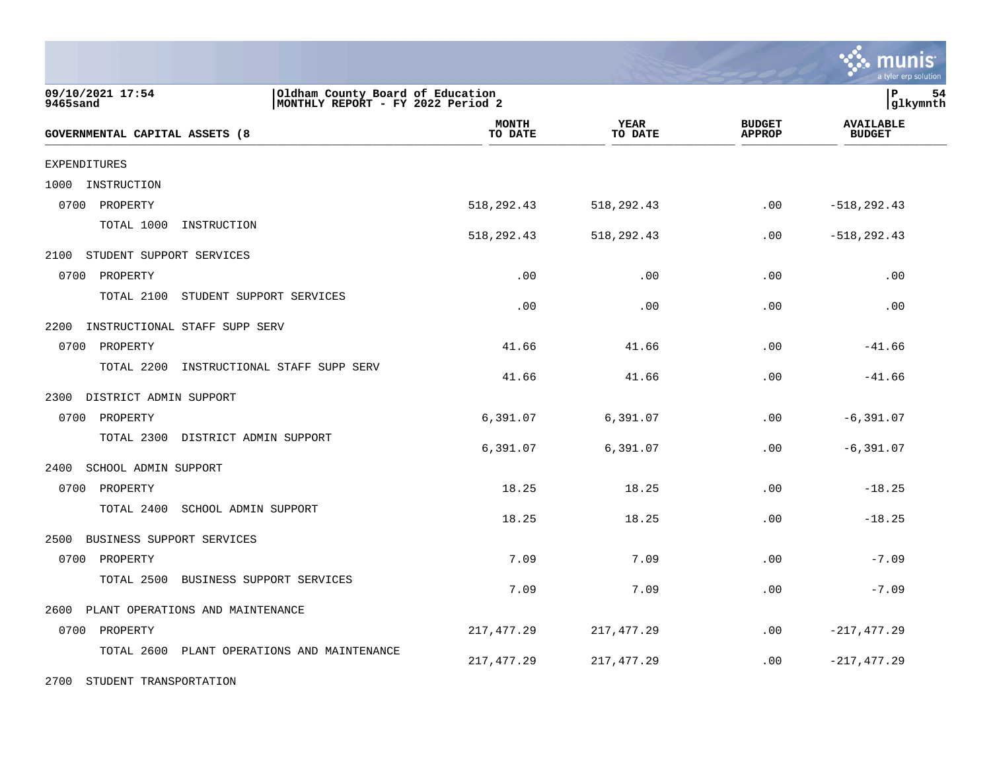|                                                                                                       |                         |                        |                                | a tyler erp solution              |
|-------------------------------------------------------------------------------------------------------|-------------------------|------------------------|--------------------------------|-----------------------------------|
| 09/10/2021 17:54<br>Oldham County Board of Education<br>MONTHLY REPORT - FY 2022 Period 2<br>9465sand |                         |                        |                                | P<br>54<br> glkymnth              |
| GOVERNMENTAL CAPITAL ASSETS (8                                                                        | <b>MONTH</b><br>TO DATE | <b>YEAR</b><br>TO DATE | <b>BUDGET</b><br><b>APPROP</b> | <b>AVAILABLE</b><br><b>BUDGET</b> |
| <b>EXPENDITURES</b>                                                                                   |                         |                        |                                |                                   |
| 1000<br>INSTRUCTION                                                                                   |                         |                        |                                |                                   |
| 0700<br>PROPERTY                                                                                      | 518,292.43              | 518,292.43             | .00                            | $-518, 292.43$                    |
| TOTAL 1000<br>INSTRUCTION                                                                             | 518,292.43              | 518,292.43             | .00                            | $-518, 292.43$                    |
| 2100<br>STUDENT SUPPORT SERVICES                                                                      |                         |                        |                                |                                   |
| 0700<br>PROPERTY                                                                                      | .00                     | .00                    | .00                            | .00                               |
| TOTAL 2100<br>STUDENT SUPPORT SERVICES                                                                | .00                     | .00                    | .00                            | .00                               |
| 2200<br>INSTRUCTIONAL STAFF SUPP SERV                                                                 |                         |                        |                                |                                   |
| 0700<br>PROPERTY                                                                                      | 41.66                   | 41.66                  | .00                            | $-41.66$                          |
| TOTAL 2200<br>INSTRUCTIONAL STAFF SUPP SERV                                                           | 41.66                   | 41.66                  | .00                            | $-41.66$                          |
| 2300<br>DISTRICT ADMIN SUPPORT                                                                        |                         |                        |                                |                                   |
| 0700<br>PROPERTY                                                                                      | 6,391.07                | 6,391.07               | .00                            | $-6, 391.07$                      |
| TOTAL 2300<br>DISTRICT ADMIN SUPPORT                                                                  | 6,391.07                | 6,391.07               | .00                            | $-6, 391.07$                      |
| 2400<br>SCHOOL ADMIN SUPPORT                                                                          |                         |                        |                                |                                   |
| 0700 PROPERTY                                                                                         | 18.25                   | 18.25                  | .00                            | $-18.25$                          |
| TOTAL 2400<br>SCHOOL ADMIN SUPPORT                                                                    | 18.25                   | 18.25                  | .00                            | $-18.25$                          |
| 2500<br>BUSINESS SUPPORT SERVICES                                                                     |                         |                        |                                |                                   |
| 0700 PROPERTY                                                                                         | 7.09                    | 7.09                   | .00                            | $-7.09$                           |
| TOTAL 2500<br>BUSINESS SUPPORT SERVICES                                                               | 7.09                    | 7.09                   | .00                            | $-7.09$                           |
| 2600<br>PLANT OPERATIONS AND MAINTENANCE                                                              |                         |                        |                                |                                   |
| 0700 PROPERTY                                                                                         | 217, 477.29             | 217, 477.29            | .00                            | $-217, 477.29$                    |
| TOTAL 2600<br>PLANT OPERATIONS AND MAINTENANCE                                                        | 217, 477.29             | 217, 477. 29           | .00                            | $-217, 477.29$                    |
| 2700 STUDENT TRANSPORTATION                                                                           |                         |                        |                                |                                   |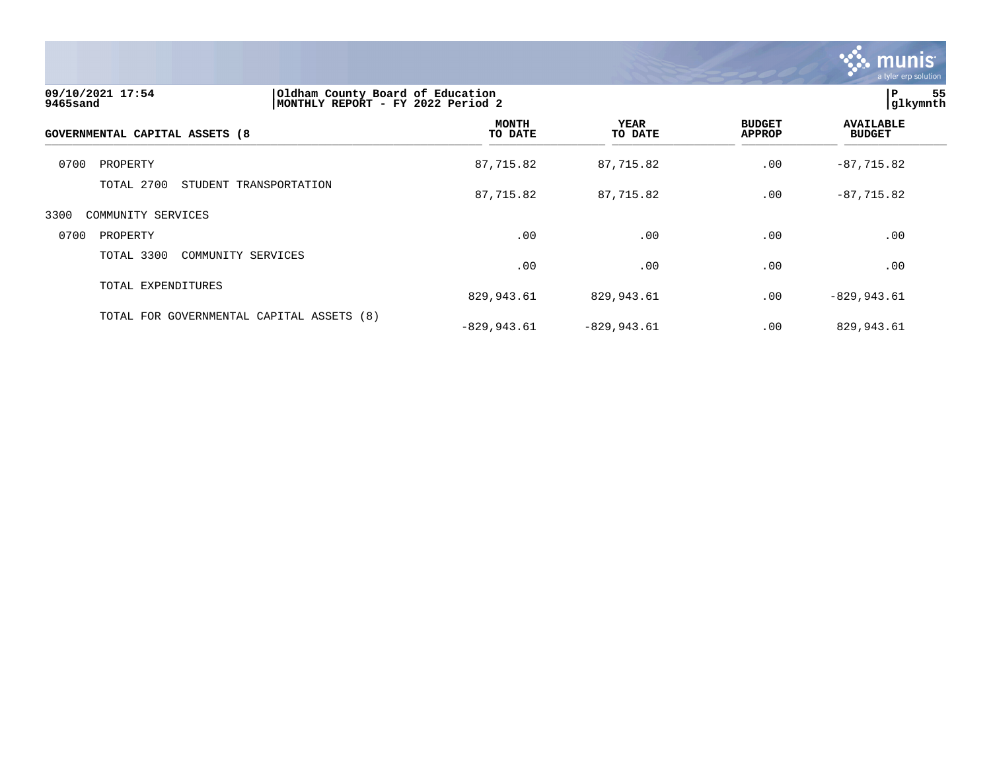

| 09/10/2021 17:54<br>9465sand              | Oldham County Board of Education<br>MONTHLY REPORT - FY 2022 Period 2 |                         |                        |                                | 55<br>l P<br>glkymnth             |  |
|-------------------------------------------|-----------------------------------------------------------------------|-------------------------|------------------------|--------------------------------|-----------------------------------|--|
| <b>GOVERNMENTAL CAPITAL ASSETS (8</b>     |                                                                       | <b>MONTH</b><br>TO DATE | <b>YEAR</b><br>TO DATE | <b>BUDGET</b><br><b>APPROP</b> | <b>AVAILABLE</b><br><b>BUDGET</b> |  |
| 0700<br>PROPERTY                          |                                                                       | 87,715.82               | 87,715.82              | .00                            | $-87,715.82$                      |  |
| TOTAL 2700                                | STUDENT TRANSPORTATION                                                | 87,715.82               | 87,715.82              | .00                            | $-87,715.82$                      |  |
| 3300<br>COMMUNITY SERVICES                |                                                                       |                         |                        |                                |                                   |  |
| 0700<br>PROPERTY                          |                                                                       | .00                     | .00                    | .00                            | .00                               |  |
| TOTAL 3300<br>COMMUNITY SERVICES          |                                                                       | .00                     | .00                    | .00                            | .00                               |  |
| TOTAL EXPENDITURES                        |                                                                       | 829,943.61              | 829,943.61             | .00                            | $-829, 943.61$                    |  |
| TOTAL FOR GOVERNMENTAL CAPITAL ASSETS (8) |                                                                       | $-829,943.61$           | $-829,943.61$          | .00                            | 829,943.61                        |  |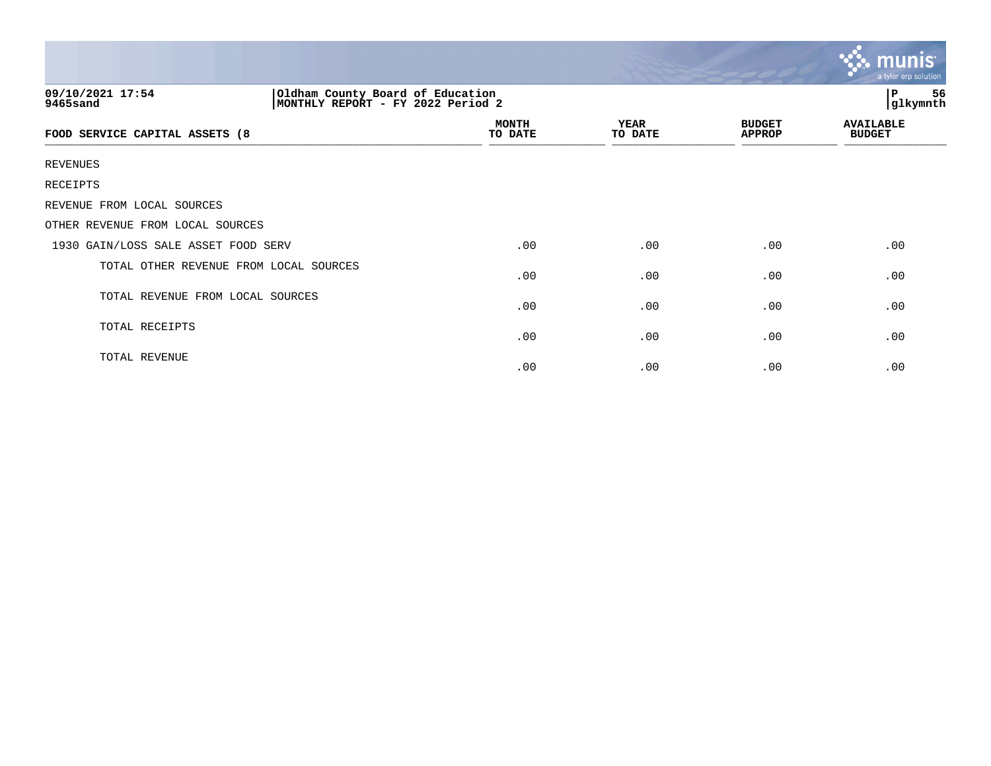|                                        |                                                                       |                 |                                | $\ddotsc$ munis<br>a tyler erp solution |
|----------------------------------------|-----------------------------------------------------------------------|-----------------|--------------------------------|-----------------------------------------|
| 09/10/2021 17:54<br>9465sand           | Oldham County Board of Education<br>MONTHLY REPORT - FY 2022 Period 2 |                 |                                |                                         |
| FOOD SERVICE CAPITAL ASSETS (8         | <b>MONTH</b><br>TO DATE                                               | YEAR<br>TO DATE | <b>BUDGET</b><br><b>APPROP</b> | <b>AVAILABLE</b><br><b>BUDGET</b>       |
| <b>REVENUES</b>                        |                                                                       |                 |                                |                                         |
| RECEIPTS                               |                                                                       |                 |                                |                                         |
| REVENUE FROM LOCAL SOURCES             |                                                                       |                 |                                |                                         |
| OTHER REVENUE FROM LOCAL SOURCES       |                                                                       |                 |                                |                                         |
| 1930 GAIN/LOSS SALE ASSET FOOD SERV    | .00                                                                   | .00             | .00                            | .00                                     |
| TOTAL OTHER REVENUE FROM LOCAL SOURCES | .00                                                                   | .00             | .00                            | .00                                     |
| TOTAL REVENUE FROM LOCAL SOURCES       | .00                                                                   | .00             | .00                            | .00                                     |
| TOTAL RECEIPTS                         | .00                                                                   | .00             | .00                            | .00                                     |
| TOTAL REVENUE                          | .00                                                                   | .00             | .00                            | .00                                     |

the contract of the contract of the contract of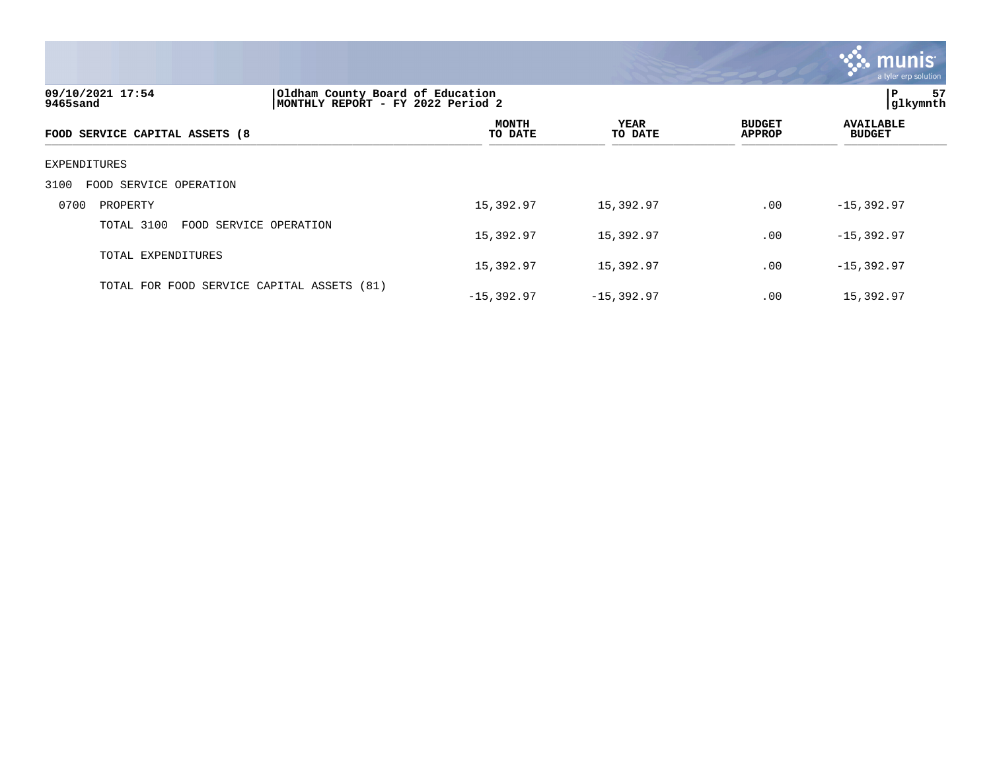

| 09/10/2021 17:54<br>9465sand               | Oldham County Board of Education<br>MONTHLY REPORT - FY 2022 Period 2 |                         |                        | 57<br>l P<br> glkymnth         |                                   |  |
|--------------------------------------------|-----------------------------------------------------------------------|-------------------------|------------------------|--------------------------------|-----------------------------------|--|
| FOOD SERVICE CAPITAL ASSETS (8             |                                                                       | <b>MONTH</b><br>TO DATE | <b>YEAR</b><br>TO DATE | <b>BUDGET</b><br><b>APPROP</b> | <b>AVAILABLE</b><br><b>BUDGET</b> |  |
| EXPENDITURES                               |                                                                       |                         |                        |                                |                                   |  |
| FOOD SERVICE OPERATION<br>3100             |                                                                       |                         |                        |                                |                                   |  |
| 0700<br>PROPERTY                           |                                                                       | 15,392.97               | 15,392.97              | .00                            | $-15, 392.97$                     |  |
| TOTAL 3100<br>FOOD SERVICE OPERATION       |                                                                       | 15,392.97               | 15,392.97              | .00                            | $-15,392.97$                      |  |
| TOTAL EXPENDITURES                         |                                                                       | 15,392.97               | 15,392.97              | .00                            | $-15, 392.97$                     |  |
| TOTAL FOR FOOD SERVICE CAPITAL ASSETS (81) |                                                                       | $-15,392.97$            | $-15,392.97$           | .00                            | 15,392.97                         |  |